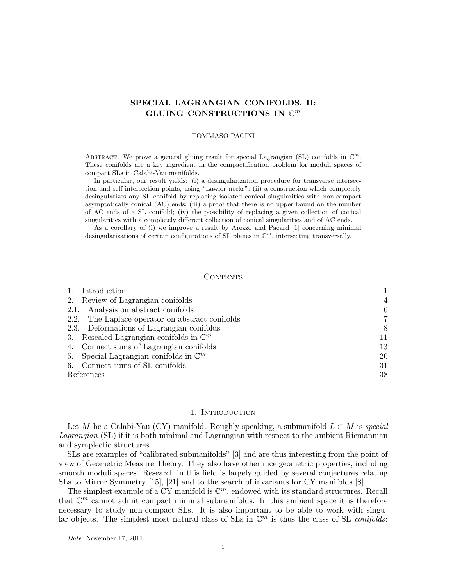# SPECIAL LAGRANGIAN CONIFOLDS, II: GLUING CONSTRUCTIONS IN  $\mathbb{C}^m$

#### TOMMASO PACINI

ABSTRACT. We prove a general gluing result for special Lagrangian (SL) conifolds in  $\mathbb{C}^m$ . These conifolds are a key ingredient in the compactification problem for moduli spaces of compact SLs in Calabi-Yau manifolds.

In particular, our result yields: (i) a desingularization procedure for transverse intersection and self-intersection points, using "Lawlor necks"; (ii) a construction which completely desingularizes any SL conifold by replacing isolated conical singularities with non-compact asymptotically conical (AC) ends; (iii) a proof that there is no upper bound on the number of AC ends of a SL conifold; (iv) the possibility of replacing a given collection of conical singularities with a completely different collection of conical singularities and of AC ends.

As a corollary of (i) we improve a result by Arezzo and Pacard [1] concerning minimal desingularizations of certain configurations of SL planes in  $\mathbb{C}^m$ , intersecting transversally.

## CONTENTS

| Introduction                                       |                |
|----------------------------------------------------|----------------|
| 2. Review of Lagrangian conifolds                  | $\overline{4}$ |
| 2.1. Analysis on abstract conifolds                | 6              |
| 2.2. The Laplace operator on abstract conifolds    | 7              |
| 2.3. Deformations of Lagrangian conifolds          | 8              |
| 3. Rescaled Lagrangian conifolds in $\mathbb{C}^m$ | 11             |
| 4. Connect sums of Lagrangian conifolds            | 13             |
| 5. Special Lagrangian conifolds in $\mathbb{C}^m$  | 20             |
| 6. Connect sums of SL conifolds                    | 31             |
| References                                         | 38             |

### 1. Introduction

Let M be a Calabi-Yau (CY) manifold. Roughly speaking, a submanifold  $L \subset M$  is special Lagrangian (SL) if it is both minimal and Lagrangian with respect to the ambient Riemannian and symplectic structures.

SLs are examples of "calibrated submanifolds" [3] and are thus interesting from the point of view of Geometric Measure Theory. They also have other nice geometric properties, including smooth moduli spaces. Research in this field is largely guided by several conjectures relating SLs to Mirror Symmetry [15], [21] and to the search of invariants for CY manifolds [8].

The simplest example of a  $CY$  manifold is  $\mathbb{C}^m$ , endowed with its standard structures. Recall that  $\mathbb{C}^m$  cannot admit compact minimal submanifolds. In this ambient space it is therefore necessary to study non-compact SLs. It is also important to be able to work with singular objects. The simplest most natural class of SLs in  $\mathbb{C}^m$  is thus the class of SL conifolds:

Date: November 17, 2011.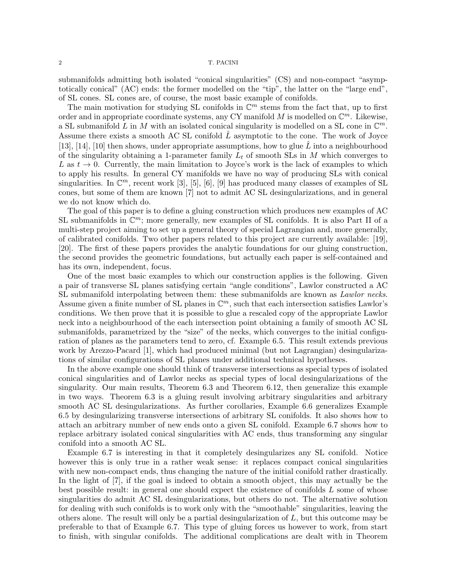submanifolds admitting both isolated "conical singularities" (CS) and non-compact "asymptotically conical" (AC) ends: the former modelled on the "tip", the latter on the "large end", of SL cones. SL cones are, of course, the most basic example of conifolds.

The main motivation for studying SL conifolds in  $\mathbb{C}^m$  stems from the fact that, up to first order and in appropriate coordinate systems, any CY manifold M is modelled on  $\mathbb{C}^m$ . Likewise, a SL submanifold L in M with an isolated conical singularity is modelled on a SL cone in  $\mathbb{C}^m$ . Assume there exists a smooth AC SL conifold  $L$  asymptotic to the cone. The work of Joyce [13], [14], [10] then shows, under appropriate assumptions, how to glue  $\hat{L}$  into a neighbourhood of the singularity obtaining a 1-parameter family  $L_t$  of smooth SLs in M which converges to L as  $t \to 0$ . Currently, the main limitation to Joyce's work is the lack of examples to which to apply his results. In general CY manifolds we have no way of producing SLs with conical singularities. In  $\mathbb{C}^m$ , recent work [3], [5], [6], [9] has produced many classes of examples of SL cones, but some of them are known [7] not to admit AC SL desingularizations, and in general we do not know which do.

The goal of this paper is to define a gluing construction which produces new examples of AC SL submanifolds in  $\mathbb{C}^m$ ; more generally, new examples of SL conifolds. It is also Part II of a multi-step project aiming to set up a general theory of special Lagrangian and, more generally, of calibrated conifolds. Two other papers related to this project are currently available: [19], [20]. The first of these papers provides the analytic foundations for our gluing construction, the second provides the geometric foundations, but actually each paper is self-contained and has its own, independent, focus.

One of the most basic examples to which our construction applies is the following. Given a pair of transverse SL planes satisfying certain "angle conditions", Lawlor constructed a AC SL submanifold interpolating between them: these submanifolds are known as Lawlor necks. Assume given a finite number of SL planes in  $\mathbb{C}^m$ , such that each intersection satisfies Lawlor's conditions. We then prove that it is possible to glue a rescaled copy of the appropriate Lawlor neck into a neighbourhood of the each intersection point obtaining a family of smooth AC SL submanifolds, parametrized by the "size" of the necks, which converges to the initial configuration of planes as the parameters tend to zero, cf. Example 6.5. This result extends previous work by Arezzo-Pacard [1], which had produced minimal (but not Lagrangian) desingularizations of similar configurations of SL planes under additional technical hypotheses.

In the above example one should think of transverse intersections as special types of isolated conical singularities and of Lawlor necks as special types of local desingularizations of the singularity. Our main results, Theorem 6.3 and Theorem 6.12, then generalize this example in two ways. Theorem 6.3 is a gluing result involving arbitrary singularities and arbitrary smooth AC SL desingularizations. As further corollaries, Example 6.6 generalizes Example 6.5 by desingularizing transverse intersections of arbitrary SL conifolds. It also shows how to attach an arbitrary number of new ends onto a given SL conifold. Example 6.7 shows how to replace arbitrary isolated conical singularities with AC ends, thus transforming any singular conifold into a smooth AC SL.

Example 6.7 is interesting in that it completely desingularizes any SL conifold. Notice however this is only true in a rather weak sense: it replaces compact conical singularities with new non-compact ends, thus changing the nature of the initial conifold rather drastically. In the light of [7], if the goal is indeed to obtain a smooth object, this may actually be the best possible result: in general one should expect the existence of conifolds L some of whose singularities do admit AC SL desingularizations, but others do not. The alternative solution for dealing with such conifolds is to work only with the "smoothable" singularities, leaving the others alone. The result will only be a partial desingularization of L, but this outcome may be preferable to that of Example 6.7. This type of gluing forces us however to work, from start to finish, with singular conifolds. The additional complications are dealt with in Theorem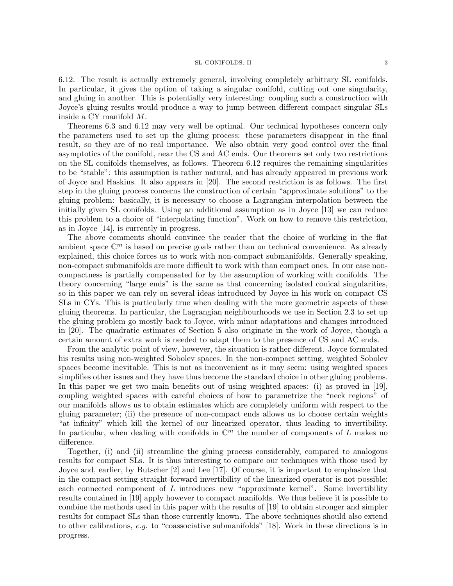#### SL CONIFOLDS, II 3

6.12. The result is actually extremely general, involving completely arbitrary SL conifolds. In particular, it gives the option of taking a singular conifold, cutting out one singularity, and gluing in another. This is potentially very interesting: coupling such a construction with Joyce's gluing results would produce a way to jump between different compact singular SLs inside a CY manifold M.

Theorems 6.3 and 6.12 may very well be optimal. Our technical hypotheses concern only the parameters used to set up the gluing process: these parameters disappear in the final result, so they are of no real importance. We also obtain very good control over the final asymptotics of the conifold, near the CS and AC ends. Our theorems set only two restrictions on the SL conifolds themselves, as follows. Theorem 6.12 requires the remaining singularities to be "stable": this assumption is rather natural, and has already appeared in previous work of Joyce and Haskins. It also appears in [20]. The second restriction is as follows. The first step in the gluing process concerns the construction of certain "approximate solutions" to the gluing problem: basically, it is necessary to choose a Lagrangian interpolation between the initially given SL conifolds. Using an additional assumption as in Joyce [13] we can reduce this problem to a choice of "interpolating function". Work on how to remove this restriction, as in Joyce [14], is currently in progress.

The above comments should convince the reader that the choice of working in the flat ambient space  $\mathbb{C}^m$  is based on precise goals rather than on technical convenience. As already explained, this choice forces us to work with non-compact submanifolds. Generally speaking, non-compact submanifolds are more difficult to work with than compact ones. In our case noncompactness is partially compensated for by the assumption of working with conifolds. The theory concerning "large ends" is the same as that concerning isolated conical singularities, so in this paper we can rely on several ideas introduced by Joyce in his work on compact CS SLs in CYs. This is particularly true when dealing with the more geometric aspects of these gluing theorems. In particular, the Lagrangian neighbourhoods we use in Section 2.3 to set up the gluing problem go mostly back to Joyce, with minor adaptations and changes introduced in [20]. The quadratic estimates of Section 5 also originate in the work of Joyce, though a certain amount of extra work is needed to adapt them to the presence of CS and AC ends.

From the analytic point of view, however, the situation is rather different. Joyce formulated his results using non-weighted Sobolev spaces. In the non-compact setting, weighted Sobolev spaces become inevitable. This is not as inconvenient as it may seem: using weighted spaces simplifies other issues and they have thus become the standard choice in other gluing problems. In this paper we get two main benefits out of using weighted spaces: (i) as proved in [19], coupling weighted spaces with careful choices of how to parametrize the "neck regions" of our manifolds allows us to obtain estimates which are completely uniform with respect to the gluing parameter; (ii) the presence of non-compact ends allows us to choose certain weights "at infinity" which kill the kernel of our linearized operator, thus leading to invertibility. In particular, when dealing with conifolds in  $\mathbb{C}^m$  the number of components of L makes no difference.

Together, (i) and (ii) streamline the gluing process considerably, compared to analogous results for compact SLs. It is thus interesting to compare our techniques with those used by Joyce and, earlier, by Butscher [2] and Lee [17]. Of course, it is important to emphasize that in the compact setting straight-forward invertibility of the linearized operator is not possible: each connected component of  $L$  introduces new "approximate kernel". Some invertibility results contained in [19] apply however to compact manifolds. We thus believe it is possible to combine the methods used in this paper with the results of [19] to obtain stronger and simpler results for compact SLs than those currently known. The above techniques should also extend to other calibrations, e.g. to "coassociative submanifolds" [18]. Work in these directions is in progress.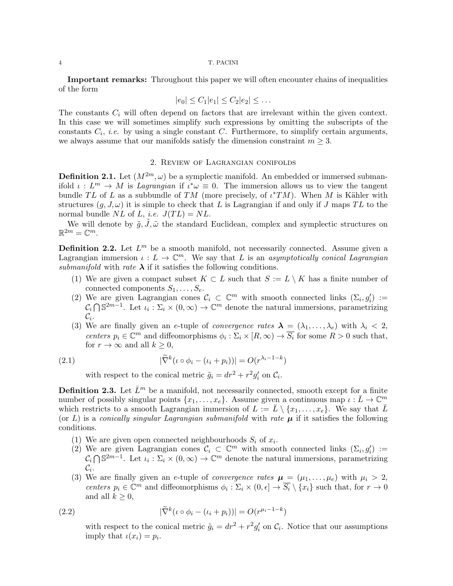Important remarks: Throughout this paper we will often encounter chains of inequalities of the form

$$
|e_0| \le C_1 |e_1| \le C_2 |e_2| \le \dots
$$

The constants  $C_i$  will often depend on factors that are irrelevant within the given context. In this case we will sometimes simplify such expressions by omitting the subscripts of the constants  $C_i$ , *i.e.* by using a single constant  $C$ . Furthermore, to simplify certain arguments, we always assume that our manifolds satisfy the dimension constraint  $m \geq 3$ .

## 2. Review of Lagrangian conifolds

**Definition 2.1.** Let  $(M^{2m}, \omega)$  be a symplectic manifold. An embedded or immersed submanifold  $\iota: L^m \to M$  is Lagrangian if  $\iota^* \omega \equiv 0$ . The immersion allows us to view the tangent bundle TL of L as a subbundle of TM (more precisely, of  $\iota^*TM$ ). When M is Kähler with structures  $(g, J, \omega)$  it is simple to check that L is Lagrangian if and only if J maps TL to the normal bundle NL of L, *i.e.*  $J(TL) = NL$ .

We will denote by  $\tilde{g}, \tilde{J}, \tilde{\omega}$  the standard Euclidean, complex and symplectic structures on  $\mathbb{R}^{2m}=\mathbb{C}^m.$ 

**Definition 2.2.** Let  $L^m$  be a smooth manifold, not necessarily connected. Assume given a Lagrangian immersion  $\iota: L \to \mathbb{C}^m$ . We say that L is an asymptotically conical Lagrangian submanifold with rate  $\lambda$  if it satisfies the following conditions.

- (1) We are given a compact subset  $K \subset L$  such that  $S := L \setminus K$  has a finite number of connected components  $S_1, \ldots, S_e$ .
- (2) We are given Lagrangian cones  $C_i \subset \mathbb{C}^m$  with smooth connected links  $(\Sigma_i, g'_i) :=$  $C_i \bigcap \mathbb{S}^{2m-1}$ . Let  $\iota_i : \Sigma_i \times (0, \infty) \to \mathbb{C}^m$  denote the natural immersions, parametrizing  $\mathcal{C}_i.$
- (3) We are finally given an e-tuple of *convergence rates*  $\lambda = (\lambda_1, \ldots, \lambda_e)$  with  $\lambda_i < 2$ , centers  $p_i \in \mathbb{C}^m$  and diffeomorphisms  $\phi_i : \Sigma_i \times [R, \infty) \to \overline{S_i}$  for some  $R > 0$  such that, for  $r \to \infty$  and all  $k \geq 0$ ,

(2.1) 
$$
|\widetilde{\nabla}^k(\iota \circ \phi_i - (\iota_i + p_i))| = O(r^{\lambda_i - 1 - k})
$$

with respect to the conical metric  $\tilde{g}_i = dr^2 + r^2 g'_i$  on  $\mathcal{C}_i$ .

**Definition 2.3.** Let  $\bar{L}^m$  be a manifold, not necessarily connected, smooth except for a finite number of possibly singular points  $\{x_1, \ldots, x_e\}$ . Assume given a continuous map  $\iota : \overline{L} \to \mathbb{C}^m$ which restricts to a smooth Lagrangian immersion of  $L := \bar{L} \setminus \{x_1, \ldots, x_e\}$ . We say that  $\bar{L}$ (or L) is a conically singular Lagrangian submanifold with rate  $\mu$  if it satisfies the following conditions.

- (1) We are given open connected neighbourhoods  $S_i$  of  $x_i$ .
- (2) We are given Lagrangian cones  $\mathcal{C}_i \subset \mathbb{C}^m$  with smooth connected links  $(\Sigma_i, g'_i) :=$  $C_i \bigcap \mathbb{S}^{2m-1}$ . Let  $\iota_i : \Sigma_i \times (0, \infty) \to \mathbb{C}^m$  denote the natural immersions, parametrizing  $\mathcal{C}_i$ .
- (3) We are finally given an e-tuple of *convergence rates*  $\mu = (\mu_1, \dots, \mu_e)$  with  $\mu_i > 2$ , centers  $p_i \in \mathbb{C}^m$  and diffeomorphisms  $\phi_i : \Sigma_i \times (0, \epsilon] \to \overline{S_i} \setminus \{x_i\}$  such that, for  $r \to 0$ and all  $k \geq 0$ ,

(2.2) 
$$
|\widetilde{\nabla}^k(\iota \circ \phi_i - (\iota_i + p_i))| = O(r^{\mu_i - 1 - k})
$$

with respect to the conical metric  $\tilde{g}_i = dr^2 + r^2 g'_i$  on  $\mathcal{C}_i$ . Notice that our assumptions imply that  $\iota(x_i) = p_i$ .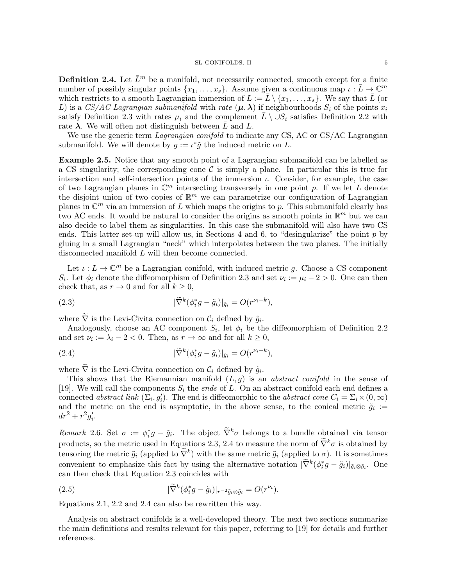**Definition 2.4.** Let  $\bar{L}^m$  be a manifold, not necessarily connected, smooth except for a finite number of possibly singular points  $\{x_1, \ldots, x_s\}$ . Assume given a continuous map  $\iota : \overline{L} \to \mathbb{C}^m$ which restricts to a smooth Lagrangian immersion of  $L := \bar{L} \setminus \{x_1, \ldots, x_s\}$ . We say that  $\bar{L}$  (or L) is a CS/AC Lagrangian submanifold with rate  $(\mu, \lambda)$  if neighbourhoods  $S_i$  of the points  $x_i$ satisfy Definition 2.3 with rates  $\mu_i$  and the complement  $L \setminus \cup S_i$  satisfies Definition 2.2 with rate  $\lambda$ . We will often not distinguish between  $\overline{L}$  and  $L$ .

We use the generic term *Lagrangian conifold* to indicate any CS, AC or CS/AC Lagrangian submanifold. We will denote by  $g := \iota^* \tilde{g}$  the induced metric on L.

Example 2.5. Notice that any smooth point of a Lagrangian submanifold can be labelled as a CS singularity; the corresponding cone  $\mathcal C$  is simply a plane. In particular this is true for intersection and self-intersection points of the immersion  $\iota$ . Consider, for example, the case of two Lagrangian planes in  $\mathbb{C}^m$  intersecting transversely in one point p. If we let L denote the disjoint union of two copies of  $\mathbb{R}^m$  we can parametrize our configuration of Lagrangian planes in  $\mathbb{C}^m$  via an immersion of L which maps the origins to p. This submanifold clearly has two AC ends. It would be natural to consider the origins as smooth points in  $\mathbb{R}^m$  but we can also decide to label them as singularities. In this case the submanifold will also have two CS ends. This latter set-up will allow us, in Sections 4 and 6, to "desingularize" the point  $p$  by gluing in a small Lagrangian "neck" which interpolates between the two planes. The initially disconnected manifold L will then become connected.

Let  $\iota: L \to \mathbb{C}^m$  be a Lagrangian conifold, with induced metric g. Choose a CS component  $S_i$ . Let  $\phi_i$  denote the diffeomorphism of Definition 2.3 and set  $\nu_i := \mu_i - 2 > 0$ . One can then check that, as  $r \to 0$  and for all  $k \geq 0$ ,

(2.3) 
$$
|\widetilde{\nabla}^k(\phi_i^*g - \tilde{g}_i)|_{\tilde{g}_i} = O(r^{\nu_i - k}),
$$

where  $\nabla$  is the Levi-Civita connection on  $\mathcal{C}_i$  defined by  $\tilde{g}_i$ .

Analogously, choose an AC component  $S_i$ , let  $\phi_i$  be the diffeomorphism of Definition 2.2 and set  $\nu_i := \lambda_i - 2 < 0$ . Then, as  $r \to \infty$  and for all  $k \geq 0$ ,

(2.4) 
$$
|\widetilde{\nabla}^k(\phi_i^*g - \tilde{g}_i)|_{\tilde{g}_i} = O(r^{\nu_i - k}),
$$

where  $\nabla$  is the Levi-Civita connection on  $\mathcal{C}_i$  defined by  $\tilde{g}_i$ .

This shows that the Riemannian manifold  $(L, q)$  is an *abstract conifold* in the sense of [19]. We will call the components  $S_i$  the *ends* of L. On an abstract conifold each end defines a connected abstract link  $(\Sigma_i, g'_i)$ . The end is diffeomorphic to the abstract cone  $C_i = \Sigma_i \times (0, \infty)$ and the metric on the end is asymptotic, in the above sense, to the conical metric  $\tilde{g}_i$  :=  $dr^{2} + r^{2}g'_{i}.$ 

Remark 2.6. Set  $\sigma := \phi_i^* g - \tilde{g}_i$ . The object  $\tilde{\nabla}^k \sigma$  belongs to a bundle obtained via tensor products, so the metric used in Equations 2.3, 2.4 to measure the norm of  $\tilde{\nabla}^k \sigma$  is obtained by tensoring the metric  $\tilde{g}_i$  (applied to  $\tilde{\nabla}^k$ ) with the same metric  $\tilde{g}_i$  (applied to  $\sigma$ ). It is sometimes convenient to emphasize this fact by using the alternative notation  $|\widetilde{\nabla}^k(\phi_i^*g - \tilde{g}_i)|_{\tilde{g}_i \otimes \tilde{g}_i}$ . One can then check that Equation 2.3 coincides with

(2.5) 
$$
|\widetilde{\nabla}^k(\phi_i^*g - \tilde{g}_i)|_{r^{-2}\tilde{g}_i \otimes \tilde{g}_i} = O(r^{\nu_i}).
$$

Equations 2.1, 2.2 and 2.4 can also be rewritten this way.

Analysis on abstract conifolds is a well-developed theory. The next two sections summarize the main definitions and results relevant for this paper, referring to [19] for details and further references.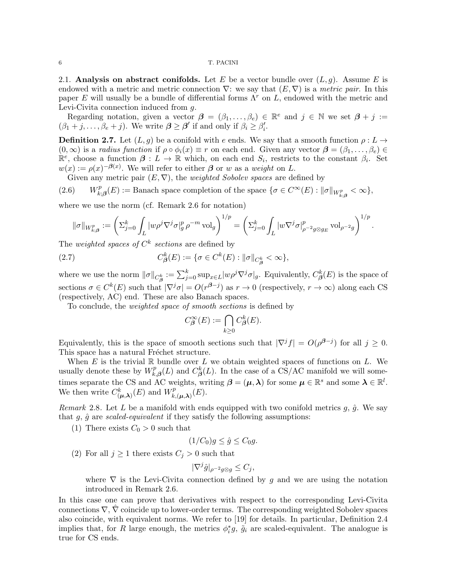2.1. Analysis on abstract conifolds. Let E be a vector bundle over  $(L, g)$ . Assume E is endowed with a metric and metric connection  $\nabla$ : we say that  $(E, \nabla)$  is a metric pair. In this paper E will usually be a bundle of differential forms  $\Lambda^r$  on L, endowed with the metric and Levi-Civita connection induced from g.

Regarding notation, given a vector  $\boldsymbol{\beta} = (\beta_1, \ldots, \beta_e) \in \mathbb{R}^e$  and  $j \in \mathbb{N}$  we set  $\boldsymbol{\beta} + j :=$  $(\beta_1 + j, \ldots, \beta_e + j)$ . We write  $\beta \ge \beta'$  if and only if  $\beta_i \ge \beta'_i$ .

**Definition 2.7.** Let  $(L, g)$  be a conifold with e ends. We say that a smooth function  $\rho: L \to$  $(0, \infty)$  is a radius function if  $\rho \circ \phi_i(x) \equiv r$  on each end. Given any vector  $\boldsymbol{\beta} = (\beta_1, \ldots, \beta_e) \in$  $\mathbb{R}^e$ , choose a function  $\beta: L \to \mathbb{R}$  which, on each end  $S_i$ , restricts to the constant  $\beta_i$ . Set  $w(x) := \rho(x)^{-\beta(x)}$ . We will refer to either  $\beta$  or w as a weight on L.

Given any metric pair  $(E, \nabla)$ , the *weighted Sobolev spaces* are defined by

(2.6) 
$$
W_{k;\beta}^p(E) :=
$$
 Banach space completion of the space  $\{\sigma \in C^{\infty}(E) : ||\sigma||_{W_{k;\beta}^p} < \infty\},\$ 

where we use the norm (cf. Remark 2.6 for notation)

$$
\|\sigma\|_{W^p_{k;\boldsymbol{\beta}}}:=\left(\Sigma_{j=0}^k\int_L |w\rho^j\nabla^j\sigma|_g^p\,\rho^{-m}\,\mathrm{vol}_g\right)^{1/p}=\left(\Sigma_{j=0}^k\int_L |w\nabla^j\sigma|_{\rho^{-2}g\otimes g_E}^p\,\mathrm{vol}_{\rho^{-2}g}\right)^{1/p}.
$$

The *weighted spaces of*  $C^k$  *sections* are defined by

(2.7) 
$$
C_{\beta}^{k}(E) := \{ \sigma \in C^{k}(E) : ||\sigma||_{C_{\beta}^{k}} < \infty \},
$$

where we use the norm  $\|\sigma\|_{C^k_{\beta}} := \sum_{j=0}^k \sup_{x \in L} |w\rho^j \nabla^j \sigma|_g$ . Equivalently,  $C^k_{\beta}(E)$  is the space of sections  $\sigma \in C^k(E)$  such that  $|\nabla^j \sigma| = O(r^{\beta-j})$  as  $r \to 0$  (respectively,  $r \to \infty$ ) along each CS (respectively, AC) end. These are also Banach spaces.

To conclude, the weighted space of smooth sections is defined by

$$
C^{\infty}_{\beta}(E) := \bigcap_{k \ge 0} C^{k}_{\beta}(E).
$$

Equivalently, this is the space of smooth sections such that  $|\nabla^j f| = O(\rho^{\beta-j})$  for all  $j \geq 0$ . This space has a natural Fréchet structure.

When E is the trivial  $\mathbb R$  bundle over L we obtain weighted spaces of functions on L. We usually denote these by  $W_k^p$  $\int_{k,\beta}^p(L)$  and  $C_{\beta}^k(L)$ . In the case of a CS/AC manifold we will sometimes separate the CS and AC weights, writing  $\boldsymbol{\beta} = (\boldsymbol{\mu}, \boldsymbol{\lambda})$  for some  $\boldsymbol{\mu} \in \mathbb{R}^s$  and some  $\boldsymbol{\lambda} \in \mathbb{R}^l$ . We then write  $C_{(\mu,\lambda)}^k(E)$  and  $W_{k}^p$  $E^p_{k,(\boldsymbol{\mu},\boldsymbol{\lambda})}(E).$ 

Remark 2.8. Let L be a manifold with ends equipped with two conifold metrics  $q$ ,  $\hat{q}$ . We say that  $g, \hat{g}$  are scaled-equivalent if they satisfy the following assumptions:

(1) There exists  $C_0 > 0$  such that

$$
(1/C_0)g \le \hat{g} \le C_0g.
$$

(2) For all  $j \ge 1$  there exists  $C_j > 0$  such that

$$
|\nabla^j \hat{g}|_{\rho^{-2}g\otimes g} \le C_j,
$$

where  $\nabla$  is the Levi-Civita connection defined by g and we are using the notation introduced in Remark 2.6.

In this case one can prove that derivatives with respect to the corresponding Levi-Civita connections  $\nabla, \nabla$  coincide up to lower-order terms. The corresponding weighted Sobolev spaces also coincide, with equivalent norms. We refer to [19] for details. In particular, Definition 2.4 implies that, for R large enough, the metrics  $\phi_i^* g$ ,  $\tilde{g}_i$  are scaled-equivalent. The analogue is true for CS ends.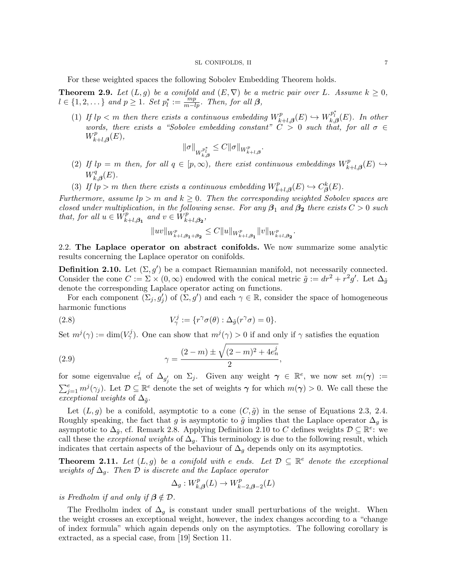For these weighted spaces the following Sobolev Embedding Theorem holds.

**Theorem 2.9.** Let  $(L, g)$  be a conifold and  $(E, \nabla)$  be a metric pair over L. Assume  $k \geq 0$ ,  $l \in \{1, 2, \dots\}$  and  $p \geq 1$ . Set  $p_l^* := \frac{mp}{m-lp}$ . Then, for all  $\beta$ ,

(1) If  $lp < m$  then there exists a continuous embedding  $W_{\mu}^{p}$ .  $W_{k+l,\boldsymbol{\beta}}^{p}(E) \hookrightarrow W_{k,\boldsymbol{\beta}}^{p_{l}^{*}}(E)$ . In other words, there exists a "Sobolev embedding constant"  $C > 0$  such that, for all  $\sigma \in$  $W_k^p$  $E_{k+l,\boldsymbol{\beta}}^{p}(E),$ 

$$
\|\sigma\|_{W^{p^*_l}_{k,\boldsymbol{\beta}}}\leq C\|\sigma\|_{W^p_{k+l,\boldsymbol{\beta}}}.
$$

- (2) If  $lp = m$  then, for all  $q \in [p, \infty)$ , there exist continuous embeddings  $W_k^p$ .  $\iota_{k+l, \boldsymbol{\beta}}^{p}(E) \hookrightarrow$  $W_k^q$  $f_{k,\boldsymbol{\beta}}^{q}(E).$
- (3) If  $\mu$   $\mu$  > m then there exists a continuous embedding  $W_{\mu}^{p}$ .  $C_{\beta}^{p}(E) \hookrightarrow C_{\beta}^{k}(E).$

Furthermore, assume  $lp > m$  and  $k \geq 0$ . Then the corresponding weighted Sobolev spaces are closed under multiplication, in the following sense. For any  $\beta_1$  and  $\beta_2$  there exists  $C > 0$  such that, for all  $u \in W_F^p$  $\sum_{k+l,\beta_1}^{p}$  and  $v \in W_k^p$  $_{k+l,\boldsymbol{\beta_{2}}}^{p},$ 

$$
||uv||_{W^p_{k+l,\beta_1+\beta_2}} \leq C||u||_{W^p_{k+l,\beta_1}}||v||_{W^p_{k+l,\beta_2}}.
$$

2.2. The Laplace operator on abstract conifolds. We now summarize some analytic results concerning the Laplace operator on conifolds.

**Definition 2.10.** Let  $(\Sigma, g')$  be a compact Riemannian manifold, not necessarily connected. Consider the cone  $C := \Sigma \times (0, \infty)$  endowed with the conical metric  $\tilde{g} := dr^2 + r^2 g'$ . Let  $\Delta_{\tilde{g}}$ denote the corresponding Laplace operator acting on functions.

For each component  $(\Sigma_j, g'_j)$  of  $(\Sigma, g')$  and each  $\gamma \in \mathbb{R}$ , consider the space of homogeneous harmonic functions

(2.8) 
$$
V^j_\gamma := \{r^\gamma \sigma(\theta) : \Delta_{\tilde{g}}(r^\gamma \sigma) = 0\}.
$$

Set  $m^{j}(\gamma) := \dim(V_{\gamma}^{j})$ . One can show that  $m^{j}(\gamma) > 0$  if and only if  $\gamma$  satisfies the equation

(2.9) 
$$
\gamma = \frac{(2-m) \pm \sqrt{(2-m)^2 + 4e_n^j}}{2},
$$

for some eigenvalue  $e_n^j$  of  $\Delta_{g'_j}$  on  $\Sigma_j$ . Given any weight  $\gamma \in \mathbb{R}^e$ , we now set  $m(\gamma) :=$  $\sum_{j=1}^e m^j(\gamma_j)$ . Let  $\mathcal{D} \subseteq \mathbb{R}^e$  denote the set of weights  $\gamma$  for which  $m(\gamma) > 0$ . We call these the exceptional weights of  $\Delta_{\tilde{q}}$ .

Let  $(L, g)$  be a conifold, asymptotic to a cone  $(C, \tilde{g})$  in the sense of Equations 2.3, 2.4. Roughly speaking, the fact that g is asymptotic to  $\tilde{g}$  implies that the Laplace operator  $\Delta_g$  is asymptotic to  $\Delta_{\tilde{g}}$ , cf. Remark 2.8. Applying Definition 2.10 to C defines weights  $\mathcal{D} \subseteq \mathbb{R}^e$ : we call these the *exceptional weights* of  $\Delta_q$ . This terminology is due to the following result, which indicates that certain aspects of the behaviour of  $\Delta_g$  depends only on its asymptotics.

**Theorem 2.11.** Let  $(L, g)$  be a conifold with e ends. Let  $D \subseteq \mathbb{R}^e$  denote the exceptional weights of  $\Delta_q$ . Then  $\mathcal D$  is discrete and the Laplace operator

$$
\Delta_g: W^p_{k,\beta}(L) \to W^p_{k-2,\beta-2}(L)
$$

is Fredholm if and only if  $\beta \notin \mathcal{D}$ .

The Fredholm index of  $\Delta_q$  is constant under small perturbations of the weight. When the weight crosses an exceptional weight, however, the index changes according to a "change of index formula" which again depends only on the asymptotics. The following corollary is extracted, as a special case, from [19] Section 11.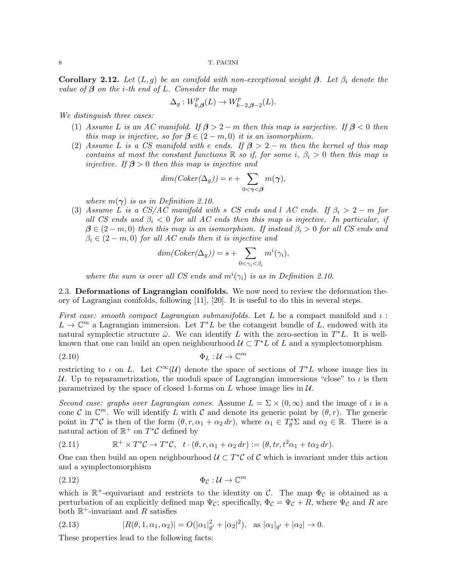**Corollary 2.12.** Let  $(L, g)$  be an conifold with non-exceptional weight  $\beta$ . Let  $\beta_i$  denote the value of  $\beta$  on the *i*-th end of L. Consider the map

$$
\Delta_g: W_{k,\beta}^p(L) \to W_{k-2,\beta-2}^p(L).
$$

We distinguish three cases:

- (1) Assume L is an AC manifold. If  $\beta > 2 m$  then this map is surjective. If  $\beta < 0$  then this map is injective, so for  $\beta \in (2-m,0)$  it is an isomorphism.
- (2) Assume L is a CS manifold with e ends. If  $\beta > 2 m$  then the kernel of this map contains at most the constant functions  $\mathbb R$  so if, for some i,  $\beta_i > 0$  then this map is injective. If  $\beta > 0$  then this map is injective and

$$
dim(Coker(\Delta_g)) = e + \sum_{0 < \gamma < \beta} m(\gamma),
$$

where  $m(\gamma)$  is as in Definition 2.10.

(3) Assume L is a CS/AC manifold with s CS ends and l AC ends. If  $\beta_i > 2 - m$  for all CS ends and  $\beta_i$  < 0 for all AC ends then this map is injective. In particular, if  $\beta \in (2-m,0)$  then this map is an isomorphism. If instead  $\beta_i > 0$  for all CS ends and  $\beta_i \in (2-m,0)$  for all AC ends then it is injective and

$$
dim(Coker(\Delta_g)) = s + \sum_{0 < \gamma_i < \beta_i} m^i(\gamma_i),
$$

where the sum is over all CS ends and  $m^{i}(\gamma_{i})$  is as in Definition 2.10.

2.3. Deformations of Lagrangian conifolds. We now need to review the deformation theory of Lagrangian conifolds, following [11], [20]. It is useful to do this in several steps.

First case: smooth compact Lagrangian submanifolds. Let L be a compact manifold and  $\iota$ :  $L \to \mathbb{C}^m$  a Lagrangian immersion. Let  $T^*L$  be the cotangent bundle of L, endowed with its natural symplectic structure  $\hat{\omega}$ . We can identify L with the zero-section in  $T^*L$ . It is wellknown that one can build an open neighbourhood  $\mathcal{U} \subset T^*L$  of L and a symplectomorphism

$$
\Phi_L: \mathcal{U} \to \mathbb{C}^m
$$

restricting to  $\iota$  on L. Let  $C^{\infty}(\mathcal{U})$  denote the space of sections of  $T^*L$  whose image lies in U. Up to reparametrization, the moduli space of Lagrangian immersions "close" to  $\iota$  is then parametrized by the space of closed 1-forms on L whose image lies in  $\mathcal{U}$ .

Second case: graphs over Lagrangian cones. Assume  $L = \Sigma \times (0, \infty)$  and the image of  $\iota$  is a cone C in  $\mathbb{C}^m$ . We will identify L with C and denote its generic point by  $(\theta, r)$ . The generic point in  $T^*\mathcal{C}$  is then of the form  $(\theta, r, \alpha_1 + \alpha_2 dr)$ , where  $\alpha_1 \in T^*_\theta \Sigma$  and  $\alpha_2 \in \mathbb{R}$ . There is a natural action of  $\mathbb{R}^+$  on  $T^*\mathcal{C}$  defined by

(2.11) 
$$
\mathbb{R}^+ \times T^*\mathcal{C} \to T^*\mathcal{C}, \quad t \cdot (\theta, r, \alpha_1 + \alpha_2 dr) := (\theta, tr, t^2 \alpha_1 + t \alpha_2 dr).
$$

One can then build an open neighbourhood  $\mathcal{U} \subset T^*\mathcal{C}$  of  $\mathcal{C}$  which is invariant under this action and a symplectomorphism

$$
\Phi_{\mathcal{C}} : \mathcal{U} \to \mathbb{C}^m
$$

which is  $\mathbb{R}^+$ -equivariant and restricts to the identity on C. The map  $\Phi_{\mathcal{C}}$  is obtained as a perturbation of an explicitly defined map  $\Psi_{\mathcal{C}}$ ; specifically,  $\Phi_{\mathcal{C}} = \Psi_{\mathcal{C}} + R$ , where  $\Psi_{\mathcal{C}}$  and R are both  $\mathbb{R}^+$ -invariant and R satisfies

(2.13) 
$$
|R(\theta, 1, \alpha_1, \alpha_2)| = O(|\alpha_1|_{g'}^2 + |\alpha_2|^2), \text{ as } |\alpha_1|_{g'} + |\alpha_2| \to 0.
$$

These properties lead to the following facts: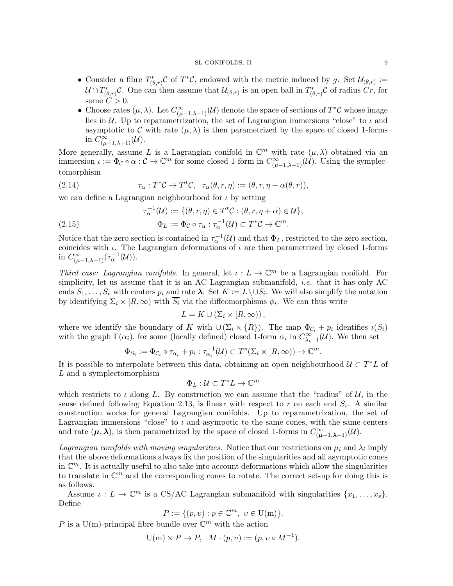#### SL CONIFOLDS, II 9

- Consider a fibre  $T^*_{(\theta,r)}\mathcal{C}$  of  $T^*\mathcal{C}$ , endowed with the metric induced by g. Set  $\mathcal{U}_{(\theta,r)}:=$  $\mathcal{U} \cap T^*_{(\theta,r)}\mathcal{C}$ . One can then assume that  $\mathcal{U}_{(\theta,r)}$  is an open ball in  $T^*_{(\theta,r)}\mathcal{C}$  of radius  $Cr$ , for some  $C > 0$ .
- Choose rates  $(\mu, \lambda)$ . Let  $C^{\infty}_{(\mu-1,\lambda-1)}(\mathcal{U})$  denote the space of sections of  $T^*\mathcal{C}$  whose image lies in  $U$ . Up to reparametrization, the set of Lagrangian immersions "close" to  $\iota$  and asymptotic to C with rate  $(\mu, \lambda)$  is then parametrized by the space of closed 1-forms in  $C^{\infty}_{(\mu-1,\lambda-1)}(\mathcal{U}).$

More generally, assume L is a Lagrangian conifold in  $\mathbb{C}^m$  with rate  $(\mu, \lambda)$  obtained via an immersion  $\iota := \Phi_{\mathcal{C}} \circ \alpha : \mathcal{C} \to \mathbb{C}^m$  for some closed 1-form in  $C^{\infty}_{(\mu-1,\lambda-1)}(\mathcal{U})$ . Using the symplectomorphism

(2.14) 
$$
\tau_{\alpha}: T^*\mathcal{C} \to T^*\mathcal{C}, \quad \tau_{\alpha}(\theta, r, \eta) := (\theta, r, \eta + \alpha(\theta, r)),
$$

we can define a Lagrangian neighbourhood for  $\iota$  by setting

(2.15) 
$$
\tau_{\alpha}^{-1}(\mathcal{U}) := \{(\theta, r, \eta) \in T^*\mathcal{C} : (\theta, r, \eta + \alpha) \in \mathcal{U}\},\
$$

$$
\Phi_L := \Phi_{\mathcal{C}} \circ \tau_{\alpha} : \tau_{\alpha}^{-1}(\mathcal{U}) \subset T^*\mathcal{C} \to \mathbb{C}^m.
$$

Notice that the zero section is contained in  $\tau_{\alpha}^{-1}(\mathcal{U})$  and that  $\Phi_L$ , restricted to the zero section, coincides with  $\iota$ . The Lagrangian deformations of  $\iota$  are then parametrized by closed 1-forms in  $C^{\infty}_{(\mu-1,\lambda-1)}(\tau_{\alpha}^{-1}(\mathcal{U}))$ .

Third case: Lagrangian conifolds. In general, let  $\iota : L \to \mathbb{C}^m$  be a Lagrangian conifold. For simplicity, let us assume that it is an AC Lagrangian submanifold, i.e. that it has only AC ends  $S_1, \ldots, S_e$  with centers  $p_i$  and rate  $\lambda$ . Set  $K := L \setminus \cup S_i$ . We will also simplify the notation by identifying  $\Sigma_i \times [R, \infty)$  with  $S_i$  via the diffeomorphisms  $\phi_i$ . We can thus write

$$
L = K \cup (\Sigma_i \times [R, \infty)),
$$

where we identify the boundary of K with  $\cup (\Sigma_i \times \{R\})$ . The map  $\Phi_{\mathcal{C}_i} + p_i$  identifies  $\iota(S_i)$ with the graph  $\Gamma(\alpha_i)$ , for some (locally defined) closed 1-form  $\alpha_i$  in  $C^{\infty}_{\lambda_i-1}(\mathcal{U})$ . We then set

$$
\Phi_{S_i} := \Phi_{\mathcal{C}_i} \circ \tau_{\alpha_i} + p_i : \tau_{\alpha_i}^{-1}(\mathcal{U}) \subset T^*(\Sigma_i \times [R, \infty)) \to \mathbb{C}^m.
$$

It is possible to interpolate between this data, obtaining an open neighbourhood  $\mathcal{U} \subset T^*L$  of L and a symplectomorphism

$$
\Phi_L:\mathcal{U}\subset T^*L\to\mathbb{C}^m
$$

which restricts to  $\iota$  along L. By construction we can assume that the "radius" of  $\mathcal{U}$ , in the sense defined following Equation 2.13, is linear with respect to r on each end  $S_i$ . A similar construction works for general Lagrangian conifolds. Up to reparametrization, the set of Lagrangian immersions "close" to  $\iota$  and asympotic to the same cones, with the same centers and rate  $(\mu, \lambda)$ , is then parametrized by the space of closed 1-forms in  $C^{\infty}_{(\mu-1,\lambda-1)}(\mathcal{U})$ .

Lagrangian conifolds with moving singularities. Notice that our restrictions on  $\mu_i$  and  $\lambda_i$  imply that the above deformations always fix the position of the singularities and all asymptotic cones in  $\mathbb{C}^m$ . It is actually useful to also take into account deformations which allow the singularities to translate in  $\mathbb{C}^m$  and the corresponding cones to rotate. The correct set-up for doing this is as follows.

Assume  $\iota: L \to \mathbb{C}^m$  is a CS/AC Lagrangian submanifold with singularities  $\{x_1, \ldots, x_s\}$ . Define

$$
P := \{ (p, v) : p \in \mathbb{C}^m, \ v \in U(m) \}.
$$

P is a U(m)-principal fibre bundle over  $\mathbb{C}^m$  with the action

$$
U(m) \times P \to P, \quad M \cdot (p, v) := (p, v \circ M^{-1}).
$$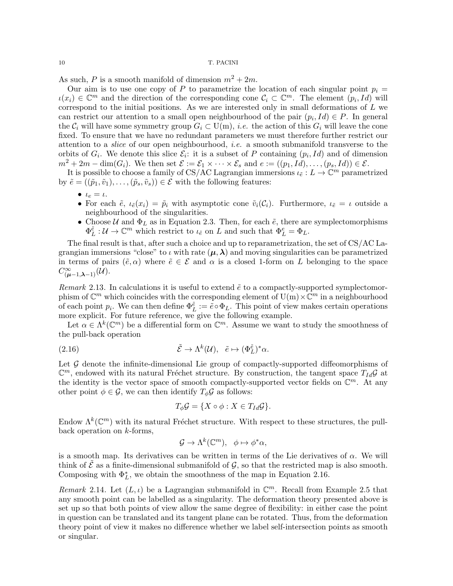As such, P is a smooth manifold of dimension  $m^2 + 2m$ .

Our aim is to use one copy of P to parametrize the location of each singular point  $p_i =$  $u(x_i) \in \mathbb{C}^m$  and the direction of the corresponding cone  $\mathcal{C}_i \subset \mathbb{C}^m$ . The element  $(p_i, Id)$  will correspond to the initial positions. As we are interested only in small deformations of  $L$  we can restrict our attention to a small open neighbourhood of the pair  $(p_i, Id) \in P$ . In general the  $C_i$  will have some symmetry group  $G_i \subset U(m)$ , *i.e.* the action of this  $G_i$  will leave the cone fixed. To ensure that we have no redundant parameters we must therefore further restrict our attention to a slice of our open neighbourhood, i.e. a smooth submanifold transverse to the orbits of  $G_i$ . We denote this slice  $\mathcal{E}_i$ : it is a subset of P containing  $(p_i, Id)$  and of dimension  $m^2 + 2m - \dim(G_i)$ . We then set  $\mathcal{E} := \mathcal{E}_1 \times \cdots \times \mathcal{E}_s$  and  $e := ((p_1, Id), \ldots, (p_s, Id)) \in \mathcal{E}$ .

It is possible to choose a family of CS/AC Lagrangian immersions  $\iota_{\tilde{e}}: L \to \mathbb{C}^m$  parametrized by  $\tilde{e} = ((\tilde{p}_1, \tilde{v}_1), \ldots, (\tilde{p}_s, \tilde{v}_s)) \in \mathcal{E}$  with the following features:

- $\bullet$   $t_e = t$ .
- For each  $\tilde{e}$ ,  $\iota_{\tilde{e}}(x_i) = \tilde{p}_i$  with asymptotic cone  $\tilde{v}_i(\mathcal{C}_i)$ . Furthermore,  $\iota_{\tilde{e}} = \iota$  outside a neighbourhood of the singularities.
- Choose  $U$  and  $\Phi_L$  as in Equation 2.3. Then, for each  $\tilde{e}$ , there are symplectomorphisms  $\Phi_L^{\tilde{e}}: \mathcal{U} \to \mathbb{C}^m$  which restrict to  $\iota_{\tilde{e}}$  on L and such that  $\Phi_L^e = \Phi_L$ .

The final result is that, after such a choice and up to reparametrization, the set of CS/AC Lagrangian immersions "close" to  $\iota$  with rate  $(\mu, \lambda)$  and moving singularities can be parametrized in terms of pairs  $(\tilde{e}, \alpha)$  where  $\tilde{e} \in \mathcal{E}$  and  $\alpha$  is a closed 1-form on L belonging to the space  $C^\infty_{(\boldsymbol{\mu}-1,\boldsymbol{\lambda}-1)}(\tilde{\mathcal{U}}).$ 

Remark 2.13. In calculations it is useful to extend  $\tilde{e}$  to a compactly-supported symplectomorphism of  $\mathbb{C}^m$  which coincides with the corresponding element of  $\mathrm{U(m)} \times \mathbb{C}^m$  in a neighbourhood of each point  $p_i$ . We can then define  $\Phi_L^{\tilde{e}} := \tilde{e} \circ \Phi_L$ . This point of view makes certain operations more explicit. For future reference, we give the following example.

Let  $\alpha \in \Lambda^k(\mathbb{C}^m)$  be a differential form on  $\mathbb{C}^m$ . Assume we want to study the smoothness of the pull-back operation

(2.16) 
$$
\tilde{\mathcal{E}} \to \Lambda^k(\mathcal{U}), \quad \tilde{e} \mapsto (\Phi_L^{\tilde{e}})^* \alpha.
$$

Let  $G$  denote the infinite-dimensional Lie group of compactly-supported diffeomorphisms of  $\mathbb{C}^m$ , endowed with its natural Fréchet structure. By construction, the tangent space  $T_{Id}\mathcal{G}$  at the identity is the vector space of smooth compactly-supported vector fields on  $\mathbb{C}^m$ . At any other point  $\phi \in \mathcal{G}$ , we can then identify  $T_{\phi} \mathcal{G}$  as follows:

$$
T_{\phi}\mathcal{G} = \{ X \circ \phi : X \in T_{Id}\mathcal{G} \}.
$$

Endow  $\Lambda^k(\mathbb{C}^m)$  with its natural Fréchet structure. With respect to these structures, the pullback operation on  $k$ -forms,

$$
\mathcal{G} \to \Lambda^k(\mathbb{C}^m), \ \ \phi \mapsto \phi^* \alpha,
$$

is a smooth map. Its derivatives can be written in terms of the Lie derivatives of  $\alpha$ . We will think of  $\mathcal E$  as a finite-dimensional submanifold of  $\mathcal G$ , so that the restricted map is also smooth. Composing with  $\Phi_L^*$ , we obtain the smoothness of the map in Equation 2.16.

Remark 2.14. Let  $(L, \iota)$  be a Lagrangian submanifold in  $\mathbb{C}^m$ . Recall from Example 2.5 that any smooth point can be labelled as a singularity. The deformation theory presented above is set up so that both points of view allow the same degree of flexibility: in either case the point in question can be translated and its tangent plane can be rotated. Thus, from the deformation theory point of view it makes no difference whether we label self-intersection points as smooth or singular.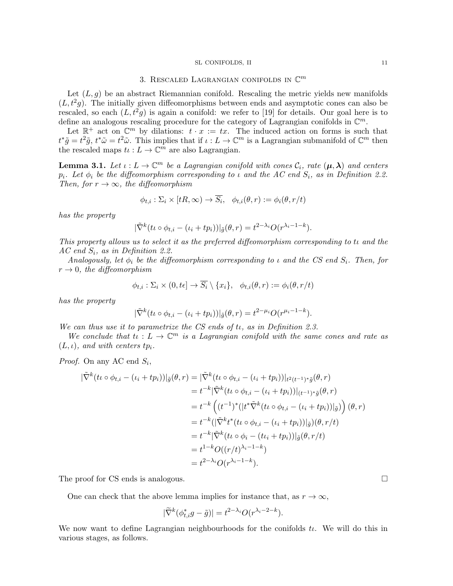#### SL CONIFOLDS, II 11

# 3. RESCALED LAGRANGIAN CONIFOLDS IN  $\mathbb{C}^m$

Let  $(L, g)$  be an abstract Riemannian conifold. Rescaling the metric yields new manifolds  $(L, t<sup>2</sup>g)$ . The initially given diffeomorphisms between ends and asymptotic cones can also be rescaled, so each  $(L, t^2g)$  is again a conifold: we refer to [19] for details. Our goal here is to define an analogous rescaling procedure for the category of Lagrangian conifolds in  $\mathbb{C}^m$ .

Let  $\mathbb{R}^+$  act on  $\mathbb{C}^m$  by dilations:  $t \cdot x := tx$ . The induced action on forms is such that  $t^*\tilde{g}=t^2\tilde{g}, t^*\tilde{\omega}=t^2\tilde{\omega}$ . This implies that if  $\iota: L \to \mathbb{C}^m$  is a Lagrangian submanifold of  $\mathbb{C}^m$  then the rescaled maps  $t \iota : L \to \mathbb{C}^m$  are also Lagrangian.

**Lemma 3.1.** Let  $\iota: L \to \mathbb{C}^m$  be a Lagrangian conifold with cones  $\mathcal{C}_i$ , rate  $(\mu, \lambda)$  and centers  $p_i$ . Let  $\phi_i$  be the diffeomorphism corresponding to  $\iota$  and the AC end  $S_i$ , as in Definition 2.2. Then, for  $r \to \infty$ , the diffeomorphism

$$
\phi_{t,i} : \Sigma_i \times [tR, \infty) \to \overline{S_i}, \quad \phi_{t,i}(\theta, r) := \phi_i(\theta, r/t)
$$

has the property

$$
|\tilde{\nabla}^k(t\iota\circ\phi_{t,i}-(\iota_i+tp_i))|_{\tilde{g}}(\theta,r)=t^{2-\lambda_i}O(r^{\lambda_i-1-k}).
$$

This property allows us to select it as the preferred diffeomorphism corresponding to tι and the  $AC$  end  $S_i$ , as in Definition 2.2.

Analogously, let  $\phi_i$  be the diffeomorphism corresponding to  $\iota$  and the CS end  $S_i$ . Then, for  $r \rightarrow 0$ , the diffeomorphism

$$
\phi_{t,i} : \Sigma_i \times (0, t\epsilon] \to \overline{S_i} \setminus \{x_i\}, \quad \phi_{t,i}(\theta, r) := \phi_i(\theta, r/t)
$$

has the property

$$
|\tilde{\nabla}^{k}(t\iota \circ \phi_{t,i} - (t_i + tp_i))|_{\tilde{g}}(\theta, r) = t^{2-\mu_i} O(r^{\mu_i - 1 - k}).
$$

We can thus use it to parametrize the CS ends of  $t_1$ , as in Definition 2.3.

We conclude that  $t \in L \to \mathbb{C}^m$  is a Lagrangian conifold with the same cones and rate as  $(L, \iota)$ , and with centers tp<sub>i</sub>.

*Proof.* On any AC end  $S_i$ ,

$$
\begin{split}\n|\tilde{\nabla}^{k}(t\omega \phi_{t,i} - (t_{i} + tp_{i}))|_{\tilde{g}}(\theta, r) &= |\tilde{\nabla}^{k}(t\omega \phi_{t,i} - (t_{i} + tp_{i}))|_{t^{2}(t^{-1})^{*}\tilde{g}}(\theta, r) \\
&= t^{-k}|\tilde{\nabla}^{k}(t\omega \phi_{t,i} - (t_{i} + tp_{i}))|_{(t^{-1})^{*}\tilde{g}}(\theta, r) \\
&= t^{-k}\left((t^{-1})^{*}(|t^{*}\tilde{\nabla}^{k}(t\omega \phi_{t,i} - (t_{i} + tp_{i}))|_{\tilde{g}})\right)(\theta, r) \\
&= t^{-k}(|\tilde{\nabla}^{k}t^{*}(t\omega \phi_{t,i} - (t_{i} + tp_{i}))|_{\tilde{g}})(\theta, r/t) \\
&= t^{-k}|\tilde{\nabla}^{k}(t\omega \phi_{i} - (t\omega_{i} + tp_{i}))|_{\tilde{g}}(\theta, r/t) \\
&= t^{1-k}O((r/t)^{\lambda_{i}-1-k}) \\
&= t^{2-\lambda_{i}}O(r^{\lambda_{i}-1-k}).\n\end{split}
$$

The proof for CS ends is analogous.

One can check that the above lemma implies for instance that, as  $r \to \infty$ ,

$$
|\widetilde{\nabla}^k(\phi_{t,i}^*g - \tilde{g})| = t^{2-\lambda_i} O(r^{\lambda_i - 2 - k}).
$$

We now want to define Lagrangian neighbourhoods for the conifolds  $t\iota$ . We will do this in various stages, as follows.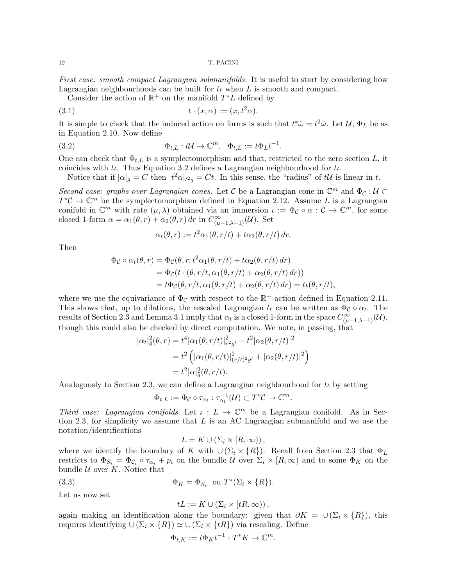First case: smooth compact Lagrangian submanifolds. It is useful to start by considering how Lagrangian neighbourhoods can be built for  $t\iota$  when  $L$  is smooth and compact.

Consider the action of  $\mathbb{R}^+$  on the manifold  $T^*L$  defined by

$$
(3.1) \t\t t \cdot (x, \alpha) := (x, t^2 \alpha).
$$

It is simple to check that the induced action on forms is such that  $t^*\hat{\omega} = t^2\hat{\omega}$ . Let  $\mathcal{U}, \Phi_L$  be as in Equation 2.10. Now define

(3.2) 
$$
\Phi_{t,L}: t\mathcal{U} \to \mathbb{C}^m, \quad \Phi_{t,L} := t\Phi_L t^{-1}.
$$

One can check that  $\Phi_{t,L}$  is a symplectomorphism and that, restricted to the zero section L, it coincides with  $t\iota$ . Thus Equation 3.2 defines a Lagrangian neighbourhood for  $t\iota$ .

Notice that if  $|\alpha|_g = C$  then  $|t^2 \alpha|_{t^2 g} = Ct$ . In this sense, the "radius" of tU is linear in t.

Second case: graphs over Lagrangian cones. Let C be a Lagrangian cone in  $\mathbb{C}^m$  and  $\Phi_{\mathcal{C}}: \mathcal{U} \subset$  $T^{\ast} \mathcal{C} \to \mathbb{C}^m$  be the symplectomorphism defined in Equation 2.12. Assume L is a Lagrangian conifold in  $\mathbb{C}^m$  with rate  $(\mu, \lambda)$  obtained via an immersion  $\iota := \Phi_{\mathcal{C}} \circ \alpha : \mathcal{C} \to \mathbb{C}^m$ , for some closed 1-form  $\alpha = \alpha_1(\theta, r) + \alpha_2(\theta, r) dr$  in  $C^{\infty}_{(\mu-1,\lambda-1)}(\mathcal{U})$ . Set

$$
\alpha_t(\theta, r) := t^2 \alpha_1(\theta, r/t) + t \alpha_2(\theta, r/t) dr.
$$

Then

$$
\Phi_{\mathcal{C}} \circ \alpha_t(\theta, r) = \Phi_{\mathcal{C}}(\theta, r, t^2 \alpha_1(\theta, r/t) + t \alpha_2(\theta, r/t) dr)
$$
  
= 
$$
\Phi_{\mathcal{C}}(t \cdot (\theta, r/t, \alpha_1(\theta, r/t) + \alpha_2(\theta, r/t) dr))
$$
  
= 
$$
t \Phi_{\mathcal{C}}(\theta, r/t, \alpha_1(\theta, r/t) + \alpha_2(\theta, r/t) dr) = t \iota(\theta, r/t),
$$

where we use the equivariance of  $\Phi_{\mathcal{C}}$  with respect to the  $\mathbb{R}^+$ -action defined in Equation 2.11. This shows that, up to dilations, the rescaled Lagrangian  $t\iota$  can be written as  $\Phi_c \circ \alpha_t$ . The results of Section 2.3 and Lemma 3.1 imply that  $\alpha_t$  is a closed 1-form in the space  $C^{\infty}_{(\mu-1,\lambda-1)}(\mathcal{U}),$ though this could also be checked by direct computation. We note, in passing, that

$$
|\alpha_t|_{\tilde{g}}^2(\theta, r) = t^4 |\alpha_1(\theta, r/t)|_{r^2g'}^2 + t^2 |\alpha_2(\theta, r/t)|^2
$$
  
=  $t^2 \left( |\alpha_1(\theta, r/t)|_{(r/t)^2g'}^2 + |\alpha_2(\theta, r/t)|^2 \right)$   
=  $t^2 |\alpha|_{\tilde{g}}^2(\theta, r/t).$ 

Analogously to Section 2.3, we can define a Lagrangian neighbourhood for  $t\iota$  by setting

$$
\Phi_{t,L} := \Phi_{\mathcal{C}} \circ \tau_{\alpha_t} : \tau_{\alpha_t}^{-1}(\mathcal{U}) \subset T^*\mathcal{C} \to \mathbb{C}^m.
$$

Third case: Lagrangian conifolds. Let  $\iota : L \to \mathbb{C}^m$  be a Lagrangian conifold. As in Section 2.3, for simplicity we assume that  $L$  is an AC Lagrangian submanifold and we use the notation/identifications

$$
L = K \cup (\Sigma_i \times [R, \infty)),
$$

where we identify the boundary of K with  $\cup (\Sigma_i \times \{R\})$ . Recall from Section 2.3 that  $\Phi_L$ restricts to  $\Phi_{S_i} = \Phi_{\mathcal{C}_i} \circ \tau_{\alpha_i} + p_i$  on the bundle  $\mathcal{U}$  over  $\Sigma_i \times [R, \infty)$  and to some  $\Phi_K$  on the bundle  $U$  over  $K$ . Notice that

(3.3) 
$$
\Phi_K = \Phi_{S_i} \text{ on } T^*(\Sigma_i \times \{R\}).
$$

Let us now set

$$
tL := K \cup (\Sigma_i \times [tR, \infty)),
$$

again making an identification along the boundary: given that  $\partial K = \cup (\Sigma_i \times \{R\})$ , this requires identifying ∪ (Σ<sub>i</sub> × {R})  $\simeq$  ∪ (Σ<sub>i</sub> × {tR}) via rescaling. Define

$$
\Phi_{t,K} := t\Phi_K t^{-1} : T^*K \to \mathbb{C}^m.
$$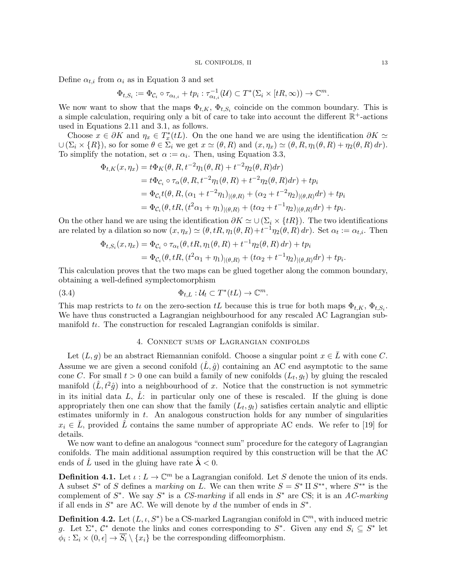Define  $\alpha_{t,i}$  from  $\alpha_i$  as in Equation 3 and set

$$
\Phi_{t,S_i} := \Phi_{\mathcal{C}_i} \circ \tau_{\alpha_{t,i}} + tp_i : \tau_{\alpha_{t,i}}^{-1}(\mathcal{U}) \subset T^*(\Sigma_i \times [tR,\infty)) \to \mathbb{C}^m.
$$

We now want to show that the maps  $\Phi_{t,K}$ ,  $\Phi_{t,S_i}$  coincide on the common boundary. This is a simple calculation, requiring only a bit of care to take into account the different  $\mathbb{R}^+$ -actions used in Equations 2.11 and 3.1, as follows.

Choose  $x \in \partial K$  and  $\eta_x \in T_x^*(tL)$ . On the one hand we are using the identification  $\partial K \simeq$  $\cup (\Sigma_i \times \{R\})$ , so for some  $\theta \in \Sigma_i$  we get  $x \simeq (\theta, R)$  and  $(x, \eta_x) \simeq (\theta, R, \eta_1(\theta, R) + \eta_2(\theta, R) dr)$ . To simplify the notation, set  $\alpha := \alpha_i$ . Then, using Equation 3.3,

$$
\Phi_{t,K}(x, \eta_x) = t \Phi_K(\theta, R, t^{-2} \eta_1(\theta, R) + t^{-2} \eta_2(\theta, R) dr)
$$
  
=  $t \Phi_{C_i} \circ \tau_\alpha(\theta, R, t^{-2} \eta_1(\theta, R) + t^{-2} \eta_2(\theta, R) dr) + t p_i$   
=  $\Phi_{C_i} t(\theta, R, (\alpha_1 + t^{-2} \eta_1)_{|(\theta, R)} + (\alpha_2 + t^{-2} \eta_2)_{|(\theta, R)} dr) + t p_i$   
=  $\Phi_{C_i}(\theta, tR, (t^2 \alpha_1 + \eta_1)_{|(\theta, R)} + (t \alpha_2 + t^{-1} \eta_2)_{|(\theta, R)} dr) + t p_i.$ 

On the other hand we are using the identification  $\partial K \simeq \cup (\Sigma_i \times \{tR\})$ . The two identifications are related by a dilation so now  $(x, \eta_x) \simeq (\theta, tR, \eta_1(\theta, R)+t^{-1}\eta_2(\theta, R) dr)$ . Set  $\alpha_t := \alpha_{t,i}$ . Then

$$
\Phi_{t,S_i}(x, \eta_x) = \Phi_{\mathcal{C}_i} \circ \tau_{\alpha_t}(\theta, tR, \eta_1(\theta, R) + t^{-1} \eta_2(\theta, R) dr) + tp_i \n= \Phi_{\mathcal{C}_i}(\theta, tR, (t^2 \alpha_1 + \eta_1)_{|(\theta, R)} + (t \alpha_2 + t^{-1} \eta_2)_{|(\theta, R)} dr) + tp_i.
$$

This calculation proves that the two maps can be glued together along the common boundary, obtaining a well-defined symplectomorphism

(3.4) 
$$
\Phi_{t,L} : \mathcal{U}_t \subset T^*(tL) \to \mathbb{C}^m.
$$

This map restricts to  $t\iota$  on the zero-section  $tL$  because this is true for both maps  $\Phi_{t,K}$ ,  $\Phi_{t,S_i}$ . We have thus constructed a Lagrangian neighbourhood for any rescaled AC Lagrangian submanifold  $t\iota$ . The construction for rescaled Lagrangian conifolds is similar.

## 4. Connect sums of Lagrangian conifolds

Let  $(L, g)$  be an abstract Riemannian conifold. Choose a singular point  $x \in \overline{L}$  with cone C. Assume we are given a second conifold  $(\hat{L}, \hat{g})$  containing an AC end asymptotic to the same cone C. For small  $t > 0$  one can build a family of new conifolds  $(L_t, g_t)$  by gluing the rescaled manifold  $(\hat{L}, t^2 \hat{g})$  into a neighbourhood of x. Notice that the construction is not symmetric in its initial data L,  $\hat{L}$ : in particular only one of these is rescaled. If the gluing is done appropriately then one can show that the family  $(L_t, g_t)$  satisfies certain analytic and elliptic estimates uniformly in t. An analogous construction holds for any number of singularities  $x_i \in \overline{L}$ , provided  $\overline{L}$  contains the same number of appropriate AC ends. We refer to [19] for details.

We now want to define an analogous "connect sum" procedure for the category of Lagrangian conifolds. The main additional assumption required by this construction will be that the AC ends of L used in the gluing have rate  $\lambda < 0$ .

**Definition 4.1.** Let  $\iota: L \to \mathbb{C}^m$  be a Lagrangian conifold. Let S denote the union of its ends. A subset  $S^*$  of S defines a *marking* on  $\overline{L}$ . We can then write  $S = S^* \amalg S^{**}$ , where  $S^{**}$  is the complement of  $S^*$ . We say  $S^*$  is a CS-marking if all ends in  $S^*$  are CS; it is an AC-marking if all ends in  $S^*$  are AC. We will denote by d the number of ends in  $S^*$ .

**Definition 4.2.** Let  $(L, \iota, S^*)$  be a CS-marked Lagrangian conifold in  $\mathbb{C}^m$ , with induced metric g. Let  $\Sigma^*, \mathcal{C}^*$  denote the links and cones corresponding to  $S^*$ . Given any end  $S_i \subseteq S^*$  let  $\phi_i : \Sigma_i \times (0, \epsilon] \to \overline{S_i} \setminus \{x_i\}$  be the corresponding diffeomorphism.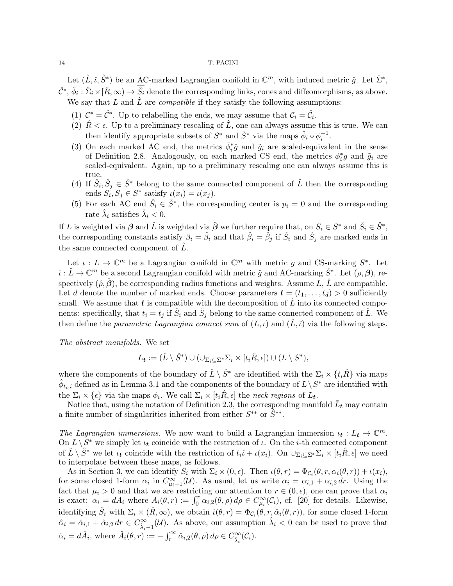Let  $(\hat{L}, \hat{\iota}, \hat{S}^*)$  be an AC-marked Lagrangian conifold in  $\mathbb{C}^m$ , with induced metric  $\hat{g}$ . Let  $\hat{\Sigma}^*$ ,  $\hat{\mathcal{C}}^*, \hat{\phi}_i : \hat{\Sigma}_i \times [\hat{R}, \infty) \to \hat{S}_i$  denote the corresponding links, cones and diffeomorphisms, as above. We say that  $L$  and  $\hat{L}$  are *compatible* if they satisfy the following assumptions:

(1)  $\mathcal{C}^* = \hat{\mathcal{C}}^*$ . Up to relabelling the ends, we may assume that  $\mathcal{C}_i = \hat{\mathcal{C}}_i$ .

- (2)  $\hat{R} < \epsilon$ . Up to a preliminary rescaling of  $\hat{L}$ , one can always assume this is true. We can then identify appropriate subsets of  $S^*$  and  $\hat{S}^*$  via the maps  $\hat{\phi}_i \circ \phi_i^{-1}$ .
- (3) On each marked AC end, the metrics  $\hat{\phi}_i^* \hat{g}$  and  $\tilde{g}_i$  are scaled-equivalent in the sense of Definition 2.8. Analogously, on each marked CS end, the metrics  $\phi_i^*g$  and  $\tilde{g}_i$  are scaled-equivalent. Again, up to a preliminary rescaling one can always assume this is true.
- (4) If  $\hat{S}_i, \hat{S}_j \in \hat{S}^*$  belong to the same connected component of  $\hat{L}$  then the corresponding ends  $S_i, S_j \in S^*$  satisfy  $\iota(x_i) = \iota(x_j)$ .
- (5) For each AC end  $\hat{S}_i \in \hat{S}^*$ , the corresponding center is  $p_i = 0$  and the corresponding rate  $\hat{\lambda}_i$  satisfies  $\hat{\lambda}_i < 0$ .

If L is weighted via  $\beta$  and  $\hat{L}$  is weighted via  $\hat{\beta}$  we further require that, on  $S_i \in S^*$  and  $\hat{S}_i \in \hat{S}^*$ , the corresponding constants satisfy  $\beta_i = \hat{\beta}_i$  and that  $\hat{\beta}_i = \bar{\hat{\beta}}_j$  if  $\hat{S}_i$  and  $\hat{S}_j$  are marked ends in the same connected component of  $\ddot{L}$ .

Let  $\iota: L \to \mathbb{C}^m$  be a Lagrangian conifold in  $\mathbb{C}^m$  with metric g and CS-marking  $S^*$ . Let  $\hat{\iota}: \hat{L} \to \mathbb{C}^m$  be a second Lagrangian conifold with metric  $\hat{g}$  and AC-marking  $\hat{S}^*$ . Let  $(\rho, \beta)$ , respectively  $(\hat{\rho}, \hat{\boldsymbol{\beta}})$ , be corresponding radius functions and weights. Assume L,  $\hat{L}$  are compatible. Let d denote the number of marked ends. Choose parameters  $\mathbf{t} = (t_1, \ldots, t_d) > 0$  sufficiently small. We assume that  $t$  is compatible with the decomposition of  $\tilde{L}$  into its connected components: specifically, that  $t_i = t_j$  if  $\hat{S}_i$  and  $\hat{S}_j$  belong to the same connected component of  $\hat{L}$ . We then define the parametric Lagrangian connect sum of  $(L, \iota)$  and  $(\hat{L}, \hat{\iota})$  via the following steps.

The abstract manifolds. We set

$$
L_{\boldsymbol{t}} := (\hat{L} \setminus \hat{S}^*) \cup (\cup_{\Sigma_i \subseteq \Sigma^*} \Sigma_i \times [t_i \hat{R}, \epsilon]) \cup (L \setminus S^*),
$$

where the components of the boundary of  $\hat{L} \setminus \hat{S}^*$  are identified with the  $\Sigma_i \times \{t_i \hat{R}\}\$ via maps  $\hat{\phi}_{t_i,i}$  defined as in Lemma 3.1 and the components of the boundary of  $L \setminus S^*$  are identified with the  $\Sigma_i \times {\epsilon}$  via the maps  $\phi_i$ . We call  $\Sigma_i \times [t_i \hat{R}, \epsilon]$  the neck regions of  $L_t$ .

Notice that, using the notation of Definition 2.3, the corresponding manifold  $\bar{L}_t$  may contain a finite number of singularities inherited from either  $S^{**}$  or  $\tilde{S}^{**}$ .

The Lagrangian immersions. We now want to build a Lagrangian immersion  $\iota_t : L_t \to \mathbb{C}^m$ . On  $L \setminus S^*$  we simply let  $\iota_t$  coincide with the restriction of  $\iota$ . On the *i*-th connected component of  $\hat{L} \setminus \hat{S}^*$  we let  $\iota_t$  coincide with the restriction of  $t_i\hat{\iota} + \iota(x_i)$ . On  $\cup_{\Sigma_i \subseteq \Sigma^*} \Sigma_i \times [t_i\hat{R}, \epsilon]$  we need to interpolate between these maps, as follows.

As in Section 3, we can identify  $S_i$  with  $\Sigma_i \times (0, \epsilon)$ . Then  $\iota(\theta, r) = \Phi_{\mathcal{C}_i}(\theta, r, \alpha_i(\theta, r)) + \iota(x_i)$ , for some closed 1-form  $\alpha_i$  in  $C^{\infty}_{\mu_i-1}(\mathcal{U})$ . As usual, let us write  $\alpha_i = \alpha_{i,1} + \alpha_{i,2} dr$ . Using the fact that  $\mu_i > 0$  and that we are restricting our attention to  $r \in (0, \epsilon)$ , one can prove that  $\alpha_i$ is exact:  $\alpha_i = dA_i$  where  $A_i(\theta, r) := \int_0^r \alpha_{i,2}(\theta, \rho) d\rho \in C^{\infty}_{\mu_i}(\mathcal{C}_i)$ , cf. [20] for details. Likewise, identifying  $\hat{S}_i$  with  $\Sigma_i \times (\hat{R}, \infty)$ , we obtain  $\hat{\iota}(\theta, r) = \Phi_{\mathcal{C}_i}(\theta, r, \hat{\alpha}_i(\theta, r))$ , for some closed 1-form  $\hat{\alpha}_i = \hat{\alpha}_{i,1} + \hat{\alpha}_{i,2} dr \in C^{\infty}_{\hat{\lambda}_i-1}(\mathcal{U})$ . As above, our assumption  $\hat{\lambda}_i < 0$  can be used to prove that  $\hat{\alpha}_i = d\hat{A}_i$ , where  $\hat{A}_i(\theta, r) := -\int_r^{\infty} \hat{\alpha}_{i,2}(\theta, \rho) d\rho \in C_{\hat{\lambda}_i}^{\infty}(\mathcal{C}_i)$ .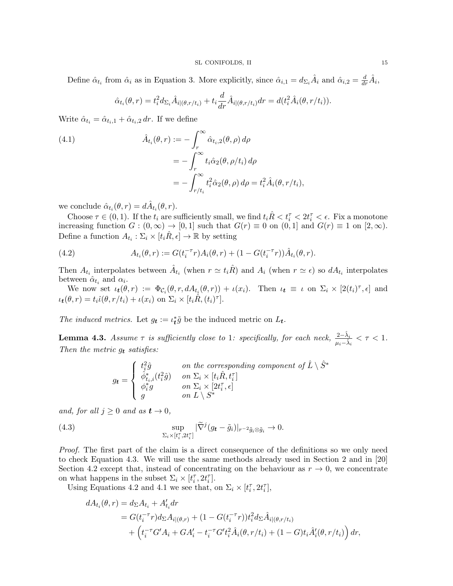Define  $\hat{\alpha}_{t_i}$  from  $\hat{\alpha}_i$  as in Equation 3. More explicitly, since  $\hat{\alpha}_{i,1} = d_{\Sigma_i} \hat{A}_i$  and  $\hat{\alpha}_{i,2} = \frac{d}{dr} \hat{A}_i$ ,

$$
\hat{\alpha}_{t_i}(\theta, r) = t_i^2 d_{\Sigma_i} \hat{A}_{i|(\theta, r/t_i)} + t_i \frac{d}{dr} \hat{A}_{i|(\theta, r/t_i)} dr = d(t_i^2 \hat{A}_i(\theta, r/t_i)).
$$

Write  $\hat{\alpha}_{t_i} = \hat{\alpha}_{t_i,1} + \hat{\alpha}_{t_i,2} dr$ . If we define

(4.1)  
\n
$$
\hat{A}_{t_i}(\theta, r) := -\int_r^{\infty} \hat{\alpha}_{t_i, 2}(\theta, \rho) d\rho
$$
\n
$$
= -\int_r^{\infty} t_i \hat{\alpha}_2(\theta, \rho/t_i) d\rho
$$
\n
$$
= -\int_{r/t_i}^{\infty} t_i^2 \hat{\alpha}_2(\theta, \rho) d\rho = t_i^2 \hat{A}_i(\theta, r/t_i),
$$

we conclude  $\hat{\alpha}_{t_i}(\theta, r) = d\hat{A}_{t_i}(\theta, r)$ .

Choose  $\tau \in (0,1)$ . If the  $t_i$  are sufficiently small, we find  $t_i \hat{R} < t_i^{\tau} < 2t_i^{\tau} < \epsilon$ . Fix a monotone increasing function  $G : (0, \infty) \to [0, 1]$  such that  $G(r) \equiv 0$  on  $(0, 1]$  and  $G(r) \equiv 1$  on  $[2, \infty)$ . Define a function  $A_{t_i} : \Sigma_i \times [t_i \hat{R}, \epsilon] \to \mathbb{R}$  by setting

(4.2) 
$$
A_{t_i}(\theta, r) := G(t_i^{-\tau}r)A_i(\theta, r) + (1 - G(t_i^{-\tau}r))\hat{A}_{t_i}(\theta, r).
$$

Then  $A_{t_i}$  interpolates between  $\hat{A}_{t_i}$  (when  $r \simeq t_i \hat{R}$ ) and  $A_i$  (when  $r \simeq \epsilon$ ) so  $dA_{t_i}$  interpolates between  $\hat{\alpha}_{t_i}$  and  $\alpha_i$ .

We now set  $\iota_t(\theta, r) := \Phi_{\mathcal{C}_i}(\theta, r, dA_{t_i}(\theta, r)) + \iota(x_i)$ . Then  $\iota_t \equiv \iota$  on  $\Sigma_i \times [2(t_i)^{\tau}, \epsilon]$  and  $\iota_t(\theta,r)=t_i\hat{\iota}(\theta,r/t_i)+\iota(x_i)\,\,\text{on}\,\,\Sigma_i\times[t_i\hat{R},(t_i)^\tau].$ 

The induced metrics. Let  $g_t := \iota_t^* \tilde{g}$  be the induced metric on  $L_t$ .

**Lemma 4.3.** Assume  $\tau$  is sufficiently close to 1: specifically, for each neck,  $\frac{2-\hat{\lambda}_i}{\mu_i-\hat{\lambda}_i} < \tau < 1$ . Then the metric  $g_t$  satisfies:

$$
g_t = \begin{cases} t_i^2 \hat{g} & \text{on the corresponding component of } \hat{L} \setminus \hat{S}^* \\ \hat{\phi}_{t_i,i}^*(t_i^2 \hat{g}) & \text{on } \Sigma_i \times [t_i \hat{R}, t_i^{\tau}] \\ \phi_i^* g & \text{on } \Sigma_i \times [2t_i^{\tau}, \epsilon] \\ g & \text{on } L \setminus S^* \end{cases}
$$

and, for all  $j \geq 0$  and as  $t \to 0$ ,

(4.3) 
$$
\sup_{\Sigma_i \times [t_i^\tau, 2t_i^\tau]} |\widetilde{\nabla}^j (g_t - \tilde{g}_i)|_{r^{-2} \tilde{g}_i \otimes \tilde{g}_i} \to 0.
$$

Proof. The first part of the claim is a direct consequence of the definitions so we only need to check Equation 4.3. We will use the same methods already used in Section 2 and in [20] Section 4.2 except that, instead of concentrating on the behaviour as  $r \to 0$ , we concentrate on what happens in the subset  $\Sigma_i \times [t_i^{\tau}, 2t_i^{\tau}]$ .

Using Equations 4.2 and 4.1 we see that, on  $\Sigma_i \times [t_i^{\tau}, 2t_i^{\tau}],$ 

$$
dA_{t_i}(\theta, r) = d_{\Sigma} A_{t_i} + A'_{t_i} dr
$$
  
=  $G(t_i^{-\tau} r) d_{\Sigma} A_{i|(\theta, r)} + (1 - G(t_i^{-\tau} r)) t_i^2 d_{\Sigma} \hat{A}_{i|(\theta, r/t_i)}$   
+  $(t_i^{-\tau} G' A_i + G A'_i - t_i^{-\tau} G' t_i^2 \hat{A}_i(\theta, r/t_i) + (1 - G) t_i \hat{A}'_i(\theta, r/t_i)) dr$ ,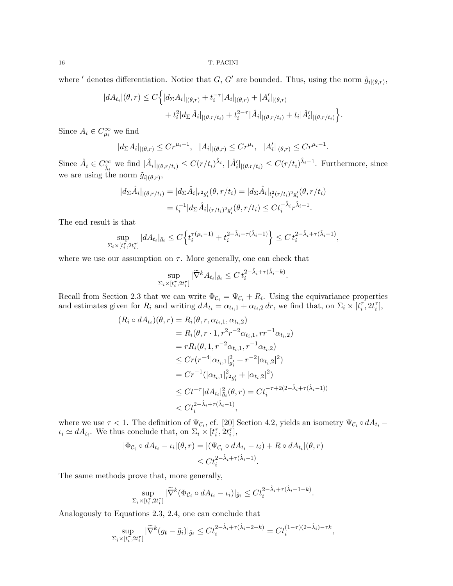where ' denotes differentiation. Notice that  $G, G'$  are bounded. Thus, using the norm  $\tilde{g}_{i|(\theta,r)}$ ,

$$
|dA_{t_i}|(\theta, r) \le C \Big\{ |d_{\Sigma}A_i|_{|(\theta, r)} + t_i^{-\tau} |A_i|_{|(\theta, r)} + |A'_i|_{|(\theta, r)} + t_i^2 |d_{\Sigma}\hat{A}_i|_{|(\theta, r/t_i)} + t_i^{2-\tau} |\hat{A}_i|_{|(\theta, r/t_i)} + t_i |\hat{A}'_i|_{|(\theta, r/t_i)} \Big\}.
$$

Since  $A_i \in C_{\mu_i}^{\infty}$  we find

$$
|d_{\Sigma}A_i|_{|(\theta,r)} \le Cr^{\mu_i-1}, \quad |A_i|_{|(\theta,r)} \le Cr^{\mu_i}, \quad |A'_i|_{|(\theta,r)} \le Cr^{\mu_i-1}.
$$

Since  $\hat{A}_i \in C^{\infty}_{\hat{\lambda}_i}$  we find  $|\hat{A}_i|_{|(\theta, r/t_i)} \leq C(r/t_i)^{\hat{\lambda}_i}$ ,  $|\hat{A}'_i|_{|(\theta, r/t_i)} \leq C(r/t_i)^{\hat{\lambda}_i-1}$ . Furthermore, since we are using the norm  $\tilde{g}_{i|(\theta,r)},$ 

$$
|d_{\Sigma}\hat{A}_i|_{|(\theta,r/t_i)} = |d_{\Sigma}\hat{A}_i|_{r^2g_i'}(\theta,r/t_i) = |d_{\Sigma}\hat{A}_i|_{t_i^2(r/t_i)^2g_i'}(\theta,r/t_i)
$$
  
=  $t_i^{-1}|d_{\Sigma}\hat{A}_i|_{(r/t_i)^2g_i'}(\theta,r/t_i) \le Ct_i^{-\hat{\lambda}_i}r^{\hat{\lambda}_i-1}.$ 

The end result is that

$$
\sup_{\Sigma_i \times [t_i^\tau, 2t_i^\tau]} |dA_{t_i}|_{\tilde{g}_i} \le C \Big\{ t_i^{\tau(\mu_i - 1)} + t_i^{2 - \hat{\lambda}_i + \tau(\hat{\lambda}_i - 1)} \Big\} \le C \, t_i^{2 - \hat{\lambda}_i + \tau(\hat{\lambda}_i - 1)},
$$

where we use our assumption on  $\tau$ . More generally, one can check that

$$
\sup_{\Sigma_i \times [t_i^\tau, 2t_i^\tau]} |\widetilde{\nabla}^k A_{t_i}|_{\tilde{g}_i} \le C t_i^{2 - \hat{\lambda}_i + \tau(\hat{\lambda}_i - k)}.
$$

Recall from Section 2.3 that we can write  $\Phi_{\mathcal{C}_i} = \Psi_{\mathcal{C}_i} + R_i$ . Using the equivariance properties and estimates given for  $R_i$  and writing  $dA_{t_i} = \alpha_{t_i,1} + \alpha_{t_i,2} dr$ , we find that, on  $\Sigma_i \times [t_i^{\tau}, 2t_i^{\tau}],$ 

$$
(R_i \circ dA_{t_i})(\theta, r) = R_i(\theta, r, \alpha_{t_i, 1}, \alpha_{t_i, 2})
$$
  
=  $R_i(\theta, r \cdot 1, r^2 r^{-2} \alpha_{t_i, 1}, r r^{-1} \alpha_{t_i, 2})$   
=  $rR_i(\theta, 1, r^{-2} \alpha_{t_i, 1}, r^{-1} \alpha_{t_i, 2})$   
 $\leq Cr(r^{-4} |\alpha_{t_i, 1}|_{g_i'}^2 + r^{-2} |\alpha_{t_i, 2}|^2)$   
=  $Cr^{-1} (|\alpha_{t_i, 1}|_{r^2 g_i'}^2 + |\alpha_{t_i, 2}|^2)$   
 $\leq Ct^{-\tau} |dA_{t_i}|_{\tilde{g}_i}^2(\theta, r) = Ct_i^{-\tau + 2(2 - \hat{\lambda}_i + \tau(\hat{\lambda}_i - 1))}$   
 $< Ct_i^{2 - \hat{\lambda}_i + \tau(\hat{\lambda}_i - 1)},$ 

where we use  $\tau < 1$ . The definition of  $\Psi_{\mathcal{C}_i}$ , cf. [20] Section 4.2, yields an isometry  $\Psi_{\mathcal{C}_i} \circ dA_{t_i}$  –  $\iota_i \simeq dA_{t_i}$ . We thus conclude that, on  $\Sigma_i \times [t_i^{\tau}, 2t_i^{\tau}],$ 

$$
|\Phi_{\mathcal{C}_i} \circ dA_{t_i} - \iota_i|(\theta, r) = |(\Psi_{\mathcal{C}_i} \circ dA_{t_i} - \iota_i) + R \circ dA_{t_i}|(\theta, r)
$$
  

$$
\leq Ct_i^{2-\hat{\lambda}_i + \tau(\hat{\lambda}_i - 1)}.
$$

The same methods prove that, more generally,

$$
\sup_{\Sigma_i\times[t_i^\tau,2t_i^\tau]}|\widetilde{\nabla}^k(\Phi_{\mathcal{C}_i}\circ dA_{t_i}-\iota_i)|_{\tilde{g}_i}\leq Ct_i^{2-\hat{\lambda}_i+\tau(\hat{\lambda}_i-1-k)}.
$$

Analogously to Equations 2.3, 2.4, one can conclude that

$$
\sup_{\Sigma_i\times[t_i^\tau,2t_i^\tau]}|\widetilde{\nabla}^k(g_t-\tilde{g}_i)|_{\tilde{g}_i}\leq Ct_i^{2-\hat{\lambda}_i+\tau(\hat{\lambda}_i-2-k)}=Ct_i^{(1-\tau)(2-\hat{\lambda}_i)-\tau k},
$$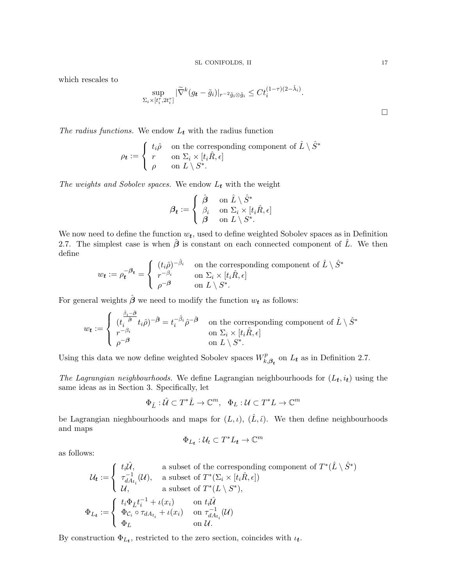which rescales to

$$
\sup_{\Sigma_i\times[t_i^\tau,2t_i^\tau]}\vert \widetilde{\nabla}^k(g_{\boldsymbol{t}}-\tilde{g}_i)\vert_{r^{-2}\tilde{g}_i\otimes\tilde{g}_i}\leq Ct_i^{(1-\tau)(2-\hat{\lambda}_i)}.
$$

The radius functions. We endow  $L_t$  with the radius function

$$
\rho_t := \begin{cases} t_i \hat{\rho} & \text{on the corresponding component of } \hat{L} \setminus \hat{S}^* \\ r & \text{on } \Sigma_i \times [t_i \hat{R}, \epsilon] \\ \rho & \text{on } L \setminus S^*. \end{cases}
$$

The weights and Sobolev spaces. We endow  $L_t$  with the weight

$$
\boldsymbol{\beta_t} := \left\{ \begin{array}{ll} \hat{\boldsymbol{\beta}} & \text{ on } \hat{L} \setminus \hat{S}^* \\ \beta_i & \text{ on } \Sigma_i \times [t_i \hat{R}, \epsilon] \\ \boldsymbol{\beta} & \text{ on } L \setminus S^*. \end{array} \right.
$$

We now need to define the function  $w_t$ , used to define weighted Sobolev spaces as in Definition 2.7. The simplest case is when  $\hat{\beta}$  is constant on each connected component of  $\hat{L}$ . We then define

$$
w_t := \rho_t^{-\beta_t} = \begin{cases} (t_i \hat{\rho})^{-\hat{\beta}_i} & \text{on the corresponding component of } \hat{L} \setminus \hat{S}^*\\ r^{-\beta_i} & \text{on } \Sigma_i \times [t_i \hat{R}, \epsilon] \\ \rho^{-\beta} & \text{on } L \setminus S^*. \end{cases}
$$

For general weights  $\hat{\boldsymbol{\beta}}$  we need to modify the function  $w_t$  as follows:

$$
w_{\boldsymbol{t}} := \begin{cases} \frac{\hat{\beta}_i - \hat{\beta}}{t_i - \hat{\beta}} t_i \hat{\rho}^{-1} = t_i^{-\hat{\beta}_i} \hat{\rho}^{-1} & \text{on the corresponding component of } \hat{L} \setminus \hat{S}^* \\ r^{-\beta_i} & \text{on } \Sigma_i \times [t_i \hat{R}, \epsilon] \\ \rho^{-\beta} & \text{on } L \setminus S^*. \end{cases}
$$

Using this data we now define weighted Sobolev spaces  $W_k^p$ .  $E_{k,\beta_t}^p$  on  $L_t$  as in Definition 2.7.

The Lagrangian neighbourhoods. We define Lagrangian neighbourhoods for  $(L_t, i_t)$  using the same ideas as in Section 3. Specifically, let

$$
\Phi_{\hat{L}}:\hat{\mathcal{U}}\subset T^*\hat{L}\to\mathbb{C}^m,\ \ \Phi_L:\mathcal{U}\subset T^*L\to\mathbb{C}^m
$$

be Lagrangian nieghbourhoods and maps for  $(L, \iota)$ ,  $(\hat{L}, \hat{\iota})$ . We then define neighbourhoods and maps

$$
\Phi_{L_t} : \mathcal{U}_t \subset T^*L_t \to \mathbb{C}^m
$$

as follows:

$$
\mathcal{U}_t := \begin{cases} t_i \hat{\mathcal{U}}, & \text{a subset of the corresponding component of } T^*(\hat{L} \setminus \hat{S}^*) \\ \tau_{dA_{t_i}}^{-1}(\mathcal{U}), & \text{a subset of } T^*(\Sigma_i \times [t_i \hat{R}, \epsilon]) \\ \mathcal{U}, & \text{a subset of } T^*(L \setminus S^*), \\ \Phi_{L_t} := \begin{cases} t_i \Phi_{\hat{L}} t_i^{-1} + \iota(x_i) & \text{on } t_i \hat{\mathcal{U}} \\ \Phi_{C_i} \circ \tau_{dA_{t_i}} + \iota(x_i) & \text{on } \tau_{dA_{t_i}}^{-1}(\mathcal{U}) \\ \Phi_L & \text{on } \mathcal{U}. \end{cases} \end{cases}
$$

By construction  $\Phi_{L_t}$ , restricted to the zero section, coincides with  $\iota_t$ .

 $\Box$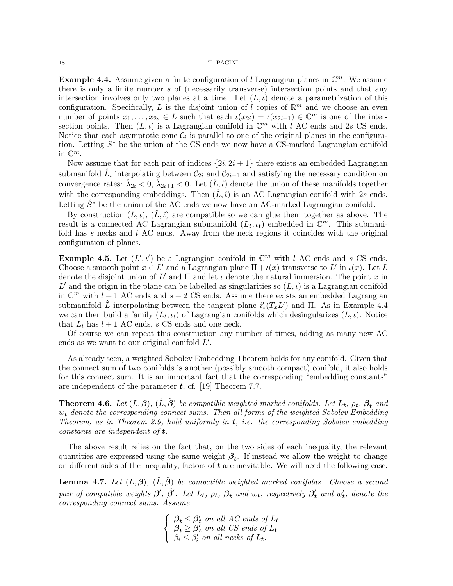**Example 4.4.** Assume given a finite configuration of l Lagrangian planes in  $\mathbb{C}^m$ . We assume there is only a finite number s of (necessarily transverse) intersection points and that any intersection involves only two planes at a time. Let  $(L, \iota)$  denote a parametrization of this configuration. Specifically, L is the disjoint union of l copies of  $\mathbb{R}^m$  and we choose an even number of points  $x_1, \ldots, x_{2s} \in L$  such that each  $\iota(x_{2i}) = \iota(x_{2i+1}) \in \mathbb{C}^m$  is one of the intersection points. Then  $(L, \iota)$  is a Lagrangian conifold in  $\mathbb{C}^m$  with l AC ends and 2s CS ends. Notice that each asymptotic cone  $\mathcal{C}_i$  is parallel to one of the original planes in the configuration. Letting  $S^*$  be the union of the CS ends we now have a CS-marked Lagrangian conifold in  $\mathbb{C}^m$ .

Now assume that for each pair of indices  $\{2i, 2i + 1\}$  there exists an embedded Lagrangian submanifold  $\hat{L}_i$  interpolating between  $\mathcal{C}_{2i}$  and  $\mathcal{C}_{2i+1}$  and satisfying the necessary condition on convergence rates:  $\hat{\lambda}_{2i} < 0$ ,  $\hat{\lambda}_{2i+1} < 0$ . Let  $(\hat{L}, \hat{\iota})$  denote the union of these manifolds together with the corresponding embeddings. Then  $(L, \hat{\iota})$  is an AC Lagrangian conifold with 2s ends. Letting  $\hat{S}^*$  be the union of the AC ends we now have an AC-marked Lagrangian conifold.

By construction  $(L, \iota)$ ,  $(\hat{L}, \hat{\iota})$  are compatible so we can glue them together as above. The result is a connected AC Lagrangian submanifold  $(L_t, \iota_t)$  embedded in  $\mathbb{C}^m$ . This submanifold has s necks and  $l$  AC ends. Away from the neck regions it coincides with the original configuration of planes.

**Example 4.5.** Let  $(L', \iota')$  be a Lagrangian conifold in  $\mathbb{C}^m$  with l AC ends and s CS ends. Choose a smooth point  $x \in L'$  and a Lagrangian plane  $\Pi + \iota(x)$  transverse to L' in  $\iota(x)$ . Let L denote the disjoint union of L' and  $\Pi$  and let  $\iota$  denote the natural immersion. The point x in L' and the origin in the plane can be labelled as singularities so  $(L, \iota)$  is a Lagrangian conifold in  $\mathbb{C}^m$  with  $l + 1$  AC ends and  $s + 2$  CS ends. Assume there exists an embedded Lagrangian submanifold  $\hat{L}$  interpolating between the tangent plane  $i'_{*}(T_{x}L')$  and  $\Pi$ . As in Example 4.4 we can then build a family  $(L_t, \iota_t)$  of Lagrangian conifolds which desingularizes  $(L, \iota)$ . Notice that  $L_t$  has  $l + 1$  AC ends, s CS ends and one neck.

Of course we can repeat this construction any number of times, adding as many new AC ends as we want to our original conifold  $L'$ .

As already seen, a weighted Sobolev Embedding Theorem holds for any conifold. Given that the connect sum of two conifolds is another (possibly smooth compact) conifold, it also holds for this connect sum. It is an important fact that the corresponding "embedding constants" are independent of the parameter  $t$ , cf. [19] Theorem 7.7.

**Theorem 4.6.** Let  $(L, \beta)$ ,  $(\hat{L}, \hat{\beta})$  be compatible weighted marked conifolds. Let  $L_t$ ,  $\rho_t$ ,  $\beta_t$  and  $w_t$  denote the corresponding connect sums. Then all forms of the weighted Sobolev Embedding Theorem, as in Theorem 2.9, hold uniformly in  $t$ , i.e. the corresponding Sobolev embedding constants are independent of  $t$ .

The above result relies on the fact that, on the two sides of each inequality, the relevant quantities are expressed using the same weight  $\beta_t$ . If instead we allow the weight to change on different sides of the inequality, factors of  $t$  are inevitable. We will need the following case.

**Lemma 4.7.** Let  $(L, \beta)$ ,  $(\hat{L}, \hat{\beta})$  be compatible weighted marked conifolds. Choose a second pair of compatible weights  $\beta'$ ,  $\hat{\beta}'$ . Let  $L_t$ ,  $\rho_t$ ,  $\beta_t$  and  $w_t$ , respectively  $\beta'_t$  and  $w'_t$ , denote the corresponding connect sums. Assume

> $\sqrt{ }$ J  $\mathcal{L}$  $\beta_t \leq \beta_t'$  on all AC ends of  $L_t$  $\boldsymbol{\beta_t} \geq \boldsymbol{\beta_t'}$  on all CS ends of  $L_t$  $\beta_i \leq \beta_i'$  on all necks of  $L_t$ .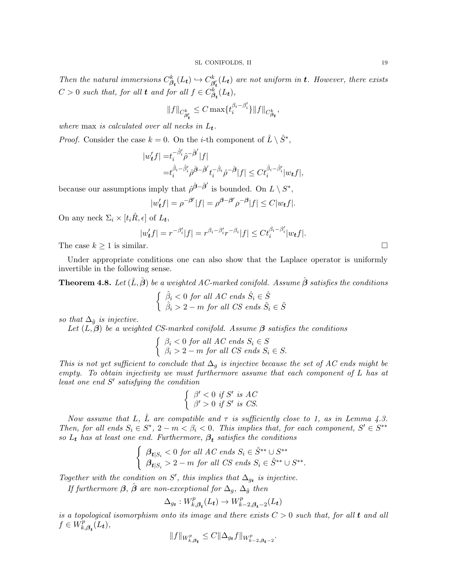Then the natural immersions  $C_{\beta_t}^k(L_t) \hookrightarrow C_{\beta}^k$  $\frac{\partial k}{\partial t}(L_t)$  are not uniform in **t**. However, there exists  $C > 0$  such that, for all **t** and for all  $f \in C_{\beta_{t}}^{k}(L_{t}),$ 

$$
\|f\|_{C_{\beta_t'}^k}\leq C\max\{t_i^{\beta_i-\beta_i'}\}\|f\|_{C_{\beta_t}^k},
$$

where max is calculated over all necks in  $L_t$ .

*Proof.* Consider the case  $k = 0$ . On the *i*-th component of  $\hat{L} \setminus \hat{S}^*$ ,

$$
\begin{aligned} |w'_t f|=&t_i^{-\hat{\beta}'_i}\hat{\rho}^{-\hat{\beta}'}|f|\\=&t_i^{\hat{\beta}_i-\hat{\beta}'_i}\hat{\rho}^{\hat{\partial}-\hat{\beta}'}t_i^{-\hat{\beta}_i}\hat{\rho}^{-\hat{\beta}}|f|\leq Ct_i^{\hat{\beta}_i-\hat{\beta}'_i}|w_tf|, \end{aligned}
$$

because our assumptions imply that  $\hat{\rho}^{\hat{\beta}-\hat{\beta}'}$  is bounded. On  $L \setminus S^*$ ,

$$
|w_t'f| = \rho^{-\beta'}|f| = \rho^{\beta-\beta'}\rho^{-\beta}|f| \le C|w_t f|.
$$

On any neck  $\Sigma_i \times [t_i \hat{R}, \epsilon]$  of  $L_t$ ,

$$
|w'_t f| = r^{-\beta'_i} |f| = r^{\beta_i - \beta'_i} r^{-\beta_i} |f| \leq C t_i^{\beta_i - \beta'_i} |w_t f|.
$$

The case  $k \ge 1$  is similar.

Under appropriate conditions one can also show that the Laplace operator is uniformly invertible in the following sense.

**Theorem 4.8.** Let  $(\hat{L}, \hat{\boldsymbol{\beta}})$  be a weighted AC-marked conifold. Assume  $\hat{\boldsymbol{\beta}}$  satisfies the conditions

$$
\begin{cases} \n\hat{\beta}_i < 0 \text{ for all } AC \text{ ends } \hat{S}_i \in \hat{S} \\
\hat{\beta}_i > 2 - m \text{ for all } CS \text{ ends } \hat{S}_i \in \hat{S} \n\end{cases}
$$

so that  $\Delta_{\hat{g}}$  is injective.

Let  $(L, \beta)$  be a weighted CS-marked conifold. Assume  $\beta$  satisfies the conditions

$$
\begin{cases} \n\beta_i < 0 \text{ for all } AC \text{ ends } S_i \in S \\ \n\beta_i > 2 - m \text{ for all } CS \text{ ends } S_i \in S. \n\end{cases}
$$

This is not yet sufficient to conclude that  $\Delta_q$  is injective because the set of AC ends might be empty. To obtain injectivity we must furthermore assume that each component of L has at least one end  $S'$  satisfying the condition

$$
\begin{cases} \beta' < 0 \text{ if } S' \text{ is } AC \\ \beta' > 0 \text{ if } S' \text{ is } CS. \end{cases}
$$

Now assume that L,  $\hat{L}$  are compatible and  $\tau$  is sufficiently close to 1, as in Lemma 4.3. Then, for all ends  $S_i \in S^*$ ,  $2 - m < \beta_i < 0$ . This implies that, for each component,  $S' \in S^{**}$ so  $L_t$  has at least one end. Furthermore,  $\beta_t$  satisfies the conditions

$$
\begin{cases} \n\beta_{\mathbf{t}|S_i} < 0 \text{ for all } AC \text{ ends } S_i \in \hat{S}^{**} \cup S^{**} \\ \n\beta_{\mathbf{t}|S_i} > 2-m \text{ for all } CS \text{ ends } S_i \in \hat{S}^{**} \cup S^{**}. \n\end{cases}
$$

Together with the condition on S', this implies that  $\Delta_{g_t}$  is injective.

If furthermore  $\beta$ ,  $\hat{\beta}$  are non-exceptional for  $\Delta_q$ ,  $\Delta_{\hat{q}}$  then

$$
\Delta_{g_{\boldsymbol{t}}}:W_{k,\boldsymbol{\beta_{t}}}^{p}(L_{\boldsymbol{t}})\to W_{k-2,\boldsymbol{\beta_{t}}-2}^{p}(L_{\boldsymbol{t}})
$$

is a topological isomorphism onto its image and there exists  $C > 0$  such that, for all **t** and all  $f \in W_k^p$  $E_{k,\boldsymbol{\beta_t}}^{p}(L_{t}),$ 

$$
\|f\|_{W_{k,\beta_t}^p}\leq C\|\Delta_{g_t}f\|_{W_{k-2,\beta_{t}-2}^p}.
$$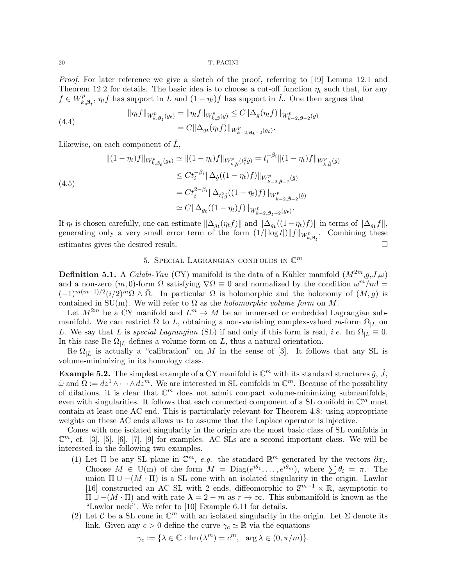Proof. For later reference we give a sketch of the proof, referring to [19] Lemma 12.1 and Theorem 12.2 for details. The basic idea is to choose a cut-off function  $\eta_t$  such that, for any  $f \in W_k^p$  $k_{k,\beta_t}^p$ ,  $\eta_t f$  has support in L and  $(1 - \eta_t)f$  has support in L. One then argues that

(4.4) 
$$
\|\eta_t f\|_{W_{k,\beta_t}^p(g_t)} = \|\eta_t f\|_{W_{k,\beta}^p(g)} \leq C \|\Delta_g(\eta_t f)\|_{W_{k-2,\beta-2}^p(g)} = C \|\Delta_{g_t}(\eta_t f)\|_{W_{k-2,\beta_{t-2}}^p(g_t)}.
$$

Likewise, on each component of  $\tilde{L}$ ,

$$
\begin{split} \|(1-\eta_t)f\|_{W_{k,\beta_t}^p(g_t)} &\simeq \|(1-\eta_t)f\|_{W_{k,\hat{\beta}}^p(t_i^2\hat{g})} = t_i^{-\beta_i} \|(1-\eta_t)f\|_{W_{k,\hat{\beta}}^p(\hat{g})} \\ &\leq Ct_i^{-\beta_i} \|\Delta_{\hat{g}}((1-\eta_t)f)\|_{W_{k-2,\hat{\beta}-2}^p(\hat{g})} \\ &= Ct_i^{2-\beta_i} \|\Delta_{t_i^2\hat{g}}((1-\eta_t)f)\|_{W_{k-2,\hat{\beta}-2}^p(\hat{g})} \\ &\simeq C \|\Delta_{g_t}((1-\eta_t)f)\|_{W_{k-2,g_t-2}^p(g_t)}. \end{split}
$$

If  $\eta_t$  is chosen carefully, one can estimate  $\|\Delta_{g_t}(\eta_t f)\|$  and  $\|\Delta_{g_t}((1-\eta_t)f)\|$  in terms of  $\|\Delta_{g_t} f\|$ , generating only a very small error term of the form  $(1/|\log t|) \|f\|_{W_{k,\beta_t}^p}$ . Combining these estimates gives the desired result.

# 5. SPECIAL LAGRANGIAN CONIFOLDS IN  $\mathbb{C}^m$

**Definition 5.1.** A *Calabi-Yau* (CY) manifold is the data of a Kähler manifold  $(M^{2m}, q, J, \omega)$ and a non-zero  $(m, 0)$ -form  $\Omega$  satisfying  $\nabla \Omega \equiv 0$  and normalized by the condition  $\omega^m/m! =$  $(-1)^{m(m-1)/2} (i/2)^m \Omega \wedge \overline{\Omega}$ . In particular  $\Omega$  is holomorphic and the holonomy of  $(M, g)$  is contained in SU(m). We will refer to  $\Omega$  as the *holomorphic volume form* on M.

Let  $M^{2m}$  be a CY manifold and  $L^m \to M$  be an immersed or embedded Lagrangian submanifold. We can restrict  $\Omega$  to L, obtaining a non-vanishing complex-valued m-form  $\Omega_{|L}$  on L. We say that L is special Lagrangian (SL) if and only if this form is real, i.e. Im  $\Omega_{|L} \equiv 0$ . In this case Re  $\Omega_{|L}$  defines a volume form on L, thus a natural orientation.

Re  $\Omega_{|L}$  is actually a "calibration" on M in the sense of [3]. It follows that any SL is volume-minimizing in its homology class.

**Example 5.2.** The simplest example of a CY manifold is  $\mathbb{C}^m$  with its standard structures  $\tilde{g}$ ,  $\tilde{J}$ ,  $\tilde{\omega}$  and  $\tilde{\Omega} := dz^1 \wedge \cdots \wedge dz^m$ . We are interested in SL conifolds in  $\mathbb{C}^m$ . Because of the possibility of dilations, it is clear that  $\mathbb{C}^m$  does not admit compact volume-minimizing submanifolds, even with singularities. It follows that each connected component of a SL conifold in  $\mathbb{C}^m$  must contain at least one AC end. This is particularly relevant for Theorem 4.8: using appropriate weights on these AC ends allows us to assume that the Laplace operator is injective.

Cones with one isolated singularity in the origin are the most basic class of SL conifolds in  $\mathbb{C}^m$ , cf. [3], [5], [6], [7], [9] for examples. AC SLs are a second important class. We will be interested in the following two examples.

- (1) Let  $\Pi$  be any SL plane in  $\mathbb{C}^m$ , e.g. the standard  $\mathbb{R}^m$  generated by the vectors  $\partial x_i$ . Choose  $M \in U(m)$  of the form  $M = \text{Diag}(e^{i\theta_1}, \dots, e^{i\theta_m})$ , where  $\sum \theta_i = \pi$ . The union  $\Pi \cup -(M \cdot \Pi)$  is a SL cone with an isolated singularity in the origin. Lawlor [16] constructed an AC SL with 2 ends, diffeomorphic to  $\mathbb{S}^{m-1}\times\mathbb{R}$ , asymptotic to  $\Pi \cup -(M \cdot \Pi)$  and with rate  $\lambda = 2 - m$  as  $r \to \infty$ . This submanifold is known as the "Lawlor neck". We refer to [10] Example 6.11 for details.
- (2) Let C be a SL cone in  $\mathbb{C}^m$  with an isolated singularity in the origin. Let  $\Sigma$  denote its link. Given any  $c > 0$  define the curve  $\gamma_c \simeq \mathbb{R}$  via the equations

$$
\gamma_c := \{ \lambda \in \mathbb{C} : \text{Im}(\lambda^m) = c^m, \text{ arg } \lambda \in (0, \pi/m) \}.
$$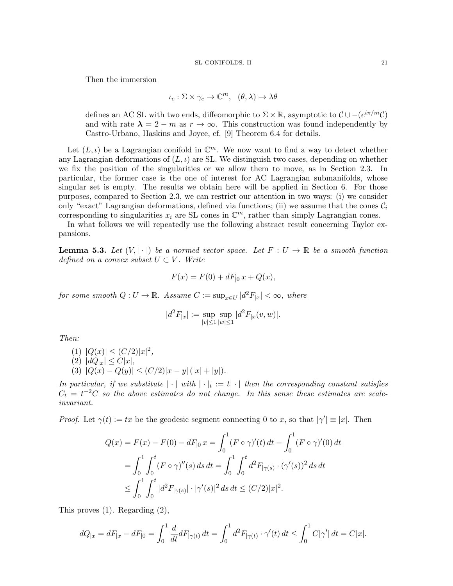Then the immersion

$$
\iota_c : \Sigma \times \gamma_c \to \mathbb{C}^m, \quad (\theta, \lambda) \mapsto \lambda \theta
$$

defines an AC SL with two ends, diffeomorphic to  $\Sigma \times \mathbb{R}$ , asymptotic to  $\mathcal{C} \cup -(e^{i\pi/m}\mathcal{C})$ and with rate  $\lambda = 2 - m$  as  $r \to \infty$ . This construction was found independently by Castro-Urbano, Haskins and Joyce, cf. [9] Theorem 6.4 for details.

Let  $(L, \iota)$  be a Lagrangian conifold in  $\mathbb{C}^m$ . We now want to find a way to detect whether any Lagrangian deformations of  $(L, \iota)$  are SL. We distinguish two cases, depending on whether we fix the position of the singularities or we allow them to move, as in Section 2.3. In particular, the former case is the one of interest for AC Lagrangian submanifolds, whose singular set is empty. The results we obtain here will be applied in Section 6. For those purposes, compared to Section 2.3, we can restrict our attention in two ways: (i) we consider only "exact" Lagrangian deformations, defined via functions; (ii) we assume that the cones  $C_i$ corresponding to singularities  $x_i$  are SL cones in  $\mathbb{C}^m$ , rather than simply Lagrangian cones.

In what follows we will repeatedly use the following abstract result concerning Taylor expansions.

**Lemma 5.3.** Let  $(V, |\cdot|)$  be a normed vector space. Let  $F: U \to \mathbb{R}$  be a smooth function defined on a convex subset  $U \subset V$ . Write

$$
F(x) = F(0) + dF_{|0}x + Q(x),
$$

for some smooth  $Q: U \to \mathbb{R}$ . Assume  $C := \sup_{x \in U} |d^2 F_{|x}| < \infty$ , where

$$
|d^2F_{|x}| := \sup_{|v| \le 1} \sup_{|w| \le 1} |d^2F_{|x}(v, w)|.
$$

Then:

(1) 
$$
|Q(x)| \le (C/2)|x|^2
$$
,  
\n(2)  $|dQ_{|x}| \le C|x|$ ,  
\n(3)  $|Q(x) - Q(y)| \le (C/2)|x - y| (|x| + |y|)$ .

In particular, if we substitute  $|\cdot|$  with  $|\cdot|_t := t |\cdot|$  then the corresponding constant satisfies  $C_t = t^{-2}C$  so the above estimates do not change. In this sense these estimates are scaleinvariant.

*Proof.* Let  $\gamma(t) := tx$  be the geodesic segment connecting 0 to x, so that  $|\gamma'| \equiv |x|$ . Then

$$
Q(x) = F(x) - F(0) - dF_{|0} x = \int_0^1 (F \circ \gamma)'(t) dt - \int_0^1 (F \circ \gamma)'(0) dt
$$
  
= 
$$
\int_0^1 \int_0^t (F \circ \gamma)''(s) ds dt = \int_0^1 \int_0^t d^2 F_{|\gamma(s)} \cdot (\gamma'(s))^2 ds dt
$$
  

$$
\leq \int_0^1 \int_0^t |d^2 F_{|\gamma(s)}| \cdot |\gamma'(s)|^2 ds dt \leq (C/2)|x|^2.
$$

This proves (1). Regarding (2),

$$
dQ_{|x} = dF_{|x} - dF_{|0} = \int_0^1 \frac{d}{dt} dF_{|\gamma(t)} dt = \int_0^1 d^2F_{|\gamma(t)} \cdot \gamma'(t) dt \le \int_0^1 C|\gamma'| dt = C|x|.
$$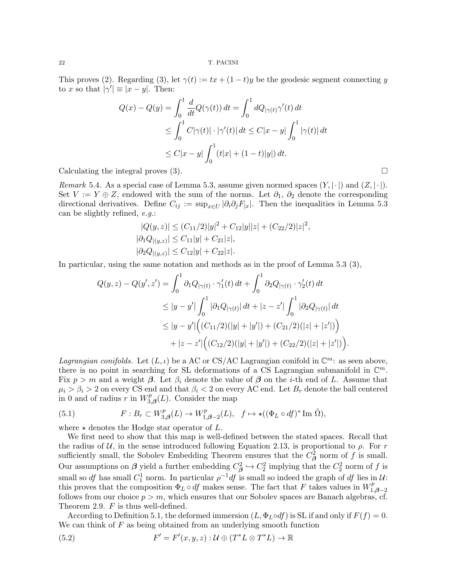This proves (2). Regarding (3), let  $\gamma(t) := tx + (1-t)y$  be the geodesic segment connecting y to x so that  $|\gamma'| \equiv |x - y|$ . Then:

$$
Q(x) - Q(y) = \int_0^1 \frac{d}{dt} Q(\gamma(t)) dt = \int_0^1 dQ_{|\gamma(t)} \gamma'(t) dt
$$
  
\n
$$
\leq \int_0^1 C|\gamma(t)| \cdot |\gamma'(t)| dt \leq C|x - y| \int_0^1 |\gamma(t)| dt
$$
  
\n
$$
\leq C|x - y| \int_0^1 (t|x| + (1 - t)|y|) dt.
$$

Calculating the integral proves  $(3)$ .

Remark 5.4. As a special case of Lemma 5.3, assume given normed spaces  $(Y, |\cdot|)$  and  $(Z, |\cdot|)$ . Set  $V := Y \oplus Z$ , endowed with the sum of the norms. Let  $\partial_1$ ,  $\partial_2$  denote the corresponding directional derivatives. Define  $C_{ij} := \sup_{x \in U} |\partial_i \partial_j F_{|x}|$ . Then the inequalities in Lemma 5.3 can be slightly refined, e.g.:

$$
|Q(y, z)| \le (C_{11}/2)|y|^2 + C_{12}|y||z| + (C_{22}/2)|z|^2,
$$
  
\n
$$
|\partial_1 Q_{|(y, z)}| \le C_{11}|y| + C_{21}|z|,
$$
  
\n
$$
|\partial_2 Q_{|(y, z)}| \le C_{12}|y| + C_{22}|z|.
$$

In particular, using the same notation and methods as in the proof of Lemma 5.3 (3),

$$
Q(y, z) - Q(y', z') = \int_0^1 \partial_1 Q_{|\gamma(t)} \cdot \gamma_1'(t) dt + \int_0^1 \partial_2 Q_{|\gamma(t)} \cdot \gamma_2'(t) dt
$$
  
\n
$$
\leq |y - y'| \int_0^1 |\partial_1 Q_{|\gamma(t)}| dt + |z - z'| \int_0^1 |\partial_2 Q_{|\gamma(t)}| dt
$$
  
\n
$$
\leq |y - y'| ((C_{11}/2)(|y| + |y'|) + (C_{21}/2)(|z| + |z'|))
$$
  
\n
$$
+ |z - z'| ((C_{12}/2)(|y| + |y'|) + (C_{22}/2)(|z| + |z'|)).
$$

Lagrangian conifolds. Let  $(L, \iota)$  be a AC or CS/AC Lagrangian conifold in  $\mathbb{C}^m$ : as seen above, there is no point in searching for SL deformations of a CS Lagrangian submanifold in  $\mathbb{C}^m$ . Fix  $p > m$  and a weight  $\beta$ . Let  $\beta_i$  denote the value of  $\beta$  on the *i*-th end of L. Assume that  $\mu_i > \beta_i > 2$  on every CS end and that  $\beta_i < 2$  on every AC end. Let  $B_r$  denote the ball centered in 0 and of radius r in  $W_3^p$  $T_{3,\beta}(L)$ . Consider the map

(5.1) 
$$
F: B_r \subset W^p_{3,\beta}(L) \to W^p_{1,\beta-2}(L), \quad f \mapsto \star ((\Phi_L \circ df)^* \text{Im } \tilde{\Omega}),
$$

where  $\star$  denotes the Hodge star operator of L.

We first need to show that this map is well-defined between the stated spaces. Recall that the radius of U, in the sense introduced following Equation 2.13, is proportional to  $\rho$ . For r sufficiently small, the Sobolev Embedding Theorem ensures that the  $C_{\beta}^2$  norm of f is small. Our assumptions on  $\beta$  yield a further embedding  $C_{\beta}^2 \hookrightarrow C_2^2$  implying that the  $C_2^2$  norm of f is small so df has small  $C_1^1$  norm. In particular  $\rho^{-1}$ df is small so indeed the graph of df lies in U: this proves that the composition  $\Phi_L \circ df$  makes sense. The fact that F takes values in  $W_L^p$ .  $1, \beta - 2$ follows from our choice  $p > m$ , which ensures that our Sobolev spaces are Banach algebras, cf. Theorem 2.9. F is thus well-defined.

According to Definition 5.1, the deformed immersion  $(L, \Phi_L \circ df)$  is SL if and only if  $F(f) = 0$ . We can think of  $F$  as being obtained from an underlying smooth function

(5.2) 
$$
F' = F'(x, y, z) : \mathcal{U} \oplus (T^*L \otimes T^*L) \to \mathbb{R}
$$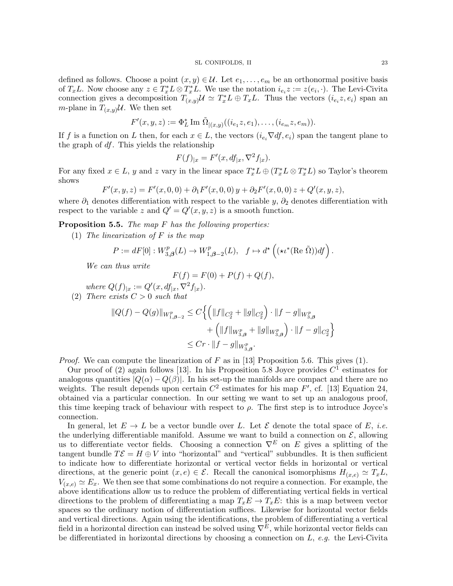defined as follows. Choose a point  $(x, y) \in \mathcal{U}$ . Let  $e_1, \ldots, e_m$  be an orthonormal positive basis of  $T_xL$ . Now choose any  $z \in T_x^*L \otimes T_x^*L$ . We use the notation  $i_{e_i}z := z(e_i, \cdot)$ . The Levi-Civita connection gives a decomposition  $T(x,y) \mathcal{U} \simeq T_x^* L \oplus T_x L$ . Thus the vectors  $(i_{e_i}z, e_i)$  span and *m*-plane in  $T_{(x,y)}\mathcal{U}$ . We then set

$$
F'(x, y, z) := \Phi_L^* \operatorname{Im} \, \tilde{\Omega}_{|(x, y)}((i_{e_1}z, e_1), \dots, (i_{e_m}z, e_m)).
$$

If f is a function on L then, for each  $x \in L$ , the vectors  $(i_{e_i} \nabla df, e_i)$  span the tangent plane to the graph of df. This yields the relationship

$$
F(f)_{|x} = F'(x, df_{|x}, \nabla^2 f_{|x}).
$$

For any fixed  $x \in L$ , y and z vary in the linear space  $T_x^*L \oplus (T_x^*L \otimes T_x^*L)$  so Taylor's theorem shows

$$
F'(x, y, z) = F'(x, 0, 0) + \partial_1 F'(x, 0, 0) y + \partial_2 F'(x, 0, 0) z + Q'(x, y, z),
$$

where  $\partial_1$  denotes differentiation with respect to the variable y,  $\partial_2$  denotes differentiation with respect to the variable z and  $Q' = Q'(x, y, z)$  is a smooth function.

**Proposition 5.5.** The map  $F$  has the following properties:

(1) The linearization of  $F$  is the map

$$
P := dF[0] : W^p_{3,\beta}(L) \to W^p_{1,\beta-2}(L), \quad f \mapsto d^{\star} \left( (\star \iota^*(\text{Re }\tilde{\Omega})) df \right).
$$

We can thus write

$$
F(f) = F(0) + P(f) + Q(f),
$$

where  $Q(f)|_x := Q'(x, df_{|x}, \nabla^2 f_{|x}).$ (2) There exists  $C > 0$  such that

$$
\begin{aligned} ||Q(f)-Q(g)||_{W_{1,\beta-2}^{p}} &\leq C\Big\{ \Big(\|f\|_{C_{2}^{2}}+\|g\|_{C_{2}^{2}}\Big)\cdot\|f-g\|_{W_{3,\beta}^{p}}\\ &\qquad +\Big(\|f\|_{W_{3,\beta}^{p}}+\|g\|_{W_{3,\beta}^{p}}\Big)\cdot\|f-g\|_{C_{2}^{2}}\Big\}\\ &\leq Cr\cdot\|f-g\|_{W_{3,\beta}^{p}}. \end{aligned}
$$

*Proof.* We can compute the linearization of F as in [13] Proposition 5.6. This gives (1).

Our proof of (2) again follows [13]. In his Proposition 5.8 Joyce provides  $C<sup>1</sup>$  estimates for analogous quantities  $|Q(\alpha) - Q(\beta)|$ . In his set-up the manifolds are compact and there are no weights. The result depends upon certain  $C^2$  estimates for his map  $F'$ , cf. [13] Equation 24, obtained via a particular connection. In our setting we want to set up an analogous proof, this time keeping track of behaviour with respect to  $\rho$ . The first step is to introduce Joyce's connection.

In general, let  $E \to L$  be a vector bundle over L. Let  $\mathcal E$  denote the total space of E, *i.e.* the underlying differentiable manifold. Assume we want to build a connection on  $\mathcal{E}$ , allowing us to differentiate vector fields. Choosing a connection  $\nabla^E$  on E gives a splitting of the tangent bundle  $T\mathcal{E} = H \oplus V$  into "horizontal" and "vertical" subbundles. It is then sufficient to indicate how to differentiate horizontal or vertical vector fields in horizontal or vertical directions, at the generic point  $(x, e) \in \mathcal{E}$ . Recall the canonical isomorphisms  $H_{(x,e)} \simeq T_xL$ ,  $V_{(x,e)} \simeq E_x$ . We then see that some combinations do not require a connection. For example, the above identifications allow us to reduce the problem of differentiating vertical fields in vertical directions to the problem of differentiating a map  $T_xE \to T_xE$ : this is a map between vector spaces so the ordinary notion of differentiation suffices. Likewise for horizontal vector fields and vertical directions. Again using the identifications, the problem of differentiating a vertical field in a horizontal direction can instead be solved using  $\nabla^E$ , while horizontal vector fields can be differentiated in horizontal directions by choosing a connection on  $L$ , e.g. the Levi-Civita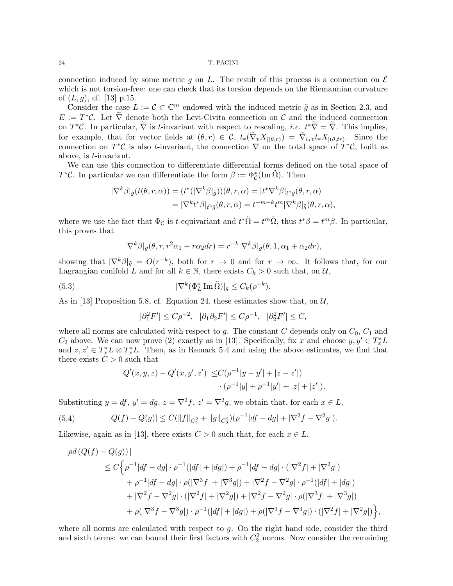connection induced by some metric q on L. The result of this process is a connection on  $\mathcal E$ which is not torsion-free: one can check that its torsion depends on the Riemannian curvature of  $(L, g)$ , cf. [13] p.15.

Consider the case  $L := \mathcal{C} \subset \mathbb{C}^m$  endowed with the induced metric  $\tilde{g}$  as in Section 2.3, and  $E := T^*\mathcal{C}$ . Let  $\widetilde{\nabla}$  denote both the Levi-Civita connection on  $\mathcal{C}$  and the induced connection on  $T^*\mathcal{C}$ . In particular,  $\tilde{\nabla}$  is t-invariant with respect to rescaling, i.e.  $t^*\tilde{\nabla} = \tilde{\nabla}$ . This implies, for example, that for vector fields at  $(\theta, r) \in \mathcal{C}$ ,  $t_*(\nabla_v X_{|(\theta,r)}) = \nabla_{t_*v} t_* X_{|(\theta, r)}$ . Since the connection on  $T^{\ast}C$  is also t-invariant, the connection  $\nabla$  on the total space of  $T^{\ast}C$ , built as above, is t-invariant.

We can use this connection to differentiate differential forms defined on the total space of  $T^*C$ . In particular we can differentiate the form  $\beta := \Phi^*_\mathcal{C}(\text{Im}\,\tilde{\Omega})$ . Then

$$
\begin{aligned} |\nabla^k \beta|_{\tilde{g}}(t(\theta, r, \alpha)) &= (t^* (|\nabla^k \beta|_{\tilde{g}}))(\theta, r, \alpha) = |t^* \nabla^k \beta|_{t^* \tilde{g}}(\theta, r, \alpha) \\ &= |\nabla^k t^* \beta|_{t^2 \tilde{g}}(\theta, r, \alpha) = t^{-m-k} t^m |\nabla^k \beta|_{\tilde{g}}(\theta, r, \alpha), \end{aligned}
$$

where we use the fact that  $\Phi_{\mathcal{C}}$  is t-equivariant and  $t^*\tilde{\Omega} = t^m\tilde{\Omega}$ , thus  $t^*\beta = t^m\beta$ . In particular, this proves that

$$
|\nabla^k \beta|_{\tilde{g}}(\theta, r, r^2 \alpha_1 + r \alpha_2 dr) = r^{-k} |\nabla^k \beta|_{\tilde{g}}(\theta, 1, \alpha_1 + \alpha_2 dr),
$$

showing that  $|\nabla^k \beta|_{\tilde{g}} = O(r^{-k})$ , both for  $r \to 0$  and for  $r \to \infty$ . It follows that, for our Lagrangian conifold L and for all  $k \in \mathbb{N}$ , there exists  $C_k > 0$  such that, on  $\mathcal{U}$ ,

(5.3) 
$$
|\nabla^k(\Phi_L^* \operatorname{Im} \tilde{\Omega})|_g \leq C_k(\rho^{-k}).
$$

As in [13] Proposition 5.8, cf. Equation 24, these estimates show that, on  $\mathcal{U}$ ,

$$
|\partial_1^2F'|\leq C\rho^{-2},\ \ |\partial_1\partial_2F'|\leq C\rho^{-1},\ \ |\partial_2^2F'|\leq C,
$$

where all norms are calculated with respect to  $g$ . The constant  $C$  depends only on  $C_0$ ,  $C_1$  and  $C_2$  above. We can now prove (2) exactly as in [13]. Specifically, fix x and choose  $y, y' \in T_x^* L$ and  $z, z' \in T_x^* L \otimes T_x^* L$ . Then, as in Remark 5.4 and using the above estimates, we find that there exists  $C > 0$  such that

$$
|Q'(x,y,z) - Q'(x,y',z')| \le C(\rho^{-1}|y-y'| + |z-z'|) \cdot (\rho^{-1}|y| + \rho^{-1}|y'| + |z| + |z'|).
$$

Substituting  $y = df$ ,  $y' = dg$ ,  $z = \nabla^2 f$ ,  $z' = \nabla^2 g$ , we obtain that, for each  $x \in L$ ,

(5.4) 
$$
|Q(f) - Q(g)| \le C(||f||_{C_2^2} + ||g||_{C_2^2})(\rho^{-1}|df - dg| + |\nabla^2 f - \nabla^2 g|).
$$

Likewise, again as in [13], there exists  $C > 0$  such that, for each  $x \in L$ ,

$$
|\rho d (Q(f) - Q(g))|
$$
  
\n
$$
\leq C \Big\{ \rho^{-1} |df - dg| \cdot \rho^{-1} (|df| + |dg|) + \rho^{-1} |df - dg| \cdot (|\nabla^2 f| + |\nabla^2 g|)
$$
  
\n
$$
+ \rho^{-1} |df - dg| \cdot \rho (|\nabla^3 f| + |\nabla^3 g|) + |\nabla^2 f - \nabla^2 g| \cdot \rho^{-1} (|df| + |dg|)
$$
  
\n
$$
+ |\nabla^2 f - \nabla^2 g| \cdot (|\nabla^2 f| + |\nabla^2 g|) + |\nabla^2 f - \nabla^2 g| \cdot \rho (|\nabla^3 f| + |\nabla^3 g|)
$$
  
\n
$$
+ \rho (|\nabla^3 f - \nabla^3 g|) \cdot \rho^{-1} (|df| + |dg|) + \rho (|\nabla^3 f - \nabla^3 g|) \cdot (|\nabla^2 f| + |\nabla^2 g|) \Big\},
$$

where all norms are calculated with respect to  $g$ . On the right hand side, consider the third and sixth terms: we can bound their first factors with  $C_2^2$  norms. Now consider the remaining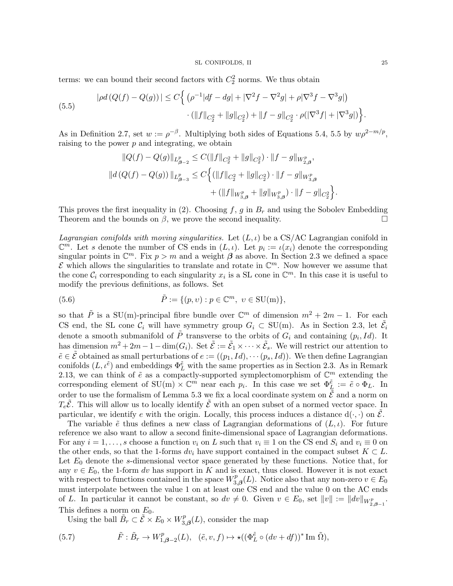terms: we can bound their second factors with  $C_2^2$  norms. We thus obtain

(5.5) 
$$
|\rho d (Q(f) - Q(g))| \le C \Big\{ \left( \rho^{-1} |df - dg| + |\nabla^2 f - \nabla^2 g| + \rho |\nabla^3 f - \nabla^3 g| \right) \cdot (||f||_{C_2^2} + ||g||_{C_2^2}) + ||f - g||_{C_2^2} \cdot \rho (|\nabla^3 f| + |\nabla^3 g|) \Big\}.
$$

As in Definition 2.7, set  $w := \rho^{-\beta}$ . Multiplying both sides of Equations 5.4, 5.5 by  $w\rho^{2-m/p}$ , raising to the power  $p$  and integrating, we obtain

$$
\begin{aligned} \|Q(f) - Q(g)\|_{L^p_{\beta-2}} &\leq C(\|f\|_{C_2^2} + \|g\|_{C_2^2}) \cdot \|f - g\|_{W^p_{2,\beta}},\\ \|d\left(Q(f) - Q(g)\right)\|_{L^p_{\beta-3}} &\leq C\Big\{(\|f\|_{C_2^2} + \|g\|_{C_2^2}) \cdot \|f - g\|_{W^p_{3,\beta}}\\ &+ (\|f\|_{W^p_{3,\beta}} + \|g\|_{W^p_{3,\beta}}) \cdot \|f - g\|_{C_2^2}\Big\}. \end{aligned}
$$

This proves the first inequality in (2). Choosing  $f, g$  in  $B_r$  and using the Sobolev Embedding Theorem and the bounds on  $\beta$ , we prove the second inequality.

*Lagrangian conifolds with moving singularities.* Let  $(L, \iota)$  be a CS/AC Lagrangian conifold in  $\mathbb{C}^m$ . Let s denote the number of CS ends in  $(L, \iota)$ . Let  $p_i := \iota(x_i)$  denote the corresponding singular points in  $\mathbb{C}^m$ . Fix  $p > m$  and a weight  $\beta$  as above. In Section 2.3 we defined a space  $\mathcal E$  which allows the singularities to translate and rotate in  $\mathbb C^m$ . Now however we assume that the cone  $\mathcal{C}_i$  corresponding to each singularity  $x_i$  is a SL cone in  $\mathbb{C}^m$ . In this case it is useful to modify the previous definitions, as follows. Set

(5.6) 
$$
\tilde{P} := \{(p, v) : p \in \mathbb{C}^m, v \in \text{SU(m)}\},
$$

so that  $\tilde{P}$  is a SU(m)-principal fibre bundle over  $\mathbb{C}^m$  of dimension  $m^2 + 2m - 1$ . For each CS end, the SL cone  $\mathcal{C}_i$  will have symmetry group  $G_i \subset SU(m)$ . As in Section 2.3, let  $\tilde{\mathcal{E}}_i$ denote a smooth submanifold of  $\tilde{P}$  transverse to the orbits of  $G_i$  and containing  $(p_i, Id)$ . It has dimension  $m^2 + 2m - 1 - \dim(G_i)$ . Set  $\tilde{E} := \tilde{E}_1 \times \cdots \times \tilde{E}_s$ . We will restrict our attention to  $\tilde{e} \in \tilde{\mathcal{E}}$  obtained as small perturbations of  $e := ((p_1, Id), \cdots (p_s, Id))$ . We then define Lagrangian conifolds  $(L, \iota^{\tilde{e}})$  and embeddings  $\Phi_L^{\tilde{e}}$  with the same properties as in Section 2.3. As in Remark 2.13, we can think of  $\tilde{e}$  as a compactly-supported symplectomorphism of  $\mathbb{C}^m$  extending the corresponding element of SU(m)  $\times \mathbb{C}^m$  near each  $p_i$ . In this case we set  $\Phi_{L_i}^{\tilde{e}} := \tilde{e} \circ \Phi_L$ . In order to use the formalism of Lemma 5.3 we fix a local coordinate system on  $\tilde{\vec{\mathcal{E}}}$  and a norm on  $T_e\tilde{\mathcal{E}}$ . This will allow us to locally identify  $\tilde{\mathcal{E}}$  with an open subset of a normed vector space. In particular, we identify e with the origin. Locally, this process induces a distance  $d(\cdot, \cdot)$  on  $\mathcal{E}$ .

The variable  $\tilde{e}$  thus defines a new class of Lagrangian deformations of  $(L, \iota)$ . For future reference we also want to allow a second finite-dimensional space of Lagrangian deformations. For any  $i = 1, \ldots, s$  choose a function  $v_i$  on L such that  $v_i \equiv 1$  on the CS end  $S_i$  and  $v_i \equiv 0$  on the other ends, so that the 1-forms dv<sub>i</sub> have support contained in the compact subset  $K \subset L$ . Let  $E_0$  denote the s-dimensional vector space generated by these functions. Notice that, for any  $v \in E_0$ , the 1-form dv has support in K and is exact, thus closed. However it is not exact with respect to functions contained in the space  $W_3^p$  $\mathcal{L}_{3,\boldsymbol{\beta}}^p(L)$ . Notice also that any non-zero  $v \in E_0$ must interpolate between the value 1 on at least one CS end and the value 0 on the AC ends of L. In particular it cannot be constant, so  $dv \neq 0$ . Given  $v \in E_0$ , set  $||v|| := ||dv||_{W^p_{2,\beta-1}}$ . This defines a norm on  $E_0$ .

Using the ball  $\tilde{B}_r \subset \tilde{\mathcal{E}} \times E_0 \times W_3^p$  $T_{3,\boldsymbol{\beta}}^p(L)$ , consider the map

(5.7) 
$$
\tilde{F}: \tilde{B}_r \to W^p_{1,\beta-2}(L), \quad (\tilde{e}, v, f) \mapsto \star ((\Phi_L^{\tilde{e}} \circ (dv + df))^* \text{Im } \tilde{\Omega}),
$$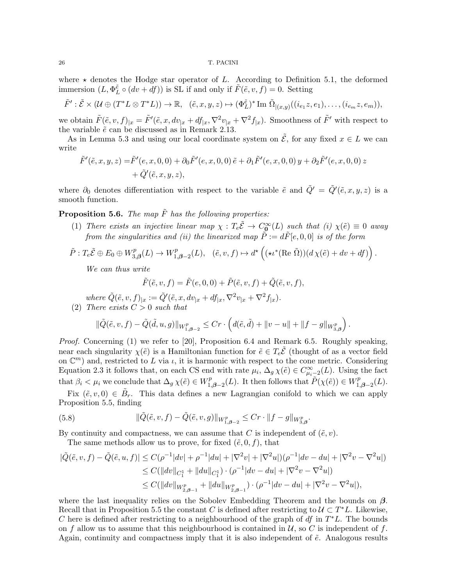where  $\star$  denotes the Hodge star operator of L. According to Definition 5.1, the deformed immersion  $(L, \Phi_L^{\tilde{e}} \circ (dv + \bar{d}f))$  is SL if and only if  $\tilde{F}(\tilde{e}, v, f) = 0$ . Setting

$$
\tilde{F}': \tilde{\mathcal{E}} \times (\mathcal{U} \oplus (T^*L \otimes T^*L)) \to \mathbb{R}, \quad (\tilde{e}, x, y, z) \mapsto (\Phi_L^{\tilde{e}})^* \text{Im } \tilde{\Omega}_{|(x,y)}((i_{e_1}z, e_1), \dots, (i_{e_m}z, e_m)),
$$

we obtain  $\tilde{F}(\tilde{e}, v, f)|_x = \tilde{F}'(\tilde{e}, x, dv_{|x} + df_{|x}, \nabla^2 v_{|x} + \nabla^2 f_{|x})$ . Smoothness of  $\tilde{F}'$  with respect to the variable  $\tilde{e}$  can be discussed as in Remark 2.13.

As in Lemma 5.3 and using our local coordinate system on  $\tilde{\mathcal{E}}$ , for any fixed  $x \in L$  we can write

$$
\tilde{F}'(\tilde{e}, x, y, z) = \tilde{F}'(e, x, 0, 0) + \partial_0 \tilde{F}'(e, x, 0, 0) \tilde{e} + \partial_1 \tilde{F}'(e, x, 0, 0) y + \partial_2 \tilde{F}'(e, x, 0, 0) z + \tilde{Q}'(\tilde{e}, x, y, z),
$$

where  $\partial_0$  denotes differentiation with respect to the variable  $\tilde{e}$  and  $\tilde{Q}' = \tilde{Q}'(\tilde{e}, x, y, z)$  is a smooth function.

**Proposition 5.6.** The map  $\tilde{F}$  has the following properties:

(1) There exists an injective linear map  $\chi : T_e \tilde{E} \to C_0^{\infty}(L)$  such that (i)  $\chi(\tilde{e}) \equiv 0$  away from the singularities and (ii) the linearized map  $\tilde{P} := d\tilde{F}[e, 0, 0]$  is of the form

$$
\tilde{P}: T_e\tilde{\mathcal{E}} \oplus E_0 \oplus W^p_{3,\beta}(L) \to W^p_{1,\beta-2}(L), \quad (\tilde{e}, v, f) \mapsto d^{\star}\left((\star \iota^*(\text{Re }\tilde{\Omega}))(d\chi(\tilde{e}) + dv + df)\right).
$$

We can thus write

$$
\tilde{F}(\tilde{e}, v, f) = \tilde{F}(e, 0, 0) + \tilde{P}(\tilde{e}, v, f) + \tilde{Q}(\tilde{e}, v, f),
$$

where  $\tilde{Q}(\tilde{e}, v, f)_{|x} := \tilde{Q}'(\tilde{e}, x, dv_{|x} + df_{|x}, \nabla^2 v_{|x} + \nabla^2 f_{|x}).$ 

(2) There exists  $C > 0$  such that

$$
\|\tilde{Q}(\tilde{e}, v, f) - \tilde{Q}(\tilde{d}, u, g)\|_{W^p_{1, \beta - 2}} \leq C r \cdot \left(d(\tilde{e}, \tilde{d}) + \|v - u\| + \|f - g\|_{W^p_{3, \beta}}\right).
$$

Proof. Concerning (1) we refer to [20], Proposition 6.4 and Remark 6.5. Roughly speaking, near each singularity  $\chi(\tilde{e})$  is a Hamiltonian function for  $\tilde{e} \in T_e \tilde{\mathcal{E}}$  (thought of as a vector field on  $\mathbb{C}^m$ ) and, restricted to L via  $\iota$ , it is harmonic with respect to the cone metric. Considering Equation 2.3 it follows that, on each CS end with rate  $\mu_i$ ,  $\Delta_g \chi(\tilde{e}) \in C^{\infty}_{\mu_i-2}(L)$ . Using the fact that  $\beta_i < \mu_i$  we conclude that  $\Delta_g \chi(\tilde{e}) \in W_1^p$  $\tilde{P}_{1,\beta-2}^p(L)$ . It then follows that  $\tilde{P}(\chi(\tilde{e})) \in W^p_{1,\beta-2}$  $T_{1,\boldsymbol{\beta}-2}^{p}(L).$ 

Fix  $(\tilde{e}, v, 0) \in \tilde{B}_r$ . This data defines a new Lagrangian conifold to which we can apply Proposition 5.5, finding

(5.8) 
$$
\|\tilde{Q}(\tilde{e}, v, f) - \tilde{Q}(\tilde{e}, v, g)\|_{W^p_{1, \beta - 2}} \leq C r \cdot \|f - g\|_{W^p_{3, \beta}}.
$$

By continuity and compactness, we can assume that C is independent of  $(\tilde{e}, v)$ .

The same methods allow us to prove, for fixed  $(\tilde{e}, 0, f)$ , that

$$
\begin{aligned} |\tilde{Q}(\tilde{e}, v, f) - \tilde{Q}(\tilde{e}, u, f)| &\le C(\rho^{-1}|dv| + \rho^{-1}|du| + |\nabla^2 v| + |\nabla^2 u|)(\rho^{-1}|dv - du| + |\nabla^2 v - \nabla^2 u|) \\ &\le C(\|dv\|_{C_1^1} + \|du\|_{C_1^1}) \cdot (\rho^{-1}|dv - du| + |\nabla^2 v - \nabla^2 u|) \\ &\le C(\|dv\|_{W^p_{2, \beta - 1}} + \|du\|_{W^p_{2, \beta - 1}}) \cdot (\rho^{-1}|dv - du| + |\nabla^2 v - \nabla^2 u|), \end{aligned}
$$

where the last inequality relies on the Sobolev Embedding Theorem and the bounds on  $\beta$ . Recall that in Proposition 5.5 the constant C is defined after restricting to  $\mathcal{U} \subset T^*L$ . Likewise, C here is defined after restricting to a neighbourhood of the graph of  $df$  in  $T^*L$ . The bounds on f allow us to assume that this neighbourhood is contained in  $\mathcal{U}$ , so C is independent of f. Again, continuity and compactness imply that it is also independent of  $\tilde{e}$ . Analogous results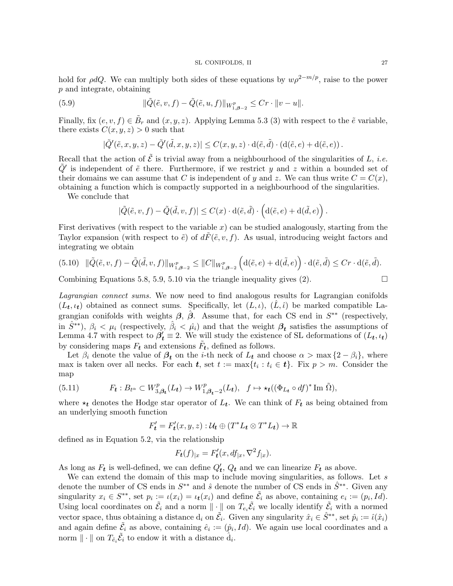hold for  $\rho dQ$ . We can multiply both sides of these equations by  $w\rho^{2-m/p}$ , raise to the power p and integrate, obtaining

(5.9) 
$$
\|\tilde{Q}(\tilde{e}, v, f) - \tilde{Q}(\tilde{e}, u, f)\|_{W^p_{1, \beta - 2}} \leq C r \cdot \|v - u\|.
$$

Finally, fix  $(e, v, f) \in \tilde{B}_r$  and  $(x, y, z)$ . Applying Lemma 5.3 (3) with respect to the  $\tilde{e}$  variable, there exists  $C(x, y, z) > 0$  such that

$$
|\tilde{Q}'(\tilde{e},x,y,z)-\tilde{Q}'(\tilde{d},x,y,z)|\leq C(x,y,z)\cdot {\rm d}(\tilde{e},\tilde{d})\cdot \left( {\rm d}(\tilde{e},e)+{\rm d}(\tilde{e},e)\right).
$$

Recall that the action of  $\tilde{\mathcal{E}}$  is trivial away from a neighbourhood of the singularities of L, *i.e.*  $\tilde{Q}'$  is independent of  $\tilde{e}$  there. Furthermore, if we restrict y and z within a bounded set of their domains we can assume that C is independent of y and z. We can thus write  $C = C(x)$ , obtaining a function which is compactly supported in a neighbourhood of the singularities.

We conclude that

$$
|\tilde{Q}(\tilde{e}, v, f) - \tilde{Q}(\tilde{d}, v, f)| \leq C(x) \cdot d(\tilde{e}, \tilde{d}) \cdot \left( d(\tilde{e}, e) + d(\tilde{d}, e) \right).
$$

First derivatives (with respect to the variable  $x$ ) can be studied analogously, starting from the Taylor expansion (with respect to  $\tilde{e}$ ) of  $d\tilde{F}(\tilde{e}, v, f)$ . As usual, introducing weight factors and integrating we obtain

$$
(5.10) \quad \|\tilde{Q}(\tilde{e}, v, f) - \tilde{Q}(\tilde{d}, v, f)\|_{W^p_{1, \beta - 2}} \le \|C\|_{W^p_{1, \beta - 2}} \left(\mathrm{d}(\tilde{e}, e) + \mathrm{d}(\tilde{d}, e)\right) \cdot \mathrm{d}(\tilde{e}, \tilde{d}) \le Cr \cdot \mathrm{d}(\tilde{e}, \tilde{d}).
$$

Combining Equations 5.8, 5.9, 5.10 via the triangle inequality gives  $(2)$ .

Lagrangian connect sums. We now need to find analogous results for Lagrangian conifolds  $(L_t, \iota_t)$  obtained as connect sums. Specifically, let  $(L, \iota)$ ,  $(L, \hat{\iota})$  be marked compatible Lagrangian conifolds with weights  $\beta$ ,  $\hat{\beta}$ . Assume that, for each CS end in  $S^{**}$  (respectively, in  $\hat{S}^{**}$ ),  $\beta_i < \mu_i$  (respectively,  $\hat{\beta}_i < \hat{\mu}_i$ ) and that the weight  $\beta_t$  satisfies the assumptions of Lemma 4.7 with respect to  $\beta'_t \equiv 2$ . We will study the existence of SL deformations of  $(L_t, \iota_t)$ by considering maps  $F_t$  and extensions  $\tilde{F}_t$ , defined as follows.

Let  $\beta_i$  denote the value of  $\beta_t$  on the *i*-th neck of  $L_t$  and choose  $\alpha > \max\{2-\beta_i\}$ , where max is taken over all necks. For each  $t$ , set  $t := \max\{t_i : t_i \in t\}$ . Fix  $p > m$ . Consider the map

(5.11) 
$$
F_t: B_{t^{\alpha}} \subset W^p_{3,\beta_t}(L_t) \to W^p_{1,\beta_t-2}(L_t), \quad f \mapsto \star_t((\Phi_{L_t} \circ df)^* \text{Im } \tilde{\Omega}),
$$

where  $\star_t$  denotes the Hodge star operator of  $L_t$ . We can think of  $F_t$  as being obtained from an underlying smooth function

$$
F'_{t} = F'_{t}(x, y, z) : \mathcal{U}_{t} \oplus (T^{*}L_{t} \otimes T^{*}L_{t}) \to \mathbb{R}
$$

defined as in Equation 5.2, via the relationship

$$
F_{\mathbf{t}}(f)_{|x} = F'_{\mathbf{t}}(x, df_{|x}, \nabla^2 f_{|x}).
$$

As long as  $F_t$  is well-defined, we can define  $Q'_t$ ,  $Q_t$  and we can linearize  $F_t$  as above.

We can extend the domain of this map to include moving singularities, as follows. Let  $s$ denote the number of CS ends in  $S^{**}$  and  $\hat{s}$  denote the number of CS ends in  $\hat{S}^{**}$ . Given any singularity  $x_i \in S^{**}$ , set  $p_i := \iota(x_i) = \iota_t(x_i)$  and define  $\tilde{\mathcal{E}}_i$  as above, containing  $e_i := (p_i, Id)$ . Using local coordinates on  $\tilde{\mathcal{E}}_i$  and a norm  $\|\cdot\|$  on  $T_{e_i}\tilde{\mathcal{E}}_i$  we locally identify  $\tilde{\mathcal{E}}_i$  with a normed vector space, thus obtaining a distance  $d_i$  on  $\tilde{\mathcal{E}}_i$ . Given any singularity  $\hat{x}_i \in \hat{S}^{**}$ , set  $\hat{p}_i := \hat{\iota}(\hat{x}_i)$ and again define  $\tilde{\mathcal{E}}_i$  as above, containing  $\hat{e}_i := (\hat{p}_i, Id)$ . We again use local coordinates and a norm  $\|\cdot\|$  on  $T_{\hat{e}_i}\tilde{\mathcal{E}}_i$  to endow it with a distance  $\hat{d}_i$ .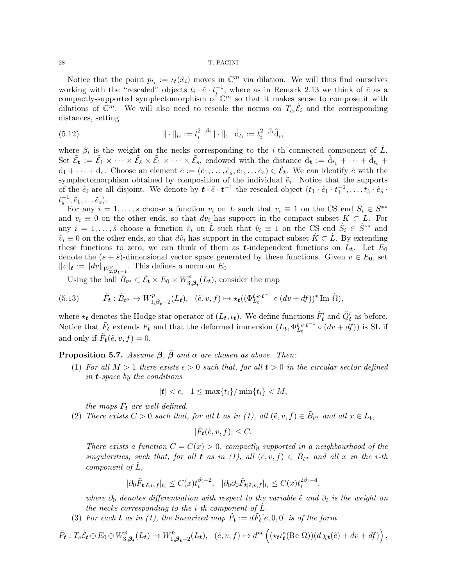Notice that the point  $p_{t_i} := \iota_t(\hat{x}_i)$  moves in  $\mathbb{C}^m$  via dilation. We will thus find ourselves working with the "rescaled" objects  $t_i \cdot \tilde{e} \cdot t_i^{-1}$ , where as in Remark 2.13 we think of  $\tilde{e}$  as a compactly-supported symplectomorphism of  $\mathbb{C}^m$  so that it makes sense to compose it with dilations of  $\mathbb{C}^m$ . We will also need to rescale the norms on  $T_{\hat{e}_i} \tilde{\mathcal{E}}_i$  and the corresponding distances, setting

(5.12) 
$$
\|\cdot\|_{t_i} := t_i^{2-\beta_i}\|\cdot\|, \quad \hat{\mathbf{d}}_{t_i} := t_i^{2-\beta_i}\hat{\mathbf{d}}_i,
$$

where  $\beta_i$  is the weight on the necks corresponding to the *i*-th connected component of  $\hat{L}$ . Set  $\tilde{\mathcal{E}}_{t} := \tilde{\mathcal{E}}_{1} \times \cdots \times \tilde{\mathcal{E}}_{s} \times \tilde{\mathcal{E}}_{1} \times \cdots \times \tilde{\mathcal{E}}_{s}$ , endowed with the distance  $d_{t} := \hat{d}_{t_{1}} + \cdots + \hat{d}_{t_{\hat{s}}}$  $d_1+\cdots+d_s$ . Choose an element  $\tilde{e}:=(\tilde{e}_1,\ldots,\tilde{e}_s,\tilde{e}_1,\ldots,\tilde{e}_s)\in\tilde{\mathcal{E}}_{t}$ . We can identify  $\tilde{e}$  with the symplectomorphism obtained by composition of the individual  $\tilde{e}_i$ . Notice that the supports of the  $\tilde{e}_i$  are all disjoint. We denote by  $\boldsymbol{t} \cdot \tilde{e} \cdot \boldsymbol{t}^{-1}$  the rescaled object  $(t_1 \cdot \tilde{e}_1 \cdot t_1^{-1}, \ldots, t_s \cdot \tilde{e}_s \cdot t_s^{-1})$  $t_{\hat{\circ}}^{-1}$  $\tilde{\hat{s}}^{-1}, \tilde{e}_1, \ldots \tilde{e}_s$ ).

For any  $i = 1, ..., s$  choose a function  $v_i$  on L such that  $v_i \equiv 1$  on the CS end  $S_i \in S^{**}$ and  $v_i \equiv 0$  on the other ends, so that  $dv_i$  has support in the compact subset  $K \subset L$ . For any  $i = 1, \ldots, \hat{s}$  choose a function  $\hat{v}_i$  on  $\hat{L}$  such that  $\hat{v}_i \equiv 1$  on the CS end  $\hat{S}_i \in \hat{S}^{**}$  and  $\hat{v}_i \equiv 0$  on the other ends, so that  $d\hat{v}_i$  has support in the compact subset  $\hat{K} \subset \hat{L}$ . By extending these functions to zero, we can think of them as t-independent functions on  $L_t$ . Let  $E_0$ denote the  $(s + \hat{s})$ -dimensional vector space generated by these functions. Given  $v \in E_0$ , set  $||v||_t := ||dv||_{W^p_{2,\beta_{t-1}}}$ . This defines a norm on  $E_0$ .

Using the ball  $\tilde{B}_{t^{\alpha}} \subset \tilde{\mathcal{E}}_{t} \times E_{0} \times W_{3}^{p}$  $t_{3,\beta_t}^p(L_t)$ , consider the map

(5.13) 
$$
\tilde{F}_{t}: \tilde{B}_{t^{\alpha}} \to W_{1,\beta_{t}-2}^{p}(L_{t}), \quad (\tilde{e}, v, f) \mapsto \star_{t}((\Phi_{L_{t}}^{t \cdot \tilde{e} \cdot t^{-1}} \circ (dv + df))^{*} \text{Im } \tilde{\Omega}),
$$

where  $\star_t$  denotes the Hodge star operator of  $(L_t, \iota_t)$ . We define functions  $\tilde{F}'_t$  and  $\tilde{Q}'_t$  as before. Notice that  $\tilde{F}_t$  extends  $F_t$  and that the deformed immersion  $(L_t, \Phi_{L_t}^{t\tilde{e}_t t^{-1}} \circ (dv + df))$  is SL if and only if  $\tilde{F}_t(\tilde{e}, v, f) = 0$ .

**Proposition 5.7.** Assume  $\beta$ ,  $\hat{\beta}$  and  $\alpha$  are chosen as above. Then:

(1) For all  $M > 1$  there exists  $\epsilon > 0$  such that, for all  $t > 0$  in the circular sector defined in t-space by the conditions

$$
|\boldsymbol{t}| < \epsilon, \quad 1 \le \max\{t_i\} / \min\{t_i\} < M,
$$

the maps  $F_t$  are well-defined.

(2) There exists  $C > 0$  such that, for all **t** as in (1), all  $(\tilde{e}, v, f) \in \tilde{B}_{t^{\alpha}}$  and all  $x \in L_t$ ,

$$
|\tilde{F}_{t}(\tilde{e}, v, f)| \leq C.
$$

There exists a function  $C = C(x) > 0$ , compactly supported in a neighbourhood of the singularities, such that, for all **t** as in (1), all  $(\tilde{e}, v, f) \in \tilde{B}_{t^{\alpha}}$  and all x in the *i*-th component of  $L$ ,

$$
|\partial_0 \tilde{F}_{t|\tilde{e},v,f}|_{t_i} \le C(x)t_i^{\beta_i - 2}, \quad |\partial_0 \partial_0 \tilde{F}_{t|\tilde{e},v,f}|_{t_i} \le C(x)t_i^{2\beta_i - 4},
$$

where  $\partial_0$  denotes differentiation with respect to the variable  $\tilde{e}$  and  $\beta_i$  is the weight on the necks corresponding to the *i*-th component of  $\tilde{L}$ .

(3) For each **t** as in (1), the linearized map  $\tilde{P}_t := d\tilde{F}_t[e, 0, 0]$  is of the form

$$
\tilde{P}_{t}: T_{e}\tilde{\mathcal{E}}_{t} \oplus E_{0} \oplus W_{3,\beta_{t}}^{p}(L_{t}) \to W_{1,\beta_{t}-2}^{p}(L_{t}), \quad (\tilde{e}, v, f) \mapsto d^{\star t}\left((\star_{t}\iota_{t}^{*}(\text{Re }\tilde{\Omega}))(d\chi_{t}(\tilde{e}) + dv + df)\right),
$$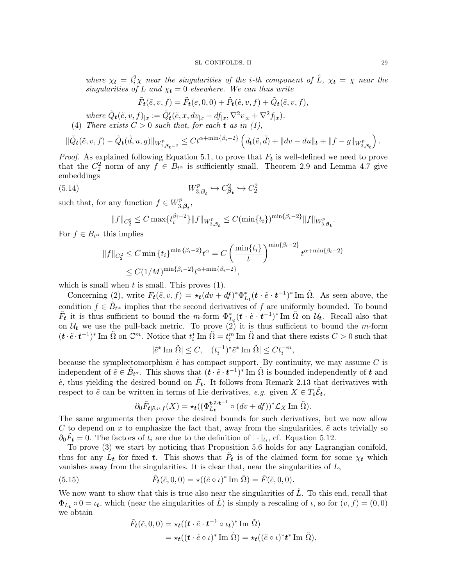where  $\chi_t = t_i^2 \chi$  near the singularities of the *i*-th component of  $\hat{L}$ ,  $\chi_t = \chi$  near the singularities of L and  $\chi_t = 0$  elsewhere. We can thus write

$$
\tilde{F}_{t}(\tilde{e}, v, f) = \tilde{F}_{t}(e, 0, 0) + \tilde{P}_{t}(\tilde{e}, v, f) + \tilde{Q}_{t}(\tilde{e}, v, f),
$$

where  $\tilde{Q}_{t}(\tilde{e}, v, f)_{|x} := \tilde{Q}'_{t}(\tilde{e}, x, dv_{|x} + df_{|x}, \nabla^2 v_{|x} + \nabla^2 f_{|x}).$ (4) There exists  $C > 0$  such that, for each **t** as in (1),

$$
\|\tilde{Q}_{t}(\tilde{e}, v, f) - \tilde{Q}_{t}(\tilde{d}, u, g)\|_{W_{1, \beta_{t}-2}^{p}} \leq C t^{\alpha + \min\{\beta_{i}-2\}} \left(d_{t}(\tilde{e}, \tilde{d}) + \|dv - du\|_{t} + \|f - g\|_{W_{3, \beta_{t}}^{p}}\right).
$$

*Proof.* As explained following Equation 5.1, to prove that  $F_t$  is well-defined we need to prove that the  $C_2^2$  norm of any  $f \in B_{t^{\alpha}}$  is sufficiently small. Theorem 2.9 and Lemma 4.7 give embeddings

$$
(5.14) \t\t W_{3,\beta_t}^p \hookrightarrow C_{\beta_t}^2 \hookrightarrow C_2^2
$$

such that, for any function  $f \in W_3^p$  $\overset{\cdot p}{_{3,\bm{\beta_t}}},$ 

$$
||f||_{C_2^2} \leq C \max\{t_i^{\beta_i-2}\} ||f||_{W_{3,\beta_t}^p} \leq C(\min\{t_i\})^{\min\{\beta_i-2\}} ||f||_{W_{3,\beta_t}^p}.
$$

For  $f \in B_{t^{\alpha}}$  this implies

$$
||f||_{C_2^2} \le C \min\{t_i\}^{\min\{\beta_i-2\}} t^{\alpha} = C \left(\frac{\min\{t_i\}}{t}\right)^{\min\{\beta_i-2\}} t^{\alpha+\min\{\beta_i-2\}} \le C(1/M)^{\min\{\beta_i-2\}} t^{\alpha+\min\{\beta_i-2\}},
$$

which is small when  $t$  is small. This proves  $(1)$ .

Concerning (2), write  $F_t(\tilde{e}, v, f) = \star_t (dv + df)^* \Phi_{L_t}^*(t \cdot \tilde{e} \cdot t^{-1})^*$  Im  $\tilde{\Omega}$ . As seen above, the condition  $f \in \tilde{B}_{t^{\alpha}}$  implies that the second derivatives of f are uniformly bounded. To bound  $\tilde{F}_t$  it is thus sufficient to bound the m-form  $\Phi_{L_t}^*(t \cdot \tilde{e} \cdot t^{-1})^*$  Im  $\tilde{\Omega}$  on  $\mathcal{U}_t$ . Recall also that on  $\mathcal{U}_t$  we use the pull-back metric. To prove (2) it is thus sufficient to bound the m-form  $(\boldsymbol{t} \cdot \tilde{e} \cdot \boldsymbol{t}^{-1})^*$  Im  $\tilde{\Omega}$  on  $\mathbb{C}^m$ . Notice that  $t_i^*$  Im  $\tilde{\Omega} = t_i^m$  Im  $\tilde{\Omega}$  and that there exists  $C > 0$  such that

$$
|\tilde{e}^* \operatorname{Im} \tilde{\Omega}| \le C, \ \ |(t_i^{-1})^* \tilde{e}^* \operatorname{Im} \tilde{\Omega}| \le Ct_i^{-m},
$$

because the symplectomorphism  $\tilde{e}$  has compact support. By continuity, we may assume C is independent of  $\tilde{e} \in \tilde{B}_{t^{\alpha}}$ . This shows that  $(\tilde{t} \cdot \tilde{e} \cdot t^{-1})^*$  Im  $\tilde{\Omega}$  is bounded independently of  $t$  and  $\tilde{e}$ , thus yielding the desired bound on  $\tilde{F}_t$ . It follows from Remark 2.13 that derivatives with respect to  $\tilde{e}$  can be written in terms of Lie derivatives, e.g. given  $X \in T_{\tilde{e}} \tilde{\mathcal{E}}_{t}$ ,

$$
\partial_0 \tilde{F}_{t|\tilde{e},v,f}(X) = \star_t ((\Phi_{L_t}^{t \cdot \tilde{e} \cdot t^{-1}} \circ (dv + df))^* \mathcal{L}_X \operatorname{Im} \tilde{\Omega}).
$$

The same arguments then prove the desired bounds for such derivatives, but we now allow C to depend on x to emphasize the fact that, away from the singularities,  $\tilde{e}$  acts trivially so  $\partial_0 \tilde{F}_t = 0$ . The factors of  $t_i$  are due to the definition of  $|\cdot|_{t_i}$ , cf. Equation 5.12.

To prove (3) we start by noticing that Proposition 5.6 holds for any Lagrangian conifold, thus for any  $L_t$  for fixed t. This shows that  $\tilde{P}_t$  is of the claimed form for some  $\chi_t$  which vanishes away from the singularities. It is clear that, near the singularities of  $L$ ,

(5.15) 
$$
\tilde{F}_{t}(\tilde{e}, 0, 0) = \star ((\tilde{e} \circ \iota)^* \operatorname{Im} \tilde{\Omega}) = \tilde{F}(\tilde{e}, 0, 0).
$$

We now want to show that this is true also near the singularities of  $\hat{L}$ . To this end, recall that  $\Phi_{L_t} \circ 0 = \iota_t$ , which (near the singularities of  $\hat{L}$ ) is simply a rescaling of  $\iota$ , so for  $(v, f) = (0, 0)$ we obtain

$$
\tilde{F}_{t}(\tilde{e}, 0, 0) = \star_{t}((t \cdot \tilde{e} \cdot t^{-1} \circ \iota_{t})^{*} \operatorname{Im} \tilde{\Omega})
$$
\n
$$
= \star_{t}((t \cdot \tilde{e} \circ \iota)^{*} \operatorname{Im} \tilde{\Omega}) = \star_{t}((\tilde{e} \circ \iota)^{*} t^{*} \operatorname{Im} \tilde{\Omega}).
$$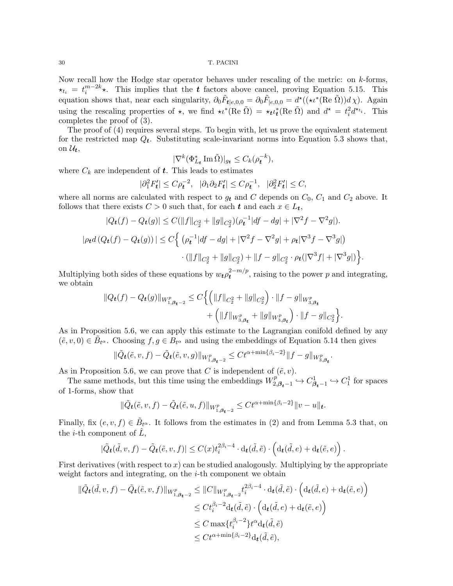Now recall how the Hodge star operator behaves under rescaling of the metric: on  $k$ -forms,  $\star_{t_i} = t_i^{m-2k} \star$ . This implies that the t factors above cancel, proving Equation 5.15. This equation shows that, near each singularity,  $\partial_0 \tilde{F}_{t|e,0,0} = \partial_0 \tilde{F}_{|e,0,0} = d^{\star}((\star \iota^*(\text{Re }\tilde{\Omega}))d\chi)$ . Again using the rescaling properties of  $\star$ , we find  $\star t^*$ (Re  $\tilde{\Omega}$ ) =  $\star_t t^*$ (Re  $\tilde{\Omega}$ ) and  $d^* = t^2_i d^{*t_i}$ . This completes the proof of (3).

The proof of (4) requires several steps. To begin with, let us prove the equivalent statement for the restricted map  $Q_t$ . Substituting scale-invariant norms into Equation 5.3 shows that, on  $\mathcal{U}_t$ ,

$$
|\nabla^k(\Phi_{L_t}^*\operatorname{Im}\tilde{\Omega})|_{g_t} \leq C_k(\rho_t^{-k}),
$$

where  $C_k$  are independent of  $t$ . This leads to estimates

$$
|\partial_1^2 F'_t| \le C \rho_t^{-2}, \quad |\partial_1 \partial_2 F'_t| \le C \rho_t^{-1}, \quad |\partial_2^2 F'_t| \le C,
$$

where all norms are calculated with respect to  $g_t$  and C depends on  $C_0$ ,  $C_1$  and  $C_2$  above. It follows that there exists  $C > 0$  such that, for each  $t$  and each  $x \in L_t$ ,

$$
|Q_{t}(f) - Q_{t}(g)| \le C(||f||_{C_{2}^{2}} + ||g||_{C_{2}^{2}})(\rho_{t}^{-1}|df - dg| + |\nabla^{2} f - \nabla^{2} g|).
$$
  

$$
|\rho_{t}d(Q_{t}(f) - Q_{t}(g))| \le C\left\{ \left(\rho_{t}^{-1}|df - dg| + |\nabla^{2} f - \nabla^{2} g| + \rho_{t}|\nabla^{3} f - \nabla^{3} g|\right) \right.
$$
  

$$
\cdot (||f||_{C_{2}^{2}} + ||g||_{C_{2}^{2}}) + ||f - g||_{C_{2}^{2}} \cdot \rho_{t}(|\nabla^{3} f| + |\nabla^{3} g|) \right\}.
$$

Multiplying both sides of these equations by  $w_t \rho_t^{2-m/p}$  $t^{2-m/p}$ , raising to the power p and integrating, we obtain

$$
||Q_{t}(f) - Q_{t}(g)||_{W_{1,\beta_{t}-2}^{p}} \leq C \Big\{ \Big(||f||_{C_{2}^{2}} + ||g||_{C_{2}^{2}}\Big) \cdot ||f - g||_{W_{3,\beta_{t}}^{p}} + \Big(||f||_{W_{3,\beta_{t}}^{p}} + ||g||_{W_{3,\beta_{t}}^{p}}\Big) \cdot ||f - g||_{C_{2}^{2}} \Big\}.
$$

As in Proposition 5.6, we can apply this estimate to the Lagrangian conifold defined by any  $(\tilde{e}, v, 0) \in \tilde{B}_{t^{\alpha}}$ . Choosing  $f, g \in B_{t^{\alpha}}$  and using the embeddings of Equation 5.14 then gives

$$
\|\tilde{Q}_{t}(\tilde{e}, v, f) - \tilde{Q}_{t}(\tilde{e}, v, g)\|_{W_{1, \beta_{t}-2}^{p}} \leq Ct^{\alpha + \min\{\beta_{i}-2\}} \|f - g\|_{W_{3, \beta_{t}}^{p}}.
$$

As in Proposition 5.6, we can prove that C is independent of  $(\tilde{e}, v)$ .

The same methods, but this time using the embeddings  $W_2^p$  ${}^{t,p}_{2,\beta_{t}-1}$  ↔  $C^1_{\beta_{t}-1}$  ↔  $C^1_1$  for spaces of 1-forms, show that

$$
\|\tilde{Q}_{t}(\tilde{e}, v, f) - \tilde{Q}_{t}(\tilde{e}, u, f)\|_{W_{1, \beta_{t}-2}^{p}} \leq Ct^{\alpha + \min\{\beta_{i}-2\}} \|v - u\|_{t}.
$$

Finally, fix  $(e, v, f) \in \tilde{B}_{t^{\alpha}}$ . It follows from the estimates in (2) and from Lemma 5.3 that, on the *i*-th component of  $\ddot{L}$ ,

$$
|\tilde{Q}_{\boldsymbol{t}}(\tilde{d},v,f)-\tilde{Q}_{\boldsymbol{t}}(\tilde{e},v,f)|\leq C(x)t_i^{2\beta_i-4}\cdot d_{\boldsymbol{t}}(\tilde{d},\tilde{e})\cdot \left(d_{\boldsymbol{t}}(\tilde{d},e)+d_{\boldsymbol{t}}(\tilde{e},e)\right).
$$

First derivatives (with respect to x) can be studied analogously. Multiplying by the appropriate weight factors and integrating, on the  $i$ -th component we obtain

$$
\begin{split} \|\tilde{Q}_{\boldsymbol{t}}(\tilde{d},v,f)-\tilde{Q}_{\boldsymbol{t}}(\tilde{e},v,f)\|_{W^p_{1,\boldsymbol{\beta}_{\boldsymbol{t}}-2}} &\leq \|C\|_{W^p_{1,\boldsymbol{\beta}_{\boldsymbol{t}}-2}}t_i^{2\beta_i-4}\cdot \mathrm{d}_{\boldsymbol{t}}(\tilde{d},\tilde{e})\cdot \Big(\mathrm{d}_{\boldsymbol{t}}(\tilde{d},e)+\mathrm{d}_{\boldsymbol{t}}(\tilde{e},e)\Big)\\ &\leq Ct_i^{\beta_i-2}\mathrm{d}_{\boldsymbol{t}}(\tilde{d},\tilde{e})\cdot \Big(\mathrm{d}_{\boldsymbol{t}}(\tilde{d},e)+\mathrm{d}_{\boldsymbol{t}}(\tilde{e},e)\Big)\\ &\leq C\max\{t_i^{\beta_i-2}\}t^\alpha\mathrm{d}_{\boldsymbol{t}}(\tilde{d},\tilde{e})\\ &\leq Ct^{\alpha+\min\{\beta_i-2\}}\mathrm{d}_{\boldsymbol{t}}(\tilde{d},\tilde{e}), \end{split}
$$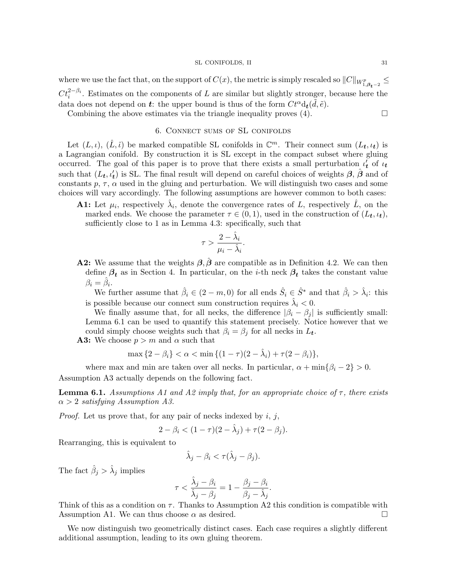where we use the fact that, on the support of  $C(x)$ , the metric is simply rescaled so  $||C||_{W^p_{1,\beta_{t-2}}}\leq$  $C t_i^{2-\beta_i}$ . Estimates on the components of L are similar but slightly stronger, because here the data does not depend on **t**: the upper bound is thus of the form  $C t^{\alpha} d_t(\tilde{d}, \tilde{e})$ .

Combining the above estimates via the triangle inequality proves  $(4)$ .

### 6. Connect sums of SL conifolds

Let  $(L, \iota)$ ,  $(\hat{L}, \hat{\iota})$  be marked compatible SL conifolds in  $\mathbb{C}^m$ . Their connect sum  $(L_t, \iota_t)$  is a Lagrangian conifold. By construction it is SL except in the compact subset where gluing occurred. The goal of this paper is to prove that there exists a small perturbation  $\iota'_t$  of  $\iota_t$ such that  $(L_t, \iota'_t)$  is SL. The final result will depend on careful choices of weights  $\beta$ ,  $\hat{\beta}$  and of constants  $p, \tau, \alpha$  used in the gluing and perturbation. We will distinguish two cases and some choices will vary accordingly. The following assumptions are however common to both cases:

**A1:** Let  $\mu_i$ , respectively  $\hat{\lambda}_i$ , denote the convergence rates of L, respectively  $\hat{L}$ , on the marked ends. We choose the parameter  $\tau \in (0, 1)$ , used in the construction of  $(L_t, \iota_t)$ , sufficiently close to 1 as in Lemma 4.3: specifically, such that

$$
\tau > \frac{2 - \hat{\lambda}_i}{\mu_i - \hat{\lambda}_i}.
$$

**A2:** We assume that the weights  $\beta$ ,  $\beta$  are compatible as in Definition 4.2. We can then define  $\beta_t$  as in Section 4. In particular, on the *i*-th neck  $\beta_t$  takes the constant value  $\beta_i = \hat{\beta}_i.$ 

We further assume that  $\hat{\beta}_i \in (2 - m, 0)$  for all ends  $\hat{S}_i \in \hat{S}^*$  and that  $\hat{\beta}_i > \hat{\lambda}_i$ : this is possible because our connect sum construction requires  $\hat{\lambda}_i < 0$ .

We finally assume that, for all necks, the difference  $|\beta_i - \beta_j|$  is sufficiently small: Lemma 6.1 can be used to quantify this statement precisely. Notice however that we could simply choose weights such that  $\beta_i = \beta_j$  for all necks in  $L_t$ .

**A3:** We choose  $p > m$  and  $\alpha$  such that

$$
\max\{2 - \beta_i\} < \alpha < \min\{(1 - \tau)(2 - \hat{\lambda}_i) + \tau(2 - \beta_i)\},
$$

where max and min are taken over all necks. In particular,  $\alpha + \min\{\beta_i - 2\} > 0$ . Assumption A3 actually depends on the following fact.

**Lemma 6.1.** Assumptions A1 and A2 imply that, for an appropriate choice of  $\tau$ , there exists  $\alpha > 2$  satisfying Assumption A3.

*Proof.* Let us prove that, for any pair of necks indexed by  $i$ ,  $j$ ,

$$
2 - \beta_i < (1 - \tau)(2 - \hat{\lambda}_j) + \tau(2 - \beta_j).
$$

Rearranging, this is equivalent to

$$
\hat{\lambda}_j - \beta_i < \tau(\hat{\lambda}_j - \beta_j).
$$

The fact  $\hat{\beta}_j > \hat{\lambda}_j$  implies

$$
\tau < \frac{\hat{\lambda}_j - \beta_i}{\hat{\lambda}_j - \beta_j} = 1 - \frac{\beta_j - \beta_i}{\beta_j - \hat{\lambda}_j}.
$$

Think of this as a condition on  $\tau$ . Thanks to Assumption A2 this condition is compatible with Assumption A1. We can thus choose  $\alpha$  as desired.  $\square$ 

We now distinguish two geometrically distinct cases. Each case requires a slightly different additional assumption, leading to its own gluing theorem.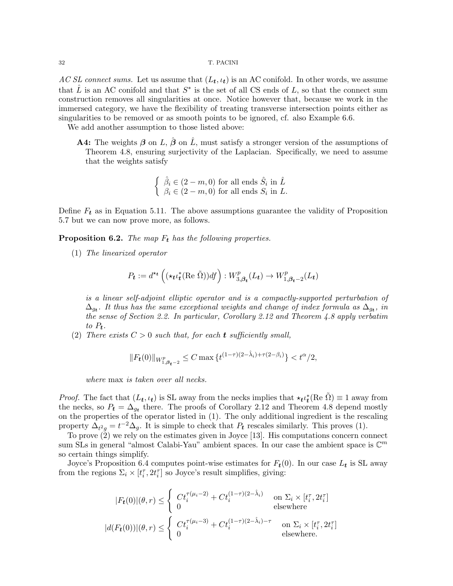AC SL connect sums. Let us assume that  $(L_t, \iota_t)$  is an AC conifold. In other words, we assume that  $\hat{L}$  is an AC conifold and that  $S^*$  is the set of all CS ends of L, so that the connect sum construction removes all singularities at once. Notice however that, because we work in the immersed category, we have the flexibility of treating transverse intersection points either as singularities to be removed or as smooth points to be ignored, cf. also Example 6.6.

We add another assumption to those listed above:

**A4:** The weights  $\beta$  on  $\hat{L}$ ,  $\hat{\beta}$  on  $\hat{L}$ , must satisfy a stronger version of the assumptions of Theorem 4.8, ensuring surjectivity of the Laplacian. Specifically, we need to assume that the weights satisfy

> $\int \hat{\beta}_i \in (2-m,0)$  for all ends  $\hat{S}_i$  in  $\hat{L}$  $\beta_i \in (2-m,0)$  for all ends  $S_i$  in L.

Define  $F_t$  as in Equation 5.11. The above assumptions guarantee the validity of Proposition 5.7 but we can now prove more, as follows.

**Proposition 6.2.** The map  $F_t$  has the following properties.

(1) The linearized operator

$$
P_{t} := d^{\star t} \left( (\star_{t} \iota_{t}^{*} (\text{Re } \tilde{\Omega})) df \right) : W_{3,\beta_{t}}^{p}(L_{t}) \to W_{1,\beta_{t}-2}^{p}(L_{t})
$$

is a linear self-adjoint elliptic operator and is a compactly-supported perturbation of  $\Delta_{g_{\boldsymbol{t}}}.$  It thus has the same exceptional weights and change of index formula as  $\Delta_{g_{\boldsymbol{t}}},$  in the sense of Section 2.2. In particular, Corollary 2.12 and Theorem 4.8 apply verbatim to  $P_t$ .

(2) There exists  $C > 0$  such that, for each **t** sufficiently small.

$$
||F_t(0)||_{W^p_{1,\beta_t-2}} \leq C \max\left\{t^{(1-\tau)(2-\hat{\lambda}_i)+\tau(2-\beta_i)}\right\} < t^{\alpha/2},
$$

where max is taken over all necks.

*Proof.* The fact that  $(L_t, \iota_t)$  is SL away from the necks implies that  $\star_t \iota_t^*(\text{Re }\tilde{\Omega}) \equiv 1$  away from the necks, so  $P_t = \Delta_{g_t}$  there. The proofs of Corollary 2.12 and Theorem 4.8 depend mostly on the properties of the operator listed in (1). The only additional ingredient is the rescaling property  $\Delta_{t^2g} = t^{-2}\Delta_g$ . It is simple to check that  $P_t$  rescales similarly. This proves (1).

To prove (2) we rely on the estimates given in Joyce [13]. His computations concern connect sum SLs in general "almost Calabi-Yau" ambient spaces. In our case the ambient space is  $\mathbb{C}^m$ so certain things simplify.

Joyce's Proposition 6.4 computes point-wise estimates for  $F_t(0)$ . In our case  $L_t$  is SL away from the regions  $\Sigma_i \times [t_i^{\tau}, 2t_i^{\tau}]$  so Joyce's result simplifies, giving:

$$
|F_t(0)|(\theta, r) \leq \begin{cases} Ct_i^{\tau(\mu_i - 2)} + Ct_i^{(1-\tau)(2-\hat{\lambda}_i)} & \text{on } \Sigma_i \times [t_i^{\tau}, 2t_i^{\tau}] \\ 0 & \text{elsewhere} \end{cases}
$$

$$
|d(F_t(0))|(\theta, r) \leq \begin{cases} Ct_i^{\tau(\mu_i - 3)} + Ct_i^{(1-\tau)(2-\hat{\lambda}_i)-\tau} & \text{on } \Sigma_i \times [t_i^{\tau}, 2t_i^{\tau}] \\ 0 & \text{elsewhere.} \end{cases}
$$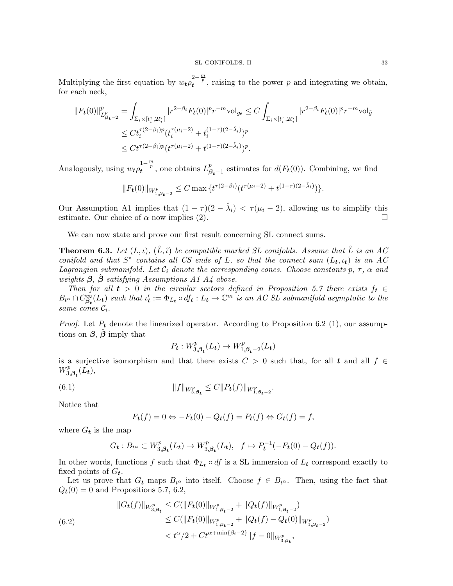Multiplying the first equation by  $w_t \rho_t^{2-\frac{m}{p}}$ , raising to the power p and integrating we obtain, for each neck,

$$
||F_t(0)||^p_{L^p_{\beta_t-2}} = \int_{\Sigma_i \times [t_i^{\tau}, 2t_i^{\tau}]} |r^{2-\beta_i} F_t(0)|^p r^{-m} \text{vol}_{g_t} \le C \int_{\Sigma_i \times [t_i^{\tau}, 2t_i^{\tau}]} |r^{2-\beta_i} F_t(0)|^p r^{-m} \text{vol}_{\tilde{g}}
$$
  

$$
\le C t_i^{\tau(2-\beta_i)p} (t_i^{\tau(\mu_i-2)} + t_i^{(1-\tau)(2-\hat{\lambda}_i)})^p
$$
  

$$
\le C t^{\tau(2-\beta_i)p} (t^{\tau(\mu_i-2)} + t^{(1-\tau)(2-\hat{\lambda}_i)})^p.
$$

Analogously, using  $w_t \rho_t^{1-\frac{m}{p}}$ , one obtains  $L_{\beta}^p$  $\beta_{t-1}^p$  estimates for  $d(F_t(0))$ . Combining, we find

$$
||F_t(0)||_{W^p_{1,\beta_t-2}} \leq C \max \{ t^{\tau(2-\beta_i)} (t^{\tau(\mu_i-2)} + t^{(1-\tau)(2-\hat{\lambda}_i)}) \}.
$$

Our Assumption A1 implies that  $(1 - \tau)(2 - \hat{\lambda}_i) < \tau(\mu_i - 2)$ , allowing us to simplify this estimate. Our choice of  $\alpha$  now implies (2).

We can now state and prove our first result concerning SL connect sums.

**Theorem 6.3.** Let  $(L, \iota)$ ,  $(\hat{L}, \hat{\iota})$  be compatible marked SL conifolds. Assume that  $\hat{L}$  is an AC conifold and that  $S^*$  contains all CS ends of L, so that the connect sum  $(L_t, \iota_t)$  is an AC Lagrangian submanifold. Let  $C_i$  denote the corresponding cones. Choose constants p,  $\tau$ ,  $\alpha$  and weights  $\beta$ ,  $\beta$  satisfying Assumptions A1-A4 above.

Then for all  $t > 0$  in the circular sectors defined in Proposition 5.7 there exists  $f_t \in$  $B_{t^{\alpha}} \cap C^{\infty}_{\beta_{t}}(L_{t})$  such that  $\iota'_{t} := \Phi_{L_{t}} \circ df_{t} : L_{t} \to \mathbb{C}^{m}$  is an AC SL submanifold asymptotic to the same cones  $\mathcal{C}_i$ .

*Proof.* Let  $P_t$  denote the linearized operator. According to Proposition 6.2 (1), our assumptions on  $\beta$ ,  $\hat{\beta}$  imply that

$$
P_{t}: W^{p}_{3,\beta_{t}}(L_{t})\rightarrow W^{p}_{1,\beta_{t}-2}(L_{t})
$$

is a surjective isomorphism and that there exists  $C > 0$  such that, for all t and all  $f \in$  $W_3^p$  $T^p_{3,\boldsymbol{\beta_t}}(L_t),$ 

(6.1) 
$$
||f||_{W_{3,\beta_{t}}^{p}} \leq C||P_{t}(f)||_{W_{1,\beta_{t}-2}^{p}}.
$$

Notice that

$$
F_t(f) = 0 \Leftrightarrow -F_t(0) - Q_t(f) = P_t(f) \Leftrightarrow G_t(f) = f,
$$

where  $G_t$  is the map

$$
G_{\mathbf{t}}: B_{t^{\alpha}} \subset W^p_{3,\beta_{\mathbf{t}}}(L_{\mathbf{t}}) \to W^p_{3,\beta_{\mathbf{t}}}(L_{\mathbf{t}}), \quad f \mapsto P_{\mathbf{t}}^{-1}(-F_{\mathbf{t}}(0) - Q_{\mathbf{t}}(f)).
$$

In other words, functions f such that  $\Phi_{L_t} \circ df$  is a SL immersion of  $L_t$  correspond exactly to fixed points of  $G_t$ .

Let us prove that  $G_t$  maps  $B_t \alpha$  into itself. Choose  $f \in B_t \alpha$ . Then, using the fact that  $Q_t(0) = 0$  and Propositions 5.7, 6.2,

(6.2) 
$$
||G_t(f)||_{W_{3,\beta_t}^p} \leq C(||F_t(0)||_{W_{1,\beta_{t-2}}^p} + ||Q_t(f)||_{W_{1,\beta_{t-2}}^p})
$$

$$
\leq C(||F_t(0)||_{W_{1,\beta_{t-2}}^p} + ||Q_t(f) - Q_t(0)||_{W_{1,\beta_{t-2}}^p})
$$

$$
< t^{\alpha}/2 + Ct^{\alpha + \min{\{\beta_i - 2\}}}||f - 0||_{W_{3,\beta_t}^p},
$$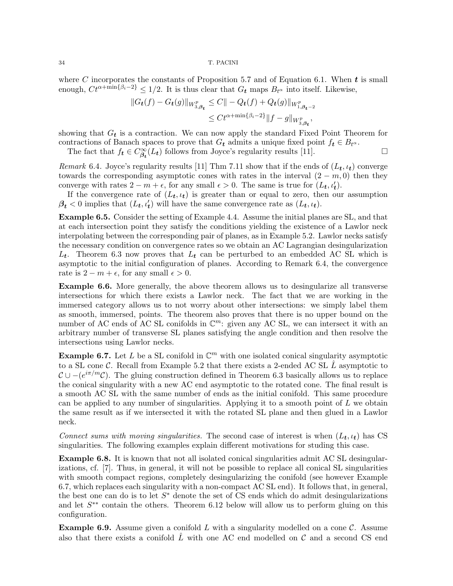where C incorporates the constants of Proposition 5.7 and of Equation 6.1. When  $t$  is small enough,  $C t^{\alpha + \min\{\beta_i - 2\}} \leq 1/2$ . It is thus clear that  $G_t$  maps  $B_{t^{\alpha}}$  into itself. Likewise,

$$
||G_{t}(f) - G_{t}(g)||_{W_{3,\beta_{t}}^{p}} \leq C|| - Q_{t}(f) + Q_{t}(g)||_{W_{1,\beta_{t}-2}^{p}}
$$
  

$$
\leq Ct^{\alpha + \min\{\beta_{i}-2\}}||f - g||_{W_{3,\beta_{t}}^{p}},
$$

showing that  $G_t$  is a contraction. We can now apply the standard Fixed Point Theorem for contractions of Banach spaces to prove that  $G_t$  admits a unique fixed point  $f_t \in B_{t^\alpha}$ .

The fact that  $f_t \in C^\infty_{\beta_t}(L_t)$  follows from Joyce's regularity results [11].

Remark 6.4. Joyce's regularity results [11] Thm 7.11 show that if the ends of  $(L_t, t_t)$  converge towards the corresponding asymptotic cones with rates in the interval  $(2 - m, 0)$  then they converge with rates  $2 - m + \epsilon$ , for any small  $\epsilon > 0$ . The same is true for  $(L_t, \iota'_t)$ .

If the convergence rate of  $(L_t, \iota_t)$  is greater than or equal to zero, then our assumption  $\beta_t$  < 0 implies that  $(L_t, \iota'_t)$  will have the same convergence rate as  $(L_t, \iota_t)$ .

Example 6.5. Consider the setting of Example 4.4. Assume the initial planes are SL, and that at each intersection point they satisfy the conditions yielding the existence of a Lawlor neck interpolating between the corresponding pair of planes, as in Example 5.2. Lawlor necks satisfy the necessary condition on convergence rates so we obtain an AC Lagrangian desingularization  $L_t$ . Theorem 6.3 now proves that  $L_t$  can be perturbed to an embedded AC SL which is asymptotic to the initial configuration of planes. According to Remark 6.4, the convergence rate is  $2 - m + \epsilon$ , for any small  $\epsilon > 0$ .

Example 6.6. More generally, the above theorem allows us to desingularize all transverse intersections for which there exists a Lawlor neck. The fact that we are working in the immersed category allows us to not worry about other intersections: we simply label them as smooth, immersed, points. The theorem also proves that there is no upper bound on the number of AC ends of AC SL conifolds in  $\mathbb{C}^m$ : given any AC SL, we can intersect it with an arbitrary number of transverse SL planes satisfying the angle condition and then resolve the intersections using Lawlor necks.

**Example 6.7.** Let L be a SL conifold in  $\mathbb{C}^m$  with one isolated conical singularity asymptotic to a SL cone C. Recall from Example 5.2 that there exists a 2-ended AC SL  $\hat{L}$  asymptotic to  $\mathcal{C} \cup -(e^{i\pi/m}\mathcal{C})$ . The gluing construction defined in Theorem 6.3 basically allows us to replace the conical singularity with a new AC end asymptotic to the rotated cone. The final result is a smooth AC SL with the same number of ends as the initial conifold. This same procedure can be applied to any number of singularities. Applying it to a smooth point of  $L$  we obtain the same result as if we intersected it with the rotated SL plane and then glued in a Lawlor neck.

Connect sums with moving singularities. The second case of interest is when  $(L_t, \iota_t)$  has CS singularities. The following examples explain different motivations for studing this case.

Example 6.8. It is known that not all isolated conical singularities admit AC SL desingularizations, cf. [7]. Thus, in general, it will not be possible to replace all conical SL singularities with smooth compact regions, completely desingularizing the conifold (see however Example 6.7, which replaces each singularity with a non-compact AC SL end). It follows that, in general, the best one can do is to let  $S^*$  denote the set of CS ends which do admit desingularizations and let  $S^{**}$  contain the others. Theorem 6.12 below will allow us to perform gluing on this configuration.

**Example 6.9.** Assume given a conifold L with a singularity modelled on a cone  $\mathcal{C}$ . Assume also that there exists a conifold  $\hat{L}$  with one AC end modelled on C and a second CS end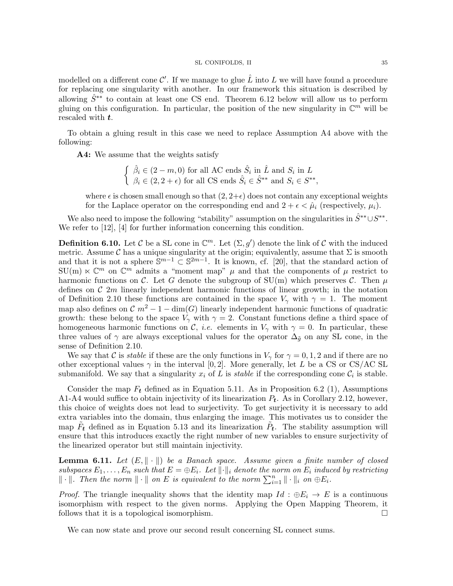modelled on a different cone  $\mathcal{C}'$ . If we manage to glue  $\hat{L}$  into  $L$  we will have found a procedure for replacing one singularity with another. In our framework this situation is described by allowing  $\hat{S}^{**}$  to contain at least one CS end. Theorem 6.12 below will allow us to perform gluing on this configuration. In particular, the position of the new singularity in  $\mathbb{C}^m$  will be rescaled with  $t$ .

To obtain a gluing result in this case we need to replace Assumption A4 above with the following:

A4: We assume that the weights satisfy

 $\int \hat{\beta}_i \in (2-m,0)$  for all AC ends  $\hat{S}_i$  in  $\hat{L}$  and  $S_i$  in  $L$  $\beta_i \in (2, 2 + \epsilon)$  for all CS ends  $\hat{S}_i \in \hat{S}^{**}$  and  $S_i \in S^{**}$ ,

where  $\epsilon$  is chosen small enough so that  $(2, 2+\epsilon)$  does not contain any exceptional weights for the Laplace operator on the corresponding end and  $2 + \epsilon < \hat{\mu}_i$  (respectively,  $\mu_i$ ).

We also need to impose the following "stability" assumption on the singularities in  $\hat{S}^{**} \cup S^{**}$ . We refer to [12], [4] for further information concerning this condition.

**Definition 6.10.** Let C be a SL cone in  $\mathbb{C}^m$ . Let  $(\Sigma, g')$  denote the link of C with the induced metric. Assume C has a unique singularity at the origin; equivalently, assume that  $\Sigma$  is smooth and that it is not a sphere  $\mathbb{S}^{m-1} \subset \mathbb{S}^{2m-1}$ . It is known, cf. [20], that the standard action of  $SU(m) \ltimes \mathbb{C}^m$  on  $\mathbb{C}^m$  admits a "moment map"  $\mu$  and that the components of  $\mu$  restrict to harmonic functions on C. Let G denote the subgroup of  $SU(m)$  which preserves C. Then  $\mu$ defines on  $\mathcal{C}(2m)$  linearly independent harmonic functions of linear growth; in the notation of Definition 2.10 these functions are contained in the space  $V_{\gamma}$  with  $\gamma = 1$ . The moment map also defines on  $\mathcal{C} m^2 - 1 - \dim(G)$  linearly independent harmonic functions of quadratic growth: these belong to the space  $V_{\gamma}$  with  $\gamma = 2$ . Constant functions define a third space of homogeneous harmonic functions on C, *i.e.* elements in  $V_{\gamma}$  with  $\gamma = 0$ . In particular, these three values of  $\gamma$  are always exceptional values for the operator  $\Delta_{\tilde{g}}$  on any SL cone, in the sense of Definition 2.10.

We say that C is *stable* if these are the only functions in  $V_{\gamma}$  for  $\gamma = 0, 1, 2$  and if there are no other exceptional values  $\gamma$  in the interval [0, 2]. More generally, let L be a CS or CS/AC SL submanifold. We say that a singularity  $x_i$  of L is *stable* if the corresponding cone  $\mathcal{C}_i$  is stable.

Consider the map  $F_t$  defined as in Equation 5.11. As in Proposition 6.2 (1), Assumptions A1-A4 would suffice to obtain injectivity of its linearization  $P_t$ . As in Corollary 2.12, however, this choice of weights does not lead to surjectivity. To get surjectivity it is necessary to add extra variables into the domain, thus enlarging the image. This motivates us to consider the map  $\tilde{F}_t$  defined as in Equation 5.13 and its linearization  $\tilde{P}_t$ . The stability assumption will ensure that this introduces exactly the right number of new variables to ensure surjectivity of the linearized operator but still maintain injectivity.

**Lemma 6.11.** Let  $(E, \|\cdot\|)$  be a Banach space. Assume given a finite number of closed subspaces  $E_1, \ldots, E_n$  such that  $E = \oplus E_i$ . Let  $\|\cdot\|_i$  denote the norm on  $E_i$  induced by restricting  $\|\cdot\|$ . Then the norm  $\|\cdot\|$  on E is equivalent to the norm  $\sum_{i=1}^n \|\cdot\|_i$  on  $\oplus E_i$ .

*Proof.* The triangle inequality shows that the identity map  $Id : \oplus E_i \to E$  is a continuous isomorphism with respect to the given norms. Applying the Open Mapping Theorem, it follows that it is a topological isomorphism.  $\Box$ 

We can now state and prove our second result concerning SL connect sums.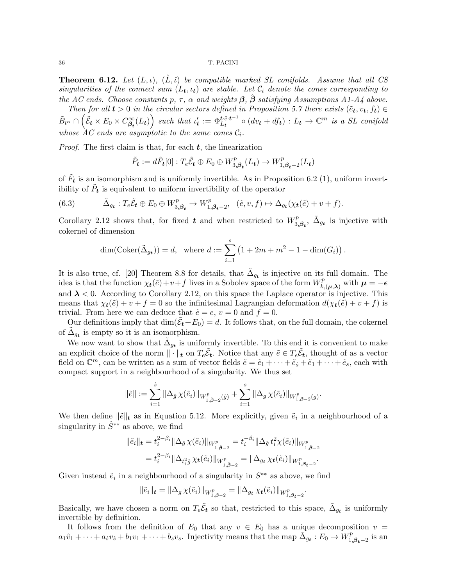**Theorem 6.12.** Let  $(L, \iota)$ ,  $(\hat{L}, \hat{\iota})$  be compatible marked SL conifolds. Assume that all CS singularities of the connect sum  $(L_t, \iota_t)$  are stable. Let  $\mathcal{C}_i$  denote the cones corresponding to the AC ends. Choose constants p,  $\tau$ ,  $\alpha$  and weights  $\beta$ ,  $\beta$  satisfying Assumptions A1-A4 above.

Then for all  $t > 0$  in the circular sectors defined in Proposition 5.7 there exists  $(\tilde{e}_t, v_t, f_t) \in$  $\tilde{B}_{t^{\alpha}} \cap \left( \tilde{\mathcal{E}}_{t} \times E_{0} \times C^{\infty}_{\beta_{t}}(L_{t}) \right)$  such that  $\iota'_{t} := \Phi_{L_{t}}^{t \tilde{\varepsilon}_{t} t^{-1}} \circ (dv_{t} + d f_{t}) : L_{t} \to \mathbb{C}^{m}$  is a SL conifold whose  $AC$  ends are asymptotic to the same cones  $\mathcal{C}_i$ .

*Proof.* The first claim is that, for each  $t$ , the linearization

$$
\tilde{P}_{\boldsymbol{t}}:=d\tilde{F}_{\boldsymbol{t}}[0]:T_{e}\tilde{\mathcal{E}}_{\boldsymbol{t}}\oplus E_{0}\oplus W^{p}_{3,\boldsymbol{\beta}_{\boldsymbol{t}}}(L_{\boldsymbol{t}})\rightarrow W^{p}_{1,\boldsymbol{\beta}_{\boldsymbol{t}}-2}(L_{\boldsymbol{t}})
$$

of  $\tilde{F}_t$  is an isomorphism and is uniformly invertible. As in Proposition 6.2 (1), uniform invertibility of  $\tilde{P}_t$  is equivalent to uniform invertibility of the operator

(6.3) 
$$
\tilde{\Delta}_{g_t}: T_e \tilde{\mathcal{E}}_t \oplus E_0 \oplus W^p_{3,\beta_t} \to W^p_{1,\beta_t-2}, \quad (\tilde{e}, v, f) \mapsto \Delta_{g_t}(\chi_t(\tilde{e}) + v + f).
$$

Corollary 2.12 shows that, for fixed t and when restricted to  $W_3^p$  $\tilde{A}_{3,\beta_t}$ ,  $\tilde{\Delta}_{g_t}$  is injective with cokernel of dimension

$$
\dim(\mathrm{Coker}(\tilde{\Delta}_{g_t})) = d, \text{ where } d := \sum_{i=1}^s (1 + 2m + m^2 - 1 - \dim(G_i)).
$$

It is also true, cf. [20] Theorem 8.8 for details, that  $\tilde{\Delta}_{g_t}$  is injective on its full domain. The idea is that the function  $\chi_t(\tilde{e})+v+f$  lives in a Sobolev space of the form  $W_k^p$  $\iota^p_{k,(\boldsymbol{\mu},\boldsymbol{\lambda})}$  with  $\boldsymbol{\mu}=-\boldsymbol{\epsilon}$ and  $\lambda < 0$ . According to Corollary 2.12, on this space the Laplace operator is injective. This means that  $\chi_t(\tilde{e}) + v + f = 0$  so the infinitesimal Lagrangian deformation  $d(\chi_t(\tilde{e}) + v + f)$  is trivial. From here we can deduce that  $\tilde{e} = e$ ,  $v = 0$  and  $f = 0$ .

Our definitions imply that  $\dim(\tilde{\mathcal{E}}_t+E_0)=d$ . It follows that, on the full domain, the cokernel of  $\tilde{\Delta}_{g_t}$  is empty so it is an isomorphism.

We now want to show that  $\tilde{\Delta}_{g_t}$  is uniformly invertible. To this end it is convenient to make an explicit choice of the norm  $\|\cdot\|_t$  on  $T_e\tilde{\mathcal{E}}_t$ . Notice that any  $\tilde{e} \in T_e\tilde{\mathcal{E}}_t$ , thought of as a vector field on  $\mathbb{C}^m$ , can be written as a sum of vector fields  $\tilde{e} = \tilde{e}_1 + \cdots + \tilde{e}_s + \tilde{e}_1 + \cdots + \tilde{e}_s$ , each with compact support in a neighbourhood of a singularity. We thus set

$$
\|\tilde{e}\| := \sum_{i=1}^{\hat{s}} \|\Delta_{\hat{g}} \chi(\tilde{e}_i)\|_{W^p_{1,\hat{\beta}-2}(\hat{g})} + \sum_{i=1}^s \|\Delta_g \chi(\tilde{e}_i)\|_{W^p_{1,\beta-2}(g)}.
$$

We then define  $\|\tilde{e}\|_t$  as in Equation 5.12. More explicitly, given  $\tilde{e}_i$  in a neighbourhood of a singularity in  $\hat{S}^{**}$  as above, we find

$$
\|\tilde{e}_i\|_{\mathbf{t}} = t_i^{2-\beta_i} \|\Delta_{\hat{g}} \chi(\tilde{e}_i)\|_{W^p_{1,\hat{\beta}-2}} = t_i^{-\beta_i} \|\Delta_{\hat{g}} t_i^2 \chi(\tilde{e}_i)\|_{W^p_{1,\hat{\beta}-2}}
$$
  

$$
= t_i^{2-\beta_i} \|\Delta_{t_i^2 \hat{g}} \chi_{\mathbf{t}}(\tilde{e}_i)\|_{W^p_{1,\hat{\beta}-2}} = \|\Delta_{g_{\mathbf{t}}} \chi_{\mathbf{t}}(\tilde{e}_i)\|_{W^p_{1,\beta_{\mathbf{t}}-2}}.
$$

Given instead  $\tilde{e}_i$  in a neighbourhood of a singularity in  $S^{**}$  as above, we find

$$
\|\tilde{e}_i\|_{\bm{t}} = \|\Delta_g \chi(\tilde{e}_i)\|_{W^p_{1,\bm{\beta}-2}} = \|\Delta_{g_{\bm{t}}} \chi_{\bm{t}}(\tilde{e}_i)\|_{W^p_{1,\bm{\beta}_{\bm{t}}-2}}.
$$

Basically, we have chosen a norm on  $T_e \tilde{\mathcal{E}}_t$  so that, restricted to this space,  $\tilde{\Delta}_{g_t}$  is uniformly invertible by definition.

It follows from the definition of  $E_0$  that any  $v \in E_0$  has a unique decomposition  $v =$  $a_1\hat{v}_1+\cdots+a_{\hat{s}}v_{\hat{s}}+b_1v_1+\cdots+b_sv_s$ . Injectivity means that the map  $\tilde{\Delta_{g_t}}:E_0\to W_1^p$  $\frac{p}{1,\boldsymbol{\beta_{t}}-2}$  is an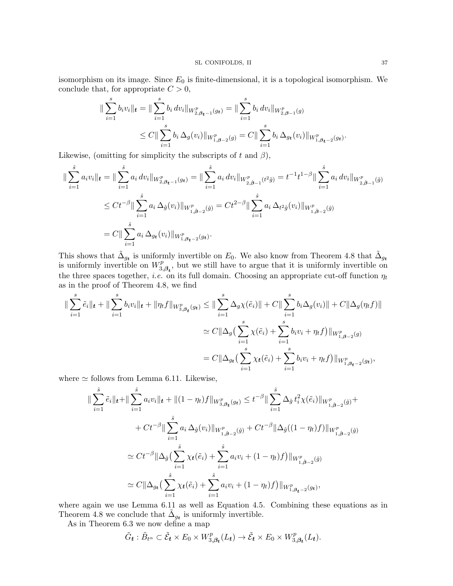isomorphism on its image. Since  $E_0$  is finite-dimensional, it is a topological isomorphism. We conclude that, for appropriate  $C > 0$ ,

$$
\|\sum_{i=1}^{s} b_i v_i\|_{t} = \|\sum_{i=1}^{s} b_i dv_i\|_{W^p_{2,\beta_{t-1}}(g_t)} = \|\sum_{i=1}^{s} b_i dv_i\|_{W^p_{2,\beta-1}(g)}
$$
  

$$
\leq C \|\sum_{i=1}^{s} b_i \Delta_g(v_i)\|_{W^p_{1,\beta-2}(g)} = C \|\sum_{i=1}^{s} b_i \Delta_{g_t}(v_i)\|_{W^p_{1,\beta_{t-2}}(g_t)}.
$$

Likewise, (omitting for simplicity the subscripts of t and  $\beta$ ),

$$
\begin{split} \|\sum_{i=1}^{\hat{s}} a_i v_i\|_{t} &= \|\sum_{i=1}^{\hat{s}} a_i \, dv_i\|_{W^p_{2,\beta_{t-1}}(g_t)} = \|\sum_{i=1}^{\hat{s}} a_i \, dv_i\|_{W^p_{2,\hat{\beta}-1}(t^2\hat{g})} = t^{-1}t^{1-\beta} \|\sum_{i=1}^{\hat{s}} a_i \, dv_i\|_{W^p_{2,\hat{\beta}-1}(\hat{g})} \\ &\le Ct^{-\beta} \|\sum_{i=1}^{\hat{s}} a_i \, \Delta_{\hat{g}}(v_i)\|_{W^p_{1,\hat{\beta}-2}(\hat{g})} = Ct^{2-\beta} \|\sum_{i=1}^{\hat{s}} a_i \, \Delta_{t^2\hat{g}}(v_i)\|_{W^p_{1,\hat{\beta}-2}(\hat{g})} \\ &= C \|\sum_{i=1}^{\hat{s}} a_i \, \Delta_{g_t}(v_i)\|_{W^p_{1,\beta_{t-2}}(g_t)}. \end{split}
$$

This shows that  $\tilde{\Delta}_{g_t}$  is uniformly invertible on  $E_0$ . We also know from Theorem 4.8 that  $\tilde{\Delta}_{g_t}$ is uniformly invertible on  $W_3^p$  $\mathcal{L}_{3,\beta_t}^p$ , but we still have to argue that it is uniformly invertible on the three spaces together, *i.e.* on its full domain. Choosing an appropriate cut-off function  $\eta_t$ as in the proof of Theorem 4.8, we find

$$
\|\sum_{i=1}^{s} \tilde{e}_{i}\|_{t} + \|\sum_{i=1}^{s} b_{i}v_{i}\|_{t} + \|\eta_{t}f\|_{W_{3,\beta_{t}}^{p}(g_{t})} \leq \|\sum_{i=1}^{s} \Delta_{g}\chi(\tilde{e}_{i})\| + C \|\sum_{i=1}^{s} b_{i}\Delta_{g}(v_{i})\| + C \|\Delta_{g}(\eta_{t}f)\|
$$
  

$$
\simeq C \|\Delta_{g}\left(\sum_{i=1}^{s} \chi(\tilde{e}_{i}) + \sum_{i=1}^{s} b_{i}v_{i} + \eta_{t}f\right)\|_{W_{1,\beta-2}^{p}(g)}
$$
  

$$
= C \|\Delta_{g_{t}}\left(\sum_{i=1}^{s} \chi_{t}(\tilde{e}_{i}) + \sum_{i=1}^{s} b_{i}v_{i} + \eta_{t}f\right)\|_{W_{1,\beta_{t}-2}^{p}(g_{t})},
$$

where  $\simeq$  follows from Lemma 6.11. Likewise,

$$
\|\sum_{i=1}^{\hat{s}} \tilde{e}_i \|_t + \|\sum_{i=1}^{\hat{s}} a_i v_i \|_t + \|(1 - \eta_t)f\|_{W^p_{3,\beta_t}(g_t)} \le t^{-\beta} \|\sum_{i=1}^{\hat{s}} \Delta_{\hat{g}} t_i^2 \chi(\tilde{e}_i) \|_{W^p_{1,\hat{\beta}-2}(\hat{g})} +
$$
  
+  $Ct^{-\beta} \|\sum_{i=1}^{\hat{s}} a_i \Delta_{\hat{g}}(v_i) \|_{W^p_{1,\hat{\beta}-2}(\hat{g})} + Ct^{-\beta} \|\Delta_{\hat{g}}((1 - \eta_t)f)\|_{W^p_{1,\hat{\beta}-2}(\hat{g})}$   

$$
\simeq Ct^{-\beta} \|\Delta_{\hat{g}}\left(\sum_{i=1}^{\hat{s}} \chi_t(\tilde{e}_i) + \sum_{i=1}^{\hat{s}} a_i v_i + (1 - \eta_t)f\right) \|_{W^p_{1,\hat{\beta}-2}(\hat{g})}
$$
  

$$
\simeq C \|\Delta_{g_t}\left(\sum_{i=1}^{\hat{s}} \chi_t(\tilde{e}_i) + \sum_{i=1}^{\hat{s}} a_i v_i + (1 - \eta_t)f\right) \|_{W^p_{1,\beta_t-2}(g_t)},
$$

where again we use Lemma 6.11 as well as Equation 4.5. Combining these equations as in Theorem 4.8 we conclude that  $\tilde{\Delta}_{gt}$  is uniformly invertible.

As in Theorem 6.3 we now define a map

$$
\tilde{G}_{t} : \tilde{B}_{t^{\alpha}} \subset \tilde{\mathcal{E}}_{t} \times E_{0} \times W_{3,\beta_{t}}^{p}(L_{t}) \to \tilde{\mathcal{E}}_{t} \times E_{0} \times W_{3,\beta_{t}}^{p}(L_{t}).
$$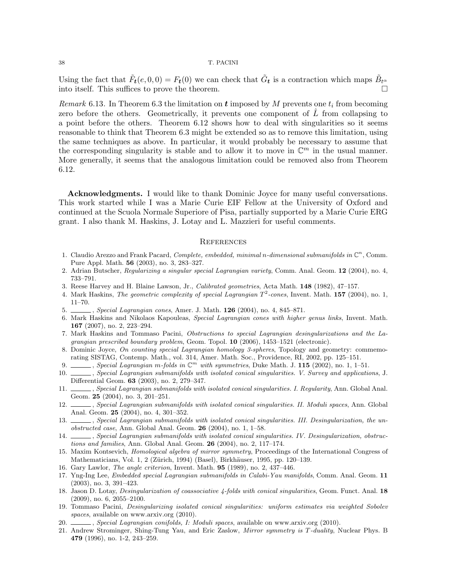Using the fact that  $\tilde{F}_t(e, 0, 0) = F_t(0)$  we can check that  $\tilde{G}_t$  is a contraction which maps  $\tilde{B}_{t^{\alpha}}$ into itself. This suffices to prove the theorem.

Remark 6.13. In Theorem 6.3 the limitation on t imposed by M prevents one  $t_i$  from becoming zero before the others. Geometrically, it prevents one component of  $\hat{L}$  from collapsing to a point before the others. Theorem 6.12 shows how to deal with singularities so it seems reasonable to think that Theorem 6.3 might be extended so as to remove this limitation, using the same techniques as above. In particular, it would probably be necessary to assume that the corresponding singularity is stable and to allow it to move in  $\mathbb{C}^m$  in the usual manner. More generally, it seems that the analogous limitation could be removed also from Theorem 6.12.

Acknowledgments. I would like to thank Dominic Joyce for many useful conversations. This work started while I was a Marie Curie EIF Fellow at the University of Oxford and continued at the Scuola Normale Superiore of Pisa, partially supported by a Marie Curie ERG grant. I also thank M. Haskins, J. Lotay and L. Mazzieri for useful comments.

### **REFERENCES**

- 1. Claudio Arezzo and Frank Pacard, Complete, embedded, minimal n-dimensional submanifolds in  $\mathbb{C}^n$ , Comm. Pure Appl. Math. 56 (2003), no. 3, 283–327.
- 2. Adrian Butscher, Regularizing a singular special Lagrangian variety, Comm. Anal. Geom. 12 (2004), no. 4, 733–791.
- 3. Reese Harvey and H. Blaine Lawson, Jr., Calibrated geometries, Acta Math. 148 (1982), 47–157.
- 4. Mark Haskins, The geometric complexity of special Lagrangian  $T^2$ -cones, Invent. Math. 157 (2004), no. 1, 11–70.
- 5. , Special Lagrangian cones, Amer. J. Math. **126** (2004), no. 4, 845–871.
- 6. Mark Haskins and Nikolaos Kapouleas, Special Lagrangian cones with higher genus links, Invent. Math. 167 (2007), no. 2, 223–294.
- 7. Mark Haskins and Tommaso Pacini, Obstructions to special Lagrangian desingularizations and the Lagrangian prescribed boundary problem, Geom. Topol. 10 (2006), 1453–1521 (electronic).
- 8. Dominic Joyce, On counting special Lagrangian homology 3-spheres, Topology and geometry: commemorating SISTAG, Contemp. Math., vol. 314, Amer. Math. Soc., Providence, RI, 2002, pp. 125–151.
- 9.  $\frac{1}{\sqrt{1-\frac{1}{n}}}$ , Special Lagrangian m-folds in  $\mathbb{C}^m$  with symmetries, Duke Math. J. 115 (2002), no. 1, 1–51.
- 10. Special Lagrangian submanifolds with isolated conical singularities. V. Survey and applications, J. Differential Geom. 63 (2003), no. 2, 279–347.
- 11. Special Lagrangian submanifolds with isolated conical singularities. I. Regularity, Ann. Global Anal. Geom. 25 (2004), no. 3, 201–251.
- 12. Special Lagrangian submanifolds with isolated conical singularities. II. Moduli spaces, Ann. Global Anal. Geom. 25 (2004), no. 4, 301–352.
- 13. Special Lagrangian submanifolds with isolated conical singularities. III. Desingularization, the unobstructed case, Ann. Global Anal. Geom. 26 (2004), no. 1, 1–58.
- 14.  $\_\_\_\$ gecial Lagrangian submanifolds with isolated conical singularities. IV. Desingularization, obstructions and families, Ann. Global Anal. Geom. 26 (2004), no. 2, 117–174.
- 15. Maxim Kontsevich, *Homological algebra of mirror symmetry*, Proceedings of the International Congress of Mathematicians, Vol. 1, 2 (Zürich, 1994) (Basel), Birkhäuser, 1995, pp. 120-139.
- 16. Gary Lawlor, The angle criterion, Invent. Math. 95 (1989), no. 2, 437–446.
- 17. Yng-Ing Lee, Embedded special Lagrangian submanifolds in Calabi-Yau manifolds, Comm. Anal. Geom. 11 (2003), no. 3, 391–423.
- 18. Jason D. Lotay, *Desingularization of coassociative 4-folds with conical singularities*, Geom. Funct. Anal. 18 (2009), no. 6, 2055–2100.
- 19. Tommaso Pacini, Desingularizing isolated conical singularities: uniform estimates via weighted Sobolev spaces, available on www.arxiv.org  $(2010)$ .
- 20. Special Lagrangian conifolds, I: Moduli spaces, available on www.arxiv.org (2010).
- 21. Andrew Strominger, Shing-Tung Yau, and Eric Zaslow, Mirror symmetry is T-duality, Nuclear Phys. B 479 (1996), no. 1-2, 243–259.